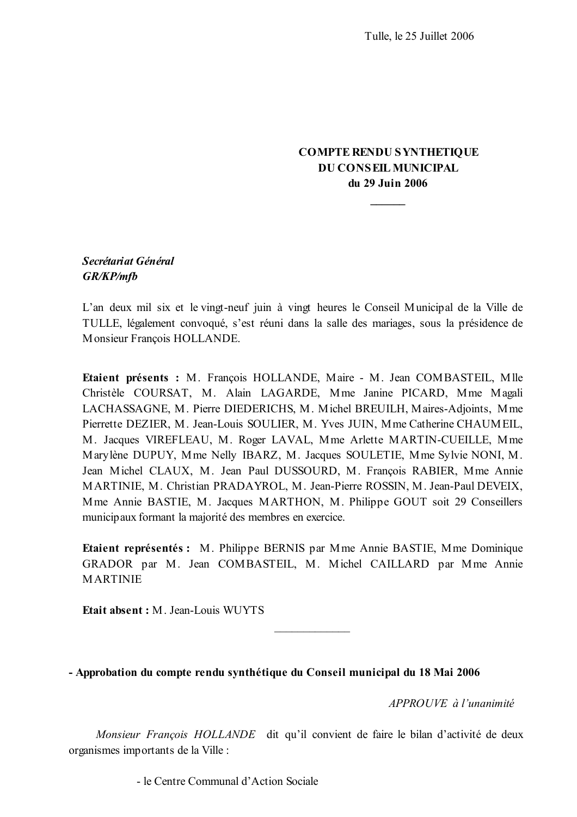# **COMPTE RENDU SYNTHETIQUE DU CONSEIL MUNICIPAL** du 29 Juin 2006

# Secrétariat Général **GR/KP/mfb**

L'an deux mil six et le vingt-neuf juin à vingt heures le Conseil Municipal de la Ville de TULLE, légalement convoqué, s'est réuni dans la salle des mariages, sous la présidence de Monsieur Francois HOLLANDE.

Etaient présents : M. François HOLLANDE, Maire - M. Jean COMBASTEIL, Mlle Christèle COURSAT, M. Alain LAGARDE, Mme Janine PICARD, Mme Magali LACHASSAGNE, M. Pierre DIEDERICHS, M. Michel BREUILH, Maires-Adjoints, Mme Pierrette DEZIER, M. Jean-Louis SOULIER, M. Yves JUIN, Mme Catherine CHAUMEIL, M. Jacques VIREFLEAU, M. Roger LAVAL, Mme Arlette MARTIN-CUEILLE, Mme Marylène DUPUY, Mme Nelly IBARZ, M. Jacques SOULETIE, Mme Sylvie NONI, M. Jean Michel CLAUX, M. Jean Paul DUSSOURD, M. François RABIER, Mme Annie MARTINIE, M. Christian PRADAYROL, M. Jean-Pierre ROSSIN, M. Jean-Paul DEVEIX, Mme Annie BASTIE, M. Jacques MARTHON, M. Philippe GOUT soit 29 Conseillers municipaux formant la majorité des membres en exercice.

Etaient représentés : M. Philippe BERNIS par Mme Annie BASTIE, Mme Dominique GRADOR par M. Jean COMBASTEIL, M. Michel CAILLARD par Mme Annie **MARTINIE** 

Etait absent: M Jean-Louis WUYTS

- Approbation du compte rendu synthétique du Conseil municipal du 18 Mai 2006

APPROUVE à l'unanimité

Monsieur François HOLLANDE dit qu'il convient de faire le bilan d'activité de deux organismes importants de la Ville :

- le Centre Communal d'Action Sociale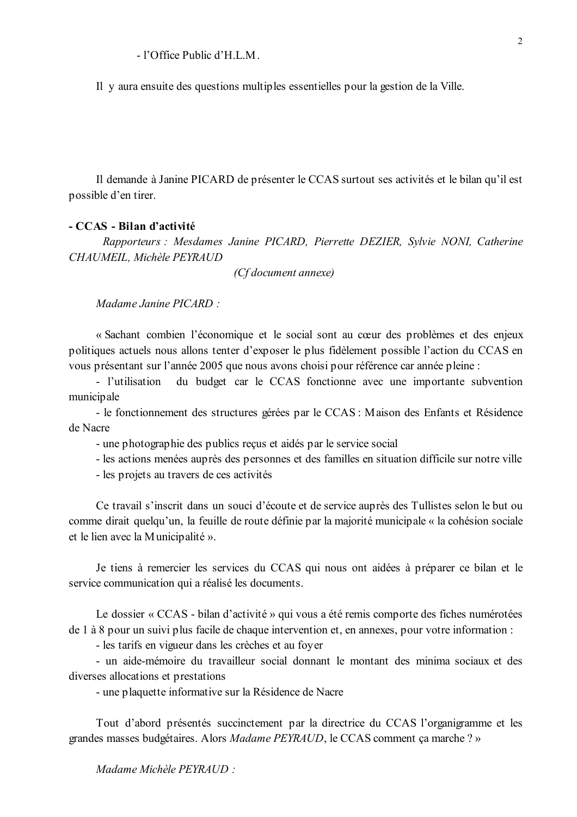$-1$ 'Office Public d'H L M

Il y aura ensuite des questions multiples essentielles pour la gestion de la Ville.

Il demande à Janine PICARD de présenter le CCAS surtout ses activités et le bilan qu'il est possible d'en tirer.

#### - CCAS - Bilan d'activité

Rapporteurs : Mesdames Janine PICARD, Pierrette DEZIER, Sylvie NONI, Catherine CHAUMEIL, Michèle PEYRAUD

(Cf document annexe)

Madame Janine PICARD:

« Sachant combien l'économique et le social sont au cœur des problèmes et des enjeux politiques actuels nous allons tenter d'exposer le plus fidèlement possible l'action du CCAS en vous présentant sur l'année 2005 que nous avons choisi pour référence car année pleine :

- l'utilisation du budget car le CCAS fonctionne avec une importante subvention municipale

- le fonctionnement des structures gérées par le CCAS : Maison des Enfants et Résidence de Nacre

- une photographie des publics reçus et aidés par le service social

- les actions menées auprès des personnes et des familles en situation difficile sur notre ville

- les projets au travers de ces activités

Ce travail s'inscrit dans un souci d'écoute et de service auprès des Tullistes selon le but ou comme dirait quelqu'un, la feuille de route définie par la majorité municipale « la cohésion sociale et le lien avec la Municipalité ».

Je tiens à remercier les services du CCAS qui nous ont aidées à préparer ce bilan et le service communication qui a réalisé les documents.

Le dossier « CCAS - bilan d'activité » qui vous a été remis comporte des fiches numérotées de 1 à 8 pour un suivi plus facile de chaque intervention et, en annexes, pour votre information :

- les tarifs en vigueur dans les crèches et au fover

- un aide-mémoire du travailleur social donnant le montant des minima sociaux et des diverses allocations et prestations

- une plaquette informative sur la Résidence de Nacre

Tout d'abord présentés succinctement par la directrice du CCAS l'organigramme et les grandes masses budgétaires. Alors Madame PEYRAUD, le CCAS comment ça marche ? »

Madame Michèle PEYRAUD :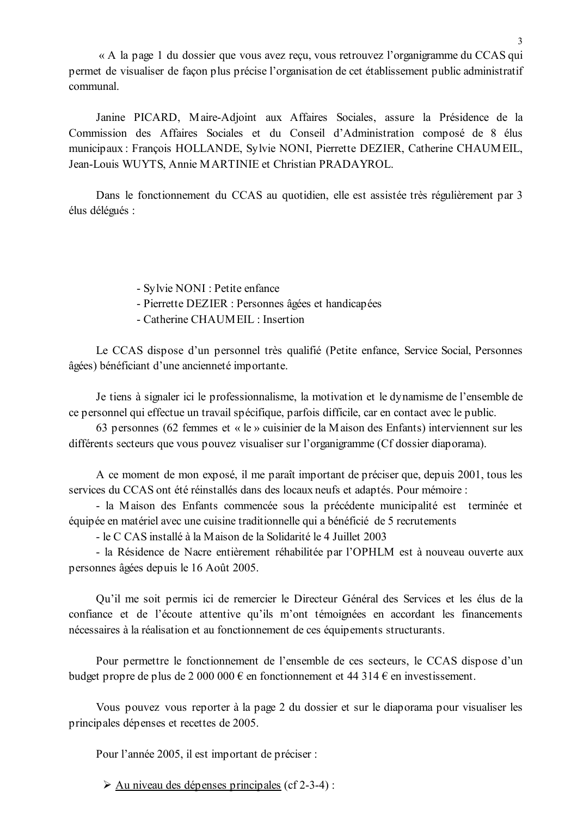« A la page 1 du dossier que vous avez reçu, vous retrouvez l'organigramme du CCAS qui permet de visualiser de façon plus précise l'organisation de cet établissement public administratif communal.

Janine PICARD, Maire-Adjoint aux Affaires Sociales, assure la Présidence de la Commission des Affaires Sociales et du Conseil d'Administration composé de 8 élus municipaux : François HOLLANDE, Sylvie NONI, Pierrette DEZIER, Catherine CHAUMEIL, Jean-Louis WUYTS, Annie MARTINIE et Christian PRADAYROL.

Dans le fonctionnement du CCAS au quotidien, elle est assistée très régulièrement par 3 élus délégués :

- Sylvie NONI : Petite enfance

- Pierrette DEZIER : Personnes âgées et handicapées
- Catherine CHAUMEIL: Insertion

Le CCAS dispose d'un personnel très qualifié (Petite enfance, Service Social, Personnes âgées) bénéficiant d'une ancienneté importante.

Je tiens à signaler ici le professionnalisme, la motivation et le dynamisme de l'ensemble de ce personnel qui effectue un travail spécifique, parfois difficile, car en contact avec le public.

63 personnes (62 femmes et « le » cuisinier de la Maison des Enfants) interviennent sur les différents secteurs que vous pouvez visualiser sur l'organigramme (Cf dossier diaporama).

A ce moment de mon exposé, il me paraît important de préciser que, depuis 2001, tous les services du CCAS ont été réinstallés dans des locaux neufs et adaptés. Pour mémoire :

- la Maison des Enfants commencée sous la précédente municipalité est terminée et équipée en matériel avec une cuisine traditionnelle qui a bénéficié de 5 recrutements

- le C CAS installé à la Maison de la Solidarité le 4 Juillet 2003

- la Résidence de Nacre entièrement réhabilitée par l'OPHLM est à nouveau ouverte aux personnes âgées depuis le 16 Août 2005.

Qu'il me soit permis ici de remercier le Directeur Général des Services et les élus de la confiance et de l'écoute attentive qu'ils m'ont témoignées en accordant les financements nécessaires à la réalisation et au fonctionnement de ces équipements structurants.

Pour permettre le fonctionnement de l'ensemble de ces secteurs, le CCAS dispose d'un budget propre de plus de 2 000 000  $\epsilon$  en fonctionnement et 44 314  $\epsilon$  en investissement.

Vous pouvez vous reporter à la page 2 du dossier et sur le diaporama pour visualiser les principales dépenses et recettes de 2005.

Pour l'année 2005, il est important de préciser :

 $\triangleright$  Au niveau des dépenses principales (cf 2-3-4):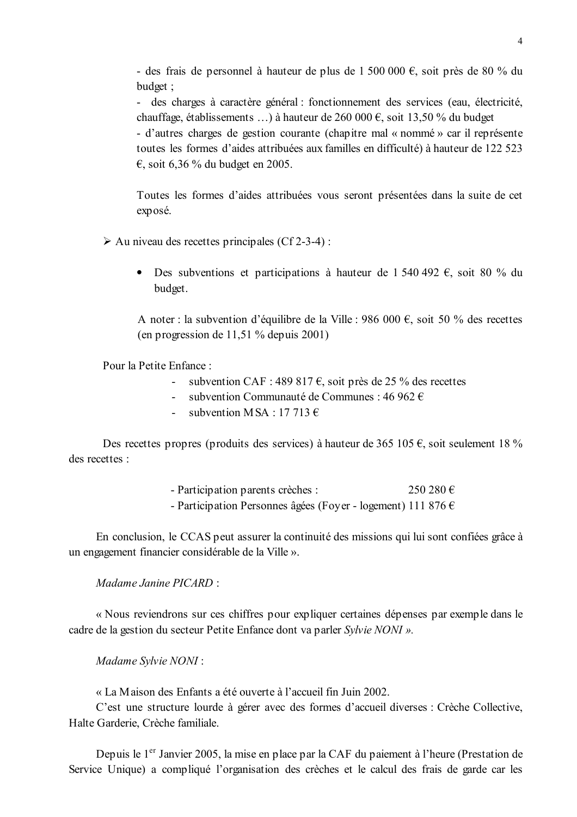- des frais de personnel à hauteur de plus de 1 500 000 €, soit près de 80 % du budget:

- des charges à caractère général : fonctionnement des services (eau. électricité. chauffage, établissements ...) à hauteur de 260 000  $\epsilon$ , soit 13,50 % du budget

- d'autres charges de gestion courante (chapitre mal « nommé » car il représente toutes les formes d'aides attribuées aux familles en difficulté) à hauteur de 122 523  $\epsilon$ , soit 6,36 % du budget en 2005.

Toutes les formes d'aides attribuées vous seront présentées dans la suite de cet exposé.

 $\triangleright$  Au niveau des recettes principales (Cf 2-3-4):

• Des subventions et participations à hauteur de 1 540 492  $\epsilon$ , soit 80 % du budget.

A noter : la subvention d'équilibre de la Ville : 986 000 €, soit 50 % des recettes (en progression de 11.51 % depuis  $2001$ )

Pour la Petite Enfance:

- subvention CAF : 489 817  $\epsilon$ , soit près de 25 % des recettes
- subvention Communauté de Communes : 46 962  $\epsilon$
- subvention MSA  $\cdot$  17.713  $\epsilon$

Des recettes propres (produits des services) à hauteur de 365 105 €, soit seulement 18 % des recettes ·

- Participation parents crèches :  $250280€$
- Participation Personnes âgées (Foyer logement) 111 876  $\epsilon$

En conclusion, le CCAS peut assurer la continuité des missions qui lui sont confiées grâce à un engagement financier considérable de la Ville ».

Madame Janine PICARD  $\cdot$ 

« Nous reviendrons sur ces chiffres pour expliquer certaines dépenses par exemple dans le cadre de la gestion du secteur Petite Enfance dont va parler Sylvie NONI ».

Madame Sylvie NONI:

« La Maison des Enfants a été ouverte à l'accueil fin Juin 2002.

C'est une structure lourde à gérer avec des formes d'accueil diverses : Crèche Collective, Halte Garderie, Crèche familiale.

Depuis le 1<sup>er</sup> Janvier 2005, la mise en place par la CAF du paiement à l'heure (Prestation de Service Unique) a compliqué l'organisation des crèches et le calcul des frais de garde car les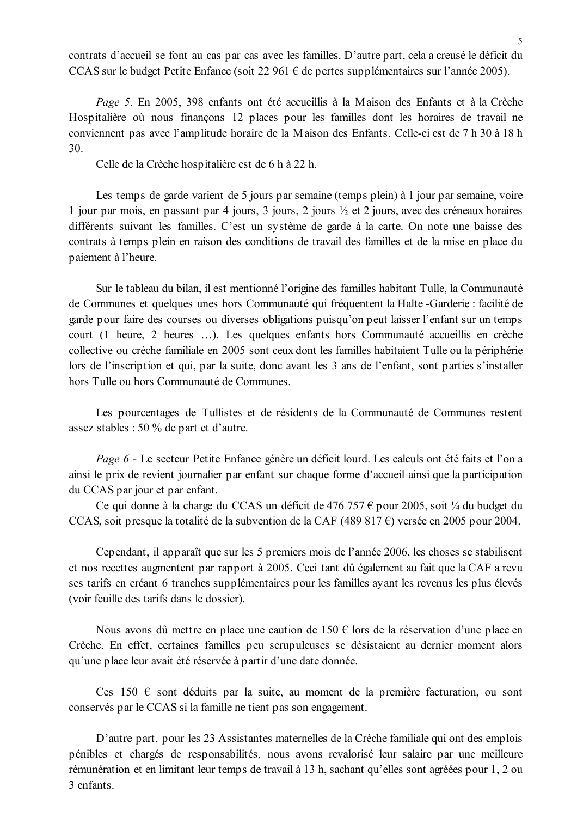contrats d'accueil se font au cas par cas avec les familles. D'autre part, cela a creusé le déficit du CCAS sur le budget Petite Enfance (soit 22 961  $\epsilon$  de pertes supplémentaires sur l'année 2005).

Page 5. En 2005, 398 enfants ont été accueillis à la Maison des Enfants et à la Crèche Hospitalière où nous finançons 12 places pour les familles dont les horaires de travail ne conviennent pas avec l'amplitude horaire de la Maison des Enfants. Celle-ci est de 7 h 30 à 18 h  $30<sup>°</sup>$ 

Celle de la Crèche hospitalière est de 6 h à 22 h.

Les temps de garde varient de 5 jours par semaine (temps plein) à 1 jour par semaine, voire 1 jour par mois, en passant par 4 jours, 3 jours, 2 jours  $\frac{1}{2}$  et 2 jours, avec des créneaux horaires différents suivant les familles. C'est un système de garde à la carte. On note une baisse des contrats à temps plein en raison des conditions de travail des familles et de la mise en place du paiement à l'heure.

Sur le tableau du bilan, il est mentionné l'origine des familles habitant Tulle, la Communauté de Communes et quelques unes hors Communauté qui fréquentent la Halte-Garderie : facilité de garde pour faire des courses ou diverses obligations puisqu'on peut laisser l'enfant sur un temps court (1 heure, 2 heures ...). Les quelques enfants hors Communauté accueillis en crèche collective ou crèche familiale en 2005 sont ceux dont les familles habitaient Tulle ou la périphérie lors de l'inscription et qui, par la suite, donc avant les 3 ans de l'enfant, sont parties s'installer hors Tulle ou hors Communauté de Communes

Les pourcentages de Tullistes et de résidents de la Communauté de Communes restent assez stables : 50 % de part et d'autre.

Page 6 - Le secteur Petite Enfance génère un déficit lourd. Les calculs ont été faits et l'on a ainsi le prix de revient journalier par enfant sur chaque forme d'accueil ainsi que la participation du CCAS par jour et par enfant.

Ce qui donne à la charge du CCAS un déficit de 476 757  $\epsilon$  pour 2005, soit ¼ du budget du CCAS, soit presque la totalité de la subvention de la CAF (489 817  $\epsilon$ ) versée en 2005 pour 2004.

Cependant, il apparaît que sur les 5 premiers mois de l'année 2006, les choses se stabilisent et nos recettes augmentent par rapport à 2005. Ceci tant dû également au fait que la CAF a revu ses tarifs en créant 6 tranches supplémentaires pour les familles avant les revenus les plus élevés (voir feuille des tarifs dans le dossier).

Nous avons dû mettre en place une caution de 150 € lors de la réservation d'une place en Crèche. En effet, certaines familles peu scrupuleuses se désistaient au dernier moment alors qu'une place leur avait été réservée à partir d'une date donnée.

Ces 150  $\epsilon$  sont déduits par la suite, au moment de la première facturation, ou sont conservés par le CCAS si la famille ne tient pas son engagement.

D'autre part, pour les 23 Assistantes maternelles de la Crèche familiale qui ont des emplois pénibles et chargés de responsabilités, nous avons revalorisé leur salaire par une meilleure rémunération et en limitant leur temps de travail à 13 h, sachant qu'elles sont agréées pour 1, 2 ou 3 enfants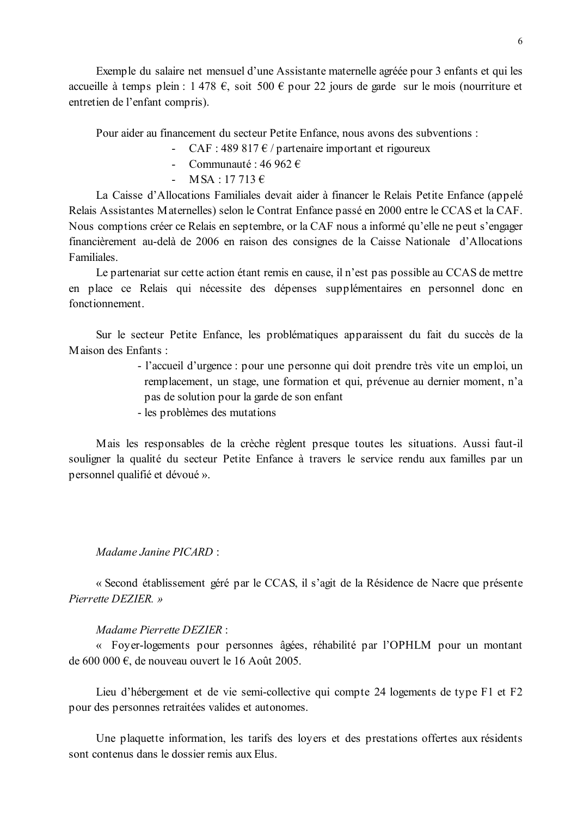Exemple du salaire net mensuel d'une Assistante maternelle agréée pour 3 enfants et qui les accueille à temps plein : 1 478 €, soit 500 € pour 22 jours de garde sur le mois (nourriture et entretien de l'enfant compris).

Pour aider au financement du secteur Petite Enfance, nous avons des subventions :

- CAF : 489 817  $\epsilon$  / partenaire important et rigoureux

- Communauté : 46 962  $\epsilon$
- $-MSA \cdot 17713 \in$

La Caisse d'Allocations Familiales devait aider à financer le Relais Petite Enfance (appelé Relais Assistantes Maternelles) selon le Contrat Enfance passé en 2000 entre le CCAS et la CAF. Nous comptions créer ce Relais en septembre, or la CAF nous a informé qu'elle ne peut s'engager financièrement au-delà de 2006 en raison des consignes de la Caisse Nationale d'Allocations Familiales.

Le partenariat sur cette action étant remis en cause, il n'est pas possible au CCAS de mettre en place ce Relais qui nécessite des dépenses supplémentaires en personnel donc en fonctionnement

Sur le secteur Petite Enfance, les problématiques apparaissent du fait du succès de la Maison des Enfants :

> - l'accueil d'urgence : pour une personne qui doit prendre très vite un emploi, un remplacement, un stage, une formation et qui, prévenue au dernier moment, n'a pas de solution pour la garde de son enfant

- les problèmes des mutations

Mais les responsables de la crèche règlent presque toutes les situations. Aussi faut-il souligner la qualité du secteur Petite Enfance à travers le service rendu aux familles par un personnel qualifié et dévoué ».

#### Madame Janine PICARD:

« Second établissement géré par le CCAS, il s'agit de la Résidence de Nacre que présente Pierrette DEZIER. »

#### Madame Pierrette DEZIER:

« Foyer-logements pour personnes âgées, réhabilité par l'OPHLM pour un montant de 600 000  $\epsilon$ , de nouveau ouvert le 16 Août 2005.

Lieu d'hébergement et de vie semi-collective qui compte 24 logements de type F1 et F2 pour des personnes retraitées valides et autonomes.

Une plaquette information, les tarifs des loyers et des prestations offertes aux résidents sont contenus dans le dossier remis aux Elus.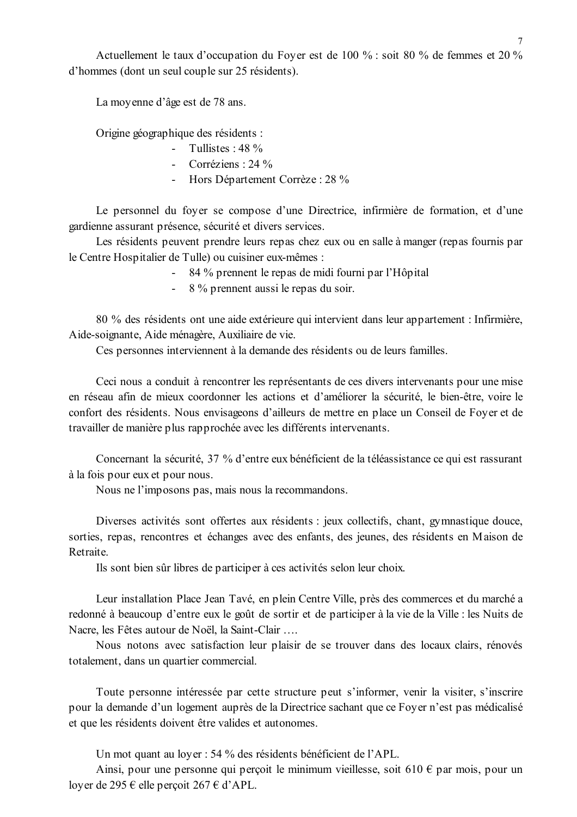Actuellement le taux d'occupation du Foyer est de 100 % : soit 80 % de femmes et 20 % d'hommes (dont un seul couple sur 25 résidents).

La movenne d'âge est de 78 ans.

Origine géographique des résidents :

- Tullistes  $\cdot$  48 %
	- Corréziens : 24  $\%$
	- Hors Département Corrèze : 28 %

Le personnel du foyer se compose d'une Directrice, infirmière de formation, et d'une gardienne assurant présence, sécurité et divers services.

Les résidents peuvent prendre leurs repas chez eux ou en salle à manger (repas fournis par le Centre Hospitalier de Tulle) ou cuisiner eux-mêmes :

- 84 % prennent le repas de midi fourni par l'Hôpital
- 8 % prennent aussi le repas du soir.  $\Delta \sim 10^4$

80 % des résidents ont une aide extérieure qui intervient dans leur appartement : Infirmière, Aide-soignante, Aide ménagère, Auxiliaire de vie.

Ces personnes interviennent à la demande des résidents ou de leurs familles.

Ceci nous a conduit à rencontrer les représentants de ces divers intervenants pour une mise en réseau afin de mieux coordonner les actions et d'améliorer la sécurité, le bien-être, voire le confort des résidents. Nous envisageons d'ailleurs de mettre en place un Conseil de Foyer et de travailler de manière plus rapprochée avec les différents intervenants.

Concernant la sécurité, 37 % d'entre eux bénéficient de la téléassistance ce qui est rassurant à la fois pour eux et pour nous.

Nous ne l'imposons pas, mais nous la recommandons.

Diverses activités sont offertes aux résidents : jeux collectifs, chant, gymnastique douce, sorties, repas, rencontres et échanges avec des enfants, des jeunes, des résidents en Maison de Retraite.

Ils sont bien sûr libres de participer à ces activités selon leur choix.

Leur installation Place Jean Tavé, en plein Centre Ville, près des commerces et du marché a redonné à beaucoup d'entre eux le goût de sortir et de participer à la vie de la Ville : les Nuits de Nacre, les Fêtes autour de Noël, la Saint-Clair ....

Nous notons avec satisfaction leur plaisir de se trouver dans des locaux clairs, rénovés totalement, dans un quartier commercial.

Toute personne intéressée par cette structure peut s'informer, venir la visiter, s'inscrire pour la demande d'un logement auprès de la Directrice sachant que ce Foyer n'est pas médicalisé et que les résidents doivent être valides et autonomes.

Un mot quant au loyer : 54 % des résidents bénéficient de l'APL.

Ainsi, pour une personne qui percoit le minimum vieillesse, soit 610  $\epsilon$  par mois, pour un lover de 295  $\epsilon$  elle percoit 267  $\epsilon$  d'APL.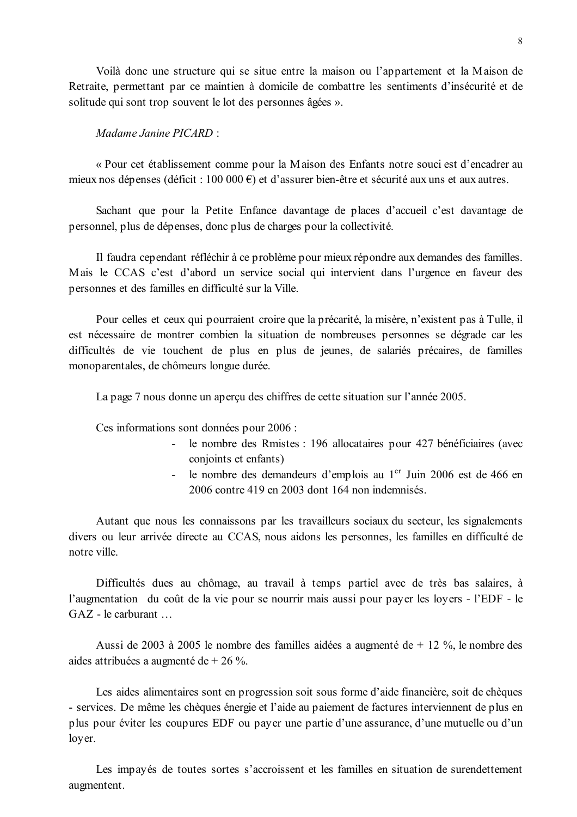Voilà donc une structure qui se situe entre la maison ou l'appartement et la Maison de Retraite, permettant par ce maintien à domicile de combattre les sentiments d'insécurité et de solitude qui sont trop souvent le lot des personnes âgées ».

#### Madame Janine PICARD:

« Pour cet établissement comme pour la Maison des Enfants notre souci est d'encadrer au mieux nos dépenses (déficit : 100 000  $\epsilon$ ) et d'assurer bien-être et sécurité aux uns et aux autres.

Sachant que pour la Petite Enfance davantage de places d'accueil c'est davantage de personnel, plus de dépenses, donc plus de charges pour la collectivité.

Il faudra cependant réfléchir à ce problème pour mieux répondre aux demandes des familles. Mais le CCAS c'est d'abord un service social qui intervient dans l'urgence en faveur des personnes et des familles en difficulté sur la Ville.

Pour celles et ceux qui pourraient croire que la précarité, la misère, n'existent pas à Tulle, il est nécessaire de montrer combien la situation de nombreuses personnes se dégrade car les difficultés de vie touchent de plus en plus de jeunes, de salariés précaires, de familles monoparentales, de chômeurs longue durée.

La page 7 nous donne un aperçu des chiffres de cette situation sur l'année 2005.

Ces informations sont données pour 2006 :

- le nombre des Rmistes : 196 allocataires pour 427 bénéficiaires (avec conjoints et enfants)
- le nombre des demandeurs d'emplois au 1<sup>er</sup> Juin 2006 est de 466 en 2006 contre 419 en 2003 dont 164 non indemnisés.

Autant que nous les connaissons par les travailleurs sociaux du secteur, les signalements divers ou leur arrivée directe au CCAS, nous aidons les personnes, les familles en difficulté de notre ville

Difficultés dues au chômage, au travail à temps partiel avec de très bas salaires, à l'augmentation du coût de la vie pour se nourrir mais aussi pour payer les loyers - l'EDF - le  $GAZ$  - le carburant ...

Aussi de 2003 à 2005 le nombre des familles aidées a augmenté de  $+$  12 %. le nombre des aides attribuées a augmenté de + 26 %.

Les aides alimentaires sont en progression soit sous forme d'aide financière, soit de chèques - services. De même les chèques énergie et l'aide au paiement de factures interviennent de plus en plus pour éviter les coupures EDF ou payer une partie d'une assurance, d'une mutuelle ou d'un loyer.

Les impayés de toutes sortes s'accroissent et les familles en situation de surendettement augmentent.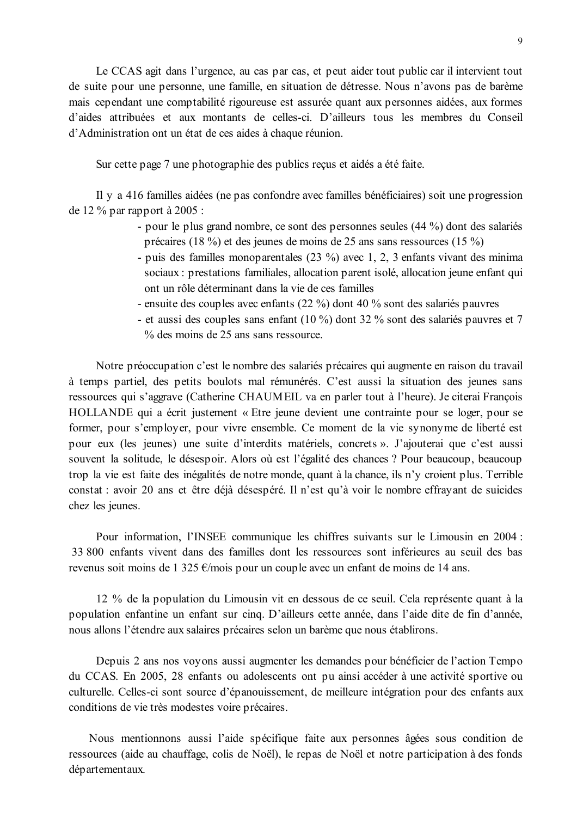Le CCAS agit dans l'urgence, au cas par cas, et peut aider tout public car il intervient tout de suite pour une personne, une famille, en situation de détresse. Nous n'avons pas de barème mais cependant une comptabilité rigoureuse est assurée quant aux personnes aidées, aux formes d'aides attribuées et aux montants de celles-ci. D'ailleurs tous les membres du Conseil d'Administration ont un état de ces aides à chaque réunion.

Sur cette page 7 une photographie des publics reçus et aidés a été faite.

Il y a 416 familles aidées (ne pas confondre avec familles bénéficiaires) soit une progression de 12 % par rapport à 2005 :

- pour le plus grand nombre, ce sont des personnes seules (44 %) dont des salariés précaires (18 %) et des jeunes de moins de 25 ans sans ressources (15 %)
- puis des familles monoparentales  $(23 \%)$  avec 1, 2, 3 enfants vivant des minima sociaux : prestations familiales, allocation parent isolé, allocation jeune enfant qui ont un rôle déterminant dans la vie de ces familles
- ensuite des couples avec enfants (22 %) dont 40 % sont des salariés pauvres
- et aussi des couples sans enfant (10 %) dont 32 % sont des salariés pauvres et 7 % des moins de 25 ans sans ressource.

Notre préoccupation c'est le nombre des salariés précaires qui augmente en raison du travail à temps partiel, des petits boulots mal rémunérés. C'est aussi la situation des jeunes sans ressources qui s'aggrave (Catherine CHAUMEIL va en parler tout à l'heure). Je citerai François HOLLANDE qui a écrit justement « Etre jeune devient une contrainte pour se loger, pour se former, pour s'employer, pour vivre ensemble. Ce moment de la vie synonyme de liberté est pour eux (les jeunes) une suite d'interdits matériels, concrets ». J'ajouterai que c'est aussi souvent la solitude, le désespoir. Alors où est l'égalité des chances ? Pour beaucoup, beaucoup trop la vie est faite des inégalités de notre monde, quant à la chance, ils n'y croient plus. Terrible constat : avoir 20 ans et être déjà désespéré. Il n'est qu'à voir le nombre effrayant de suicides chez les jeunes.

Pour information, l'INSEE communique les chiffres suivants sur le Limousin en 2004 : 33 800 enfants vivent dans des familles dont les ressources sont inférieures au seuil des bas revenus soit moins de 1 325  $\epsilon$ /mois pour un couple avec un enfant de moins de 14 ans.

12 % de la population du Limousin vit en dessous de ce seuil. Cela représente quant à la population enfantine un enfant sur cinq. D'ailleurs cette année, dans l'aide dite de fin d'année, nous allons l'étendre aux salaires précaires selon un barème que nous établirons.

Depuis 2 ans nos voyons aussi augmenter les demandes pour bénéficier de l'action Tempo du CCAS. En 2005, 28 enfants ou adolescents ont pu ainsi accéder à une activité sportive ou culturelle. Celles-ci sont source d'épanouissement, de meilleure intégration pour des enfants aux conditions de vie très modestes voire précaires.

Nous mentionnons aussi l'aide spécifique faite aux personnes âgées sous condition de ressources (aide au chauffage, colis de Noël), le repas de Noël et notre participation à des fonds départementaux.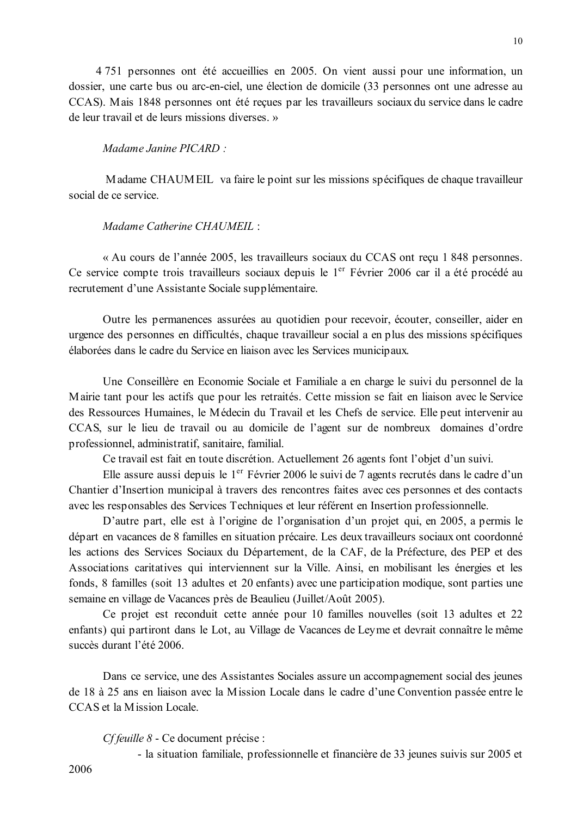4 751 personnes ont été accueillies en 2005. On vient aussi pour une information, un dossier, une carte bus ou arc-en-ciel, une élection de domicile (33 personnes ont une adresse au CCAS). Mais 1848 personnes ont été recues par les travailleurs sociaux du service dans le cadre de leur travail et de leurs missions diverses. »

#### Madame Janine PICARD  $\cdot$

Madame CHAUMEIL va faire le point sur les missions spécifiques de chaque travailleur social de ce service

#### Madame Catherine CHAUMEIL:

« Au cours de l'année 2005, les travailleurs sociaux du CCAS ont reçu 1 848 personnes. Ce service compte trois travailleurs sociaux depuis le 1<sup>er</sup> Février 2006 car il a été procédé au recrutement d'une Assistante Sociale supplémentaire.

Outre les permanences assurées au quotidien pour recevoir, écouter, conseiller, aider en urgence des personnes en difficultés, chaque travailleur social a en plus des missions spécifiques élaborées dans le cadre du Service en liaison avec les Services municipaux.

Une Conseillère en Economie Sociale et Familiale a en charge le suivi du personnel de la Mairie tant pour les actifs que pour les retraités. Cette mission se fait en liaison avec le Service des Ressources Humaines, le Médecin du Travail et les Chefs de service. Elle peut intervenir au CCAS, sur le lieu de travail ou au domicile de l'agent sur de nombreux domaines d'ordre professionnel, administratif, sanitaire, familial.

Ce travail est fait en toute discrétion. Actuellement 26 agents font l'objet d'un suivi.

Elle assure aussi depuis le 1<sup>er</sup> Février 2006 le suivi de 7 agents recrutés dans le cadre d'un Chantier d'Insertion municipal à travers des rencontres faites avec ces personnes et des contacts avec les responsables des Services Techniques et leur référent en Insertion professionnelle.

D'autre part, elle est à l'origine de l'organisation d'un projet qui, en 2005, a permis le départ en vacances de 8 familles en situation précaire. Les deux travailleurs sociaux ont coordonné les actions des Services Sociaux du Département, de la CAF, de la Préfecture, des PEP et des Associations caritatives qui interviennent sur la Ville. Ainsi, en mobilisant les énergies et les fonds, 8 familles (soit 13 adultes et 20 enfants) avec une participation modique, sont parties une semaine en village de Vacances près de Beaulieu (Juillet/Août 2005).

Ce projet est reconduit cette année pour 10 familles nouvelles (soit 13 adultes et 22 enfants) qui partiront dans le Lot, au Village de Vacances de Leyme et devrait connaître le même succès durant l'été 2006

Dans ce service, une des Assistantes Sociales assure un accompagnement social des jeunes de 18 à 25 ans en liaison avec la Mission Locale dans le cadre d'une Convention passée entre le CCAS et la Mission Locale

Cf feuille 8 - Ce document précise :

- la situation familiale, professionnelle et financière de 33 jeunes suivis sur 2005 et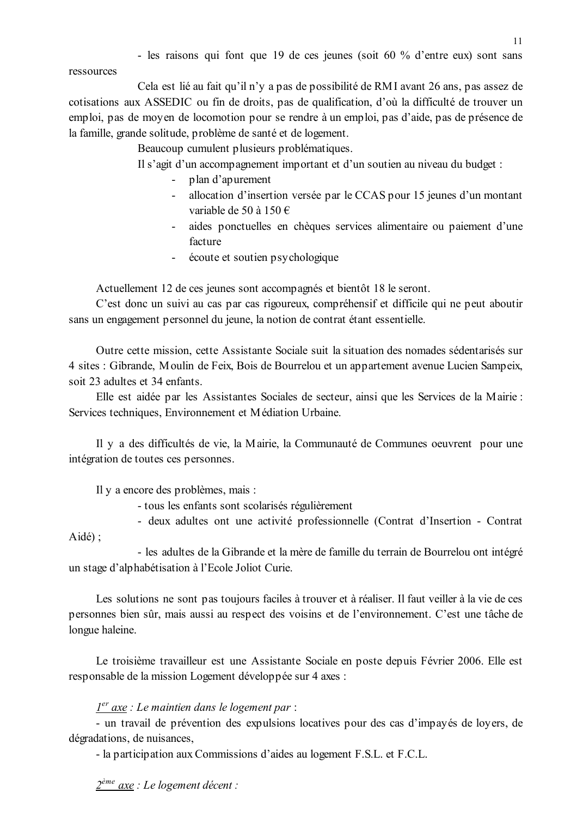- les raisons qui font que 19 de ces jeunes (soit 60 % d'entre eux) sont sans

ressources

Cela est lié au fait qu'il n'y a pas de possibilité de RMI avant 26 ans, pas assez de cotisations aux ASSEDIC ou fin de droits, pas de qualification, d'où la difficulté de trouver un emploi, pas de moyen de locomotion pour se rendre à un emploi, pas d'aide, pas de présence de la famille, grande solitude, problème de santé et de logement.

Beaucoup cumulent plusieurs problématiques.

Il s'agit d'un accompagnement important et d'un soutien au niveau du budget :

- plan d'apurement
- allocation d'insertion versée par le CCAS pour 15 jeunes d'un montant variable de 50 à 150  $\in$
- aides ponctuelles en chèques services alimentaire ou paiement d'une  $\omega_{\rm{max}}$ facture
- écoute et soutien psychologique

Actuellement 12 de ces jeunes sont accompagnés et bientôt 18 le seront.

C'est donc un suivi au cas par cas rigoureux, compréhensif et difficile qui ne peut aboutir sans un engagement personnel du jeune, la notion de contrat étant essentielle.

Outre cette mission, cette Assistante Sociale suit la situation des nomades sédentarisés sur 4 sites : Gibrande, Moulin de Feix, Bois de Bourrelou et un appartement avenue Lucien Sampeix, soit 23 adultes et 34 enfants

Elle est aidée par les Assistantes Sociales de secteur, ainsi que les Services de la Mairie : Services techniques, Environnement et Médiation Urbaine.

Il y a des difficultés de vie, la Mairie, la Communauté de Communes oeuvrent pour une intégration de toutes ces personnes.

Il y a encore des problèmes, mais :

- tous les enfants sont scolarisés régulièrement
- deux adultes ont une activité professionnelle (Contrat d'Insertion Contrat  $Aid\acute{e}$ :

- les adultes de la Gibrande et la mère de famille du terrain de Bourrelou ont intégré un stage d'alphabétisation à l'Ecole Joliot Curie.

Les solutions ne sont pas toujours faciles à trouver et à réaliser. Il faut veiller à la vie de ces personnes bien sûr, mais aussi au respect des voisins et de l'environnement. C'est une tâche de longue haleine.

Le troisième travailleur est une Assistante Sociale en poste depuis Février 2006. Elle est responsable de la mission Logement développée sur 4 axes :

### $1<sup>er</sup>$  axe : Le maintien dans le logement par :

- un travail de prévention des expulsions locatives pour des cas d'impayés de loyers, de dégradations, de nuisances,

- la participation aux Commissions d'aides au logement F.S.L. et F.C.L.

 $2^{\text{eme}}$  axe : Le logement décent :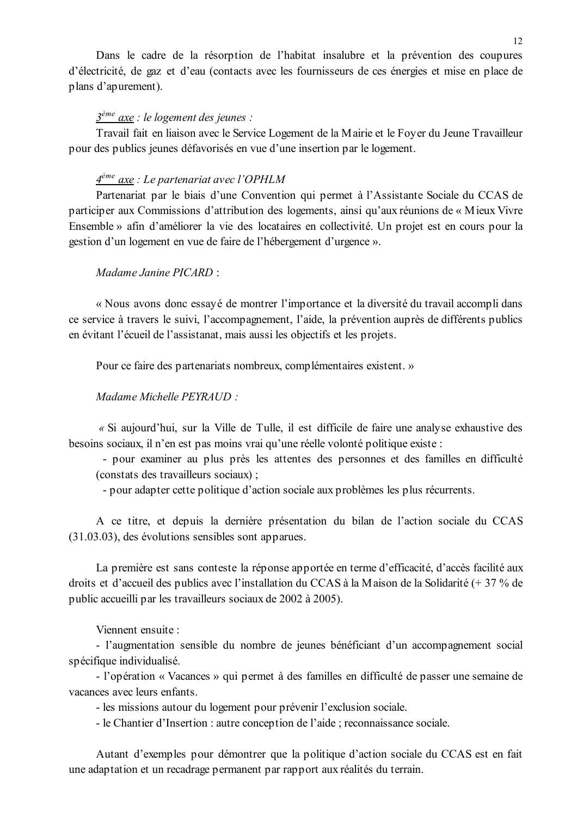Dans le cadre de la résorption de l'habitat insalubre et la prévention des coupures d'électricité, de gaz et d'eau (contacts avec les fournisseurs de ces énergies et mise en place de plans d'apurement).

### $3<sup>ème</sup>$  axe : le logement des jeunes :

Travail fait en liaison avec le Service Logement de la Mairie et le Foyer du Jeune Travailleur pour des publics jeunes défavorisés en vue d'une insertion par le logement.

#### $4^{\text{ème}}$  axe : Le partenariat avec l'OPHLM

Partenariat par le biais d'une Convention qui permet à l'Assistante Sociale du CCAS de participer aux Commissions d'attribution des logements, ainsi qu'aux réunions de « Mieux Vivre Ensemble » afin d'améliorer la vie des locataires en collectivité. Un projet est en cours pour la gestion d'un logement en vue de faire de l'hébergement d'urgence ».

#### $Madame\, Janine\, PICARD^{-}$

« Nous avons donc essayé de montrer l'importance et la diversité du travail accompli dans ce service à travers le suivi, l'accompagnement, l'aide, la prévention auprès de différents publics en évitant l'écueil de l'assistanat, mais aussi les objectifs et les projets.

Pour ce faire des partenariats nombreux, complémentaires existent. »

Madame Michelle PEYRAUD :

« Si aujourd'hui, sur la Ville de Tulle, il est difficile de faire une analyse exhaustive des besoins sociaux, il n'en est pas moins vrai qu'une réelle volonté politique existe :

- pour examiner au plus près les attentes des personnes et des familles en difficulté (constats des travailleurs sociaux);

- pour adapter cette politique d'action sociale aux problèmes les plus récurrents.

A ce titre, et depuis la dernière présentation du bilan de l'action sociale du CCAS  $(31.03.03)$ , des évolutions sensibles sont apparues.

La première est sans conteste la réponse apportée en terme d'efficacité, d'accès facilité aux droits et d'accueil des publics avec l'installation du CCAS à la Maison de la Solidarité (+ 37 % de public accueilli par les travailleurs sociaux de 2002 à 2005).

Viennent ensuite ·

- l'augmentation sensible du nombre de jeunes bénéficiant d'un accompagnement social spécifique individualisé.

- l'opération « Vacances » qui permet à des familles en difficulté de passer une semaine de vacances avec leurs enfants

- les missions autour du logement pour prévenir l'exclusion sociale.

- le Chantier d'Insertion : autre conception de l'aide ; reconnaissance sociale.

Autant d'exemples pour démontrer que la politique d'action sociale du CCAS est en fait une adaptation et un recadrage permanent par rapport aux réalités du terrain.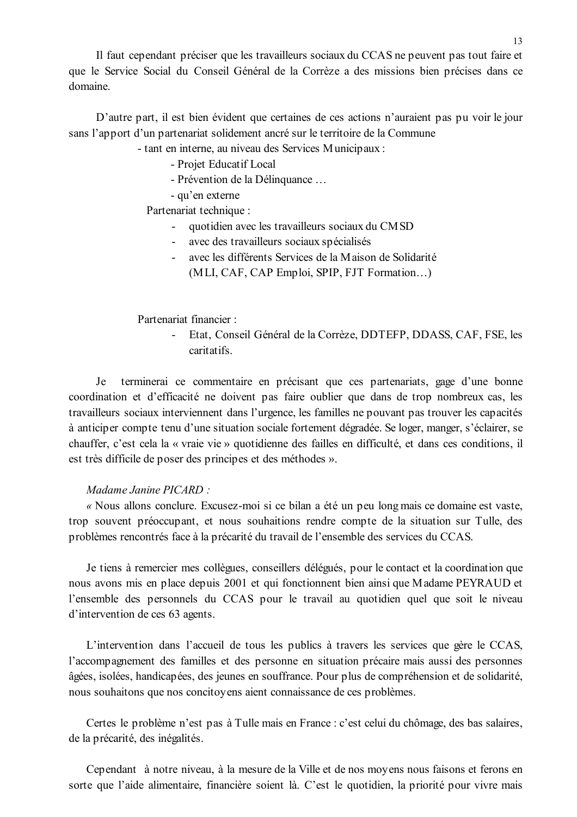Il faut cependant préciser que les travailleurs sociaux du CCAS ne peuvent pas tout faire et que le Service Social du Conseil Général de la Corrèze a des missions bien précises dans ce domaine.

D'autre part, il est bien évident que certaines de ces actions n'auraient pas pu voir le jour sans l'apport d'un partenariat solidement ancré sur le territoire de la Commune

- tant en interne, au niveau des Services Municipaux :

- Projet Educatif Local
- Prévention de la Délinguance...
- qu'en externe

Partenariat technique :

- quotidien avec les travailleurs sociaux du CMSD
- avec des travailleurs sociaux spécialisés
- avec les différents Services de la Maison de Solidarité (MLI, CAF, CAP Emploi, SPIP, FJT Formation...)

Partenariat financier :

 $\mathbf{L}^{(1)}$ Etat. Conseil Général de la Corrèze. DDTEFP. DDASS. CAF. FSE. les caritatifs

Je termineral ce commentaire en précisant que ces partenariats, gage d'une bonne coordination et d'efficacité ne doivent pas faire oublier que dans de trop nombreux cas, les travailleurs sociaux interviennent dans l'urgence, les familles ne pouvant pas trouver les capacités à anticiper compte tenu d'une situation sociale fortement dégradée. Se loger, manger, s'éclairer, se chauffer, c'est cela la « vraie vie » quotidienne des failles en difficulté, et dans ces conditions, il est très difficile de poser des principes et des méthodes ».

#### Madame Janine PICARD:

« Nous allons conclure. Excusez-moi si ce bilan a été un peu long mais ce domaine est vaste, trop souvent préoccupant, et nous souhaitions rendre compte de la situation sur Tulle, des problèmes rencontrés face à la précarité du travail de l'ensemble des services du CCAS.

Je tiens à remercier mes collègues, conseillers délégués, pour le contact et la coordination que nous avons mis en place depuis 2001 et qui fonctionnent bien ainsi que Madame PEYRAUD et l'ensemble des personnels du CCAS pour le travail au quotidien quel que soit le niveau d'intervention de ces 63 agents.

L'intervention dans l'accueil de tous les publics à travers les services que gère le CCAS, l'accompagnement des familles et des personne en situation précaire mais aussi des personnes âgées, isolées, handicapées, des jeunes en souffrance. Pour plus de compréhension et de solidarité, nous souhaitons que nos concitoyens aient connaissance de ces problèmes.

Certes le problème n'est pas à Tulle mais en France : c'est celui du chômage, des bas salaires, de la précarité, des inégalités.

Cependant à notre niveau, à la mesure de la Ville et de nos moyens nous faisons et ferons en sorte que l'aide alimentaire, financière soient là. C'est le quotidien, la priorité pour vivre mais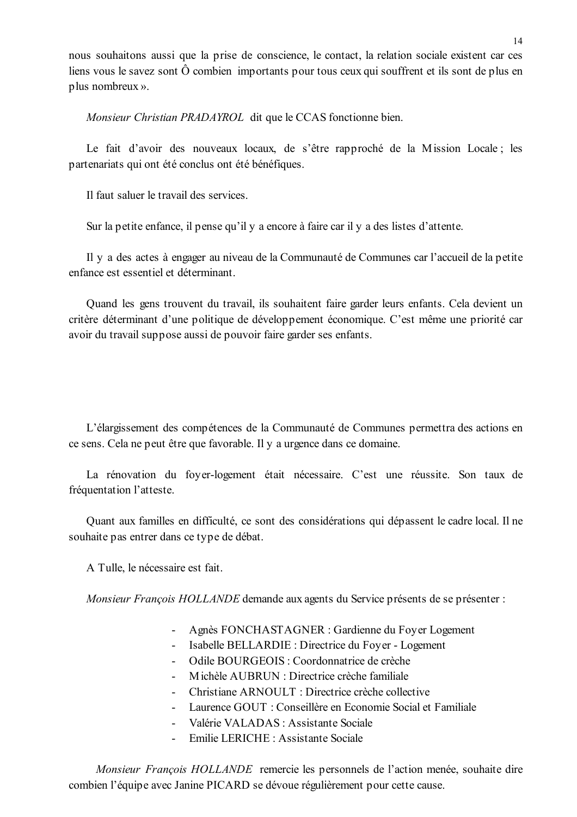nous souhaitons aussi que la prise de conscience, le contact, la relation sociale existent car ces liens vous le savez sont  $\hat{O}$  combien importants pour tous ceux qui souffrent et ils sont de plus en plus nombreux ».

Monsieur Christian PRADAYROL dit que le CCAS fonctionne bien.

Le fait d'avoir des nouveaux locaux, de s'être rapproché de la Mission Locale; les partenariats qui ont été conclus ont été bénéfiques.

Il faut saluer le travail des services

Sur la petite enfance, il pense qu'il y a encore à faire car il y a des listes d'attente.

Il y a des actes à engager au niveau de la Communauté de Communes car l'accueil de la petite enfance est essentiel et déterminant

Quand les gens trouvent du travail, ils souhaitent faire garder leurs enfants. Cela devient un critère déterminant d'une politique de développement économique. C'est même une priorité car avoir du travail suppose aussi de pouvoir faire garder ses enfants.

L'élargissement des compétences de la Communauté de Communes permettra des actions en ce sens. Cela ne peut être que favorable. Il y a urgence dans ce domaine.

La rénovation du foyer-logement était nécessaire. C'est une réussite. Son taux de fréquentation l'atteste.

Quant aux familles en difficulté, ce sont des considérations qui dépassent le cadre local. Il ne souhaite pas entrer dans ce type de débat.

A Tulle, le nécessaire est fait.

Monsieur François HOLLANDE demande aux agents du Service présents de se présenter :

- Agnès FONCHASTAGNER : Gardienne du Foyer Logement
- Isabelle BELLARDIE : Directrice du Fover Logement
- Odile BOURGEOIS : Coordonnatrice de crèche
- Michèle AUBRUN : Directrice crèche familiale
- Christiane ARNOULT  $\cdot$  Directrice crèche collective
- Laurence GOUT : Conseillère en Economie Social et Familiale
- Valérie VALADAS : Assistante Sociale
- Emilie LERICHE · Assistante Sociale

Monsieur François HOLLANDE remercie les personnels de l'action menée, souhaite dire combien l'équipe avec Janine PICARD se dévoue régulièrement pour cette cause.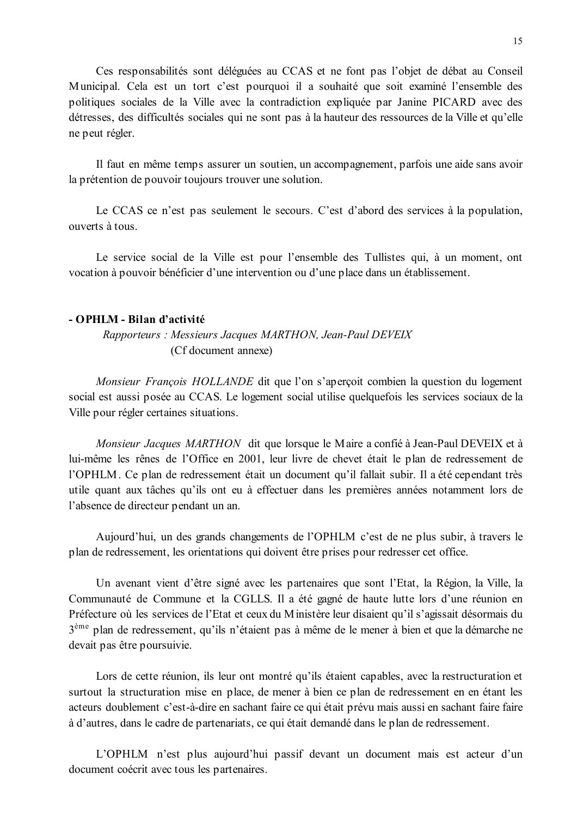Ces responsabilités sont déléguées au CCAS et ne font pas l'objet de débat au Conseil Municipal. Cela est un tort c'est pourquoi il a souhaité que soit examiné l'ensemble des politiques sociales de la Ville avec la contradiction expliquée par Janine PICARD avec des détresses, des difficultés sociales qui ne sont pas à la hauteur des ressources de la Ville et qu'elle ne peut régler.

Il faut en même temps assurer un soutien, un accompagnement, parfois une aide sans avoir la prétention de pouvoir toujours trouver une solution.

Le CCAS ce n'est pas seulement le secours. C'est d'abord des services à la population, ouverts à tous.

Le service social de la Ville est pour l'ensemble des Tullistes qui, à un moment, ont vocation à pouvoir bénéficier d'une intervention ou d'une place dans un établissement.

#### - OPHLM - Bilan d'activité

### Rapporteurs: Messieurs Jacques MARTHON, Jean-Paul DEVEIX (Cf document annexe)

Monsieur François HOLLANDE dit que l'on s'aperçoit combien la question du logement social est aussi posée au CCAS. Le logement social utilise quelquefois les services sociaux de la Ville pour régler certaines situations.

Monsieur Jacques MARTHON dit que lorsque le Maire a confié à Jean-Paul DEVEIX et à lui-même les rênes de l'Office en 2001, leur livre de chevet était le plan de redressement de l'OPHLM. Ce plan de redressement était un document qu'il fallait subir. Il a été cependant très utile quant aux tâches qu'ils ont eu à effectuer dans les premières années notamment lors de l'absence de directeur pendant un an.

Aujourd'hui, un des grands changements de l'OPHLM c'est de ne plus subir, à travers le plan de redressement, les orientations qui doivent être prises pour redresser cet office.

Un avenant vient d'être signé avec les partenaires que sont l'Etat, la Région, la Ville, la Communauté de Commune et la CGLLS. Il a été gagné de haute lutte lors d'une réunion en Préfecture où les services de l'Etat et ceux du Ministère leur disaient qu'il s'agissait désormais du 3<sup>ème</sup> plan de redressement, qu'ils n'étaient pas à même de le mener à bien et que la démarche ne devait pas être poursuivie.

Lors de cette réunion, ils leur ont montré qu'ils étaient capables, avec la restructuration et surtout la structuration mise en place, de mener à bien ce plan de redressement en en étant les acteurs doublement c'est-à-dire en sachant faire ce qui était prévu mais aussi en sachant faire faire à d'autres, dans le cadre de partenariats, ce qui était demandé dans le plan de redressement.

L'OPHLM n'est plus aujourd'hui passif devant un document mais est acteur d'un document coécrit avec tous les partenaires.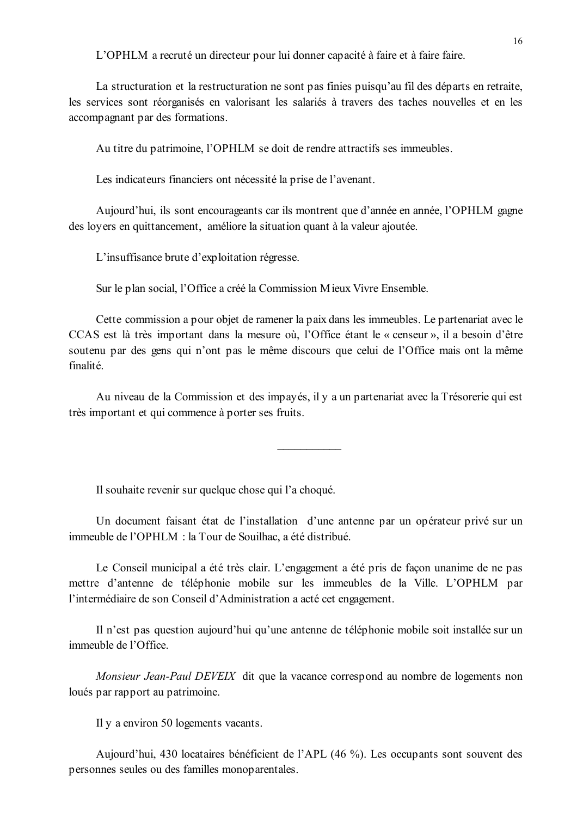L'OPHLM a recruté un directeur pour lui donner capacité à faire et à faire faire.

La structuration et la restructuration ne sont pas finies puisqu'au fil des départs en retraite, les services sont réorganisés en valorisant les salariés à travers des taches nouvelles et en les accompagnant par des formations.

Au titre du patrimoine, l'OPHLM se doit de rendre attractifs ses immeubles.

Les indicateurs financiers ont nécessité la prise de l'avenant.

Aujourd'hui, ils sont encourageants car ils montrent que d'année en année, l'OPHLM gagne des loyers en quittancement, améliore la situation quant à la valeur ajoutée.

L'insuffisance brute d'exploitation régresse.

Sur le plan social, l'Office a créé la Commission Mieux Vivre Ensemble.

Cette commission a pour objet de ramener la paix dans les immeubles. Le partenariat avec le CCAS est là très important dans la mesure où. l'Office étant le « censeur », il a besoin d'être soutenu par des gens qui n'ont pas le même discours que celui de l'Office mais ont la même finalité

Au niveau de la Commission et des impayés, il y a un partenariat avec la Trésorerie qui est très important et qui commence à porter ses fruits.

Il souhaite revenir sur quelque chose qui l'a choqué.

Un document faisant état de l'installation d'une antenne par un opérateur privé sur un immeuble de l'OPHLM : la Tour de Souilhac, a été distribué.

Le Conseil municipal a été très clair. L'engagement a été pris de façon unanime de ne pas mettre d'antenne de téléphonie mobile sur les immeubles de la Ville. L'OPHLM par l'intermédiaire de son Conseil d'Administration a acté cet engagement.

Il n'est pas question aujourd'hui qu'une antenne de téléphonie mobile soit installée sur un immeuble de l'Office

Monsieur Jean-Paul DEVEIX dit que la vacance correspond au nombre de logements non loués par rapport au patrimoine.

Il y a environ 50 logements vacants.

Aujourd'hui, 430 locataires bénéficient de l'APL (46 %). Les occupants sont souvent des personnes seules ou des familles monoparentales.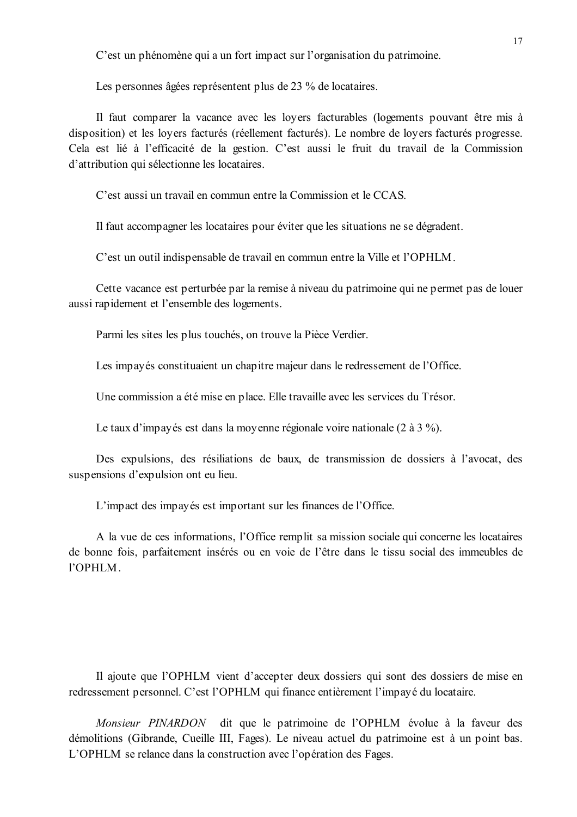C'est un phénomène qui a un fort impact sur l'organisation du patrimoine.

Les personnes âgées représentent plus de 23 % de locataires.

Il faut comparer la vacance avec les loyers facturables (logements pouvant être mis à disposition) et les loyers facturés (réellement facturés). Le nombre de loyers facturés progresse. Cela est lié à l'efficacité de la gestion. C'est aussi le fruit du travail de la Commission d'attribution qui sélectionne les locataires.

C'est aussi un travail en commun entre la Commission et le CCAS

Il faut accompagner les locataires pour éviter que les situations ne se dégradent.

C'est un outil indispensable de travail en commun entre la Ville et l'OPHLM.

Cette vacance est perturbée par la remise à niveau du patrimoine qui ne permet pas de louer aussi rapidement et l'ensemble des logements.

Parmi les sites les plus touchés, on trouve la Pièce Verdier.

Les impayés constituaient un chapitre majeur dans le redressement de l'Office.

Une commission a été mise en place. Elle travaille avec les services du Trésor.

Le taux d'impayés est dans la moyenne régionale voire nationale (2 à 3 %).

Des expulsions, des résiliations de baux, de transmission de dossiers à l'avocat, des suspensions d'expulsion ont eu lieu.

L'impact des impayés est important sur les finances de l'Office.

A la vue de ces informations, l'Office remplit sa mission sociale qui concerne les locataires de bonne fois, parfaitement insérés ou en voie de l'être dans le tissu social des immeubles de l'OPHLM.

Il ajoute que l'OPHLM vient d'accepter deux dossiers qui sont des dossiers de mise en redressement personnel. C'est l'OPHLM qui finance entièrement l'impayé du locataire.

Monsieur PINARDON dit que le patrimoine de l'OPHLM évolue à la faveur des démolitions (Gibrande, Cueille III, Fages). Le niveau actuel du patrimoine est à un point bas. L'OPHLM se relance dans la construction avec l'opération des Fages.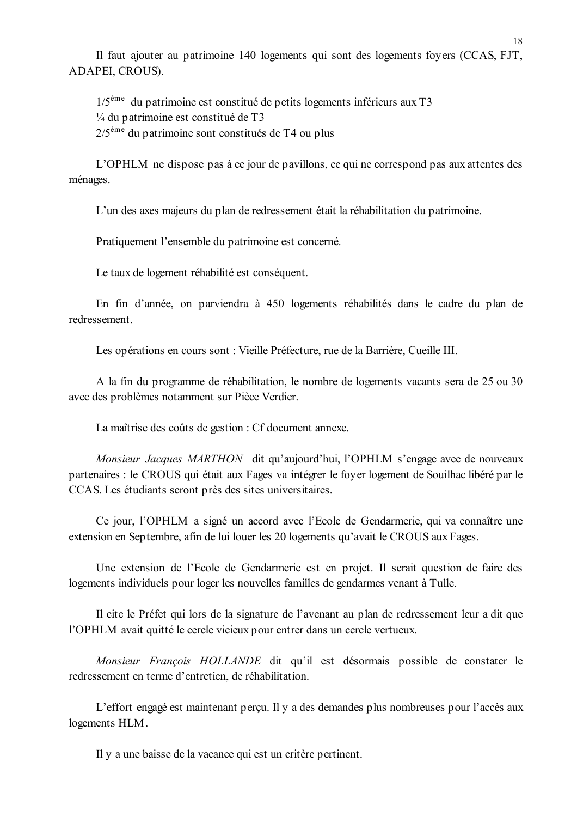Il faut ajouter au patrimoine 140 logements qui sont des logements foyers (CCAS, FJT, ADAPEI, CROUS).

 $1/5^{\text{eme}}$  du patrimoine est constitué de petits logements inférieurs aux T3  $\frac{1}{4}$  du patrimoine est constitué de T3  $2/5^{\text{eme}}$  du patrimoine sont constitués de T4 ou plus

L'OPHLM ne dispose pas à ce jour de pavillons, ce qui ne correspond pas aux attentes des ménages.

L'un des axes majeurs du plan de redressement était la réhabilitation du patrimoine.

Pratiquement l'ensemble du patrimoine est concerné.

Le taux de logement réhabilité est conséquent.

En fin d'année, on parviendra à 450 logements réhabilités dans le cadre du plan de redressement

Les opérations en cours sont : Vieille Préfecture, rue de la Barrière, Cueille III.

A la fin du programme de réhabilitation, le nombre de logements vacants sera de 25 ou 30 avec des problèmes notamment sur Pièce Verdier.

La maîtrise des coûts de gestion : Cf document annexe.

Monsieur Jacques MARTHON dit qu'aujourd'hui, l'OPHLM s'engage avec de nouveaux partenaires : le CROUS qui était aux Fages va intégrer le foyer logement de Souilhac libéré par le CCAS. Les étudiants seront près des sites universitaires.

Ce jour, l'OPHLM a signé un accord avec l'Ecole de Gendarmerie, qui va connaître une extension en Septembre, afin de lui louer les 20 logements qu'avait le CROUS aux Fages.

Une extension de l'Ecole de Gendarmerie est en projet. Il serait question de faire des logements individuels pour loger les nouvelles familles de gendarmes venant à Tulle.

Il cite le Préfet qui lors de la signature de l'avenant au plan de redressement leur a dit que l'OPHLM avait quitté le cercle vicieux pour entrer dans un cercle vertueux.

Monsieur François HOLLANDE dit qu'il est désormais possible de constater le redressement en terme d'entretien, de réhabilitation.

L'effort engagé est maintenant perçu. Il y a des demandes plus nombreuses pour l'accès aux logements HLM.

Il y a une baisse de la vacance qui est un critère pertinent.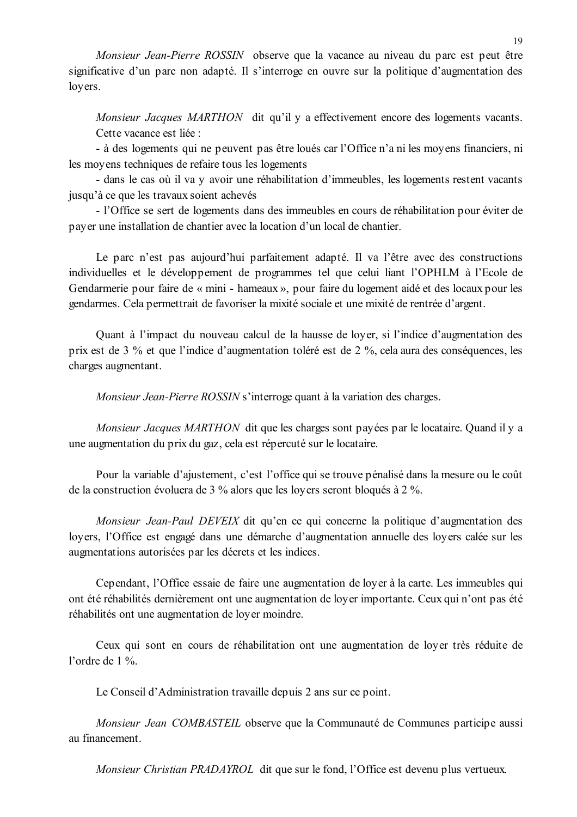Monsieur Jean-Pierre ROSSIN observe que la vacance au niveau du parc est peut être significative d'un parc non adapté. Il s'interroge en ouvre sur la politique d'augmentation des loyers.

Monsieur Jacques MARTHON dit qu'il y a effectivement encore des logements vacants. Cette vacance est liée :

- à des logements qui ne peuvent pas être loués car l'Office n'a ni les moyens financiers, ni les moyens techniques de refaire tous les logements

- dans le cas où il va y avoir une réhabilitation d'immeubles, les logements restent vacants jusqu'à ce que les travaux soient achevés

- l'Office se sert de logements dans des immeubles en cours de réhabilitation pour éviter de payer une installation de chantier avec la location d'un local de chantier.

Le parc n'est pas aujourd'hui parfaitement adapté. Il va l'être avec des constructions individuelles et le développement de programmes tel que celui liant l'OPHLM à l'Ecole de Gendarmerie pour faire de « mini - hameaux », pour faire du logement aidé et des locaux pour les gendarmes. Cela permettrait de favoriser la mixité sociale et une mixité de rentrée d'argent.

Ouant à l'impact du nouveau calcul de la hausse de lover, si l'indice d'augmentation des prix est de 3 % et que l'indice d'augmentation toléré est de 2 %, cela aura des conséquences, les charges augmentant.

Monsieur Jean-Pierre ROSSIN s'interroge quant à la variation des charges.

Monsieur Jacques MARTHON dit que les charges sont payées par le locataire. Quand il y a une augmentation du prix du gaz, cela est répercuté sur le locataire.

Pour la variable d'ajustement, c'est l'office qui se trouve pénalisé dans la mesure ou le coût de la construction évoluera de 3 % alors que les loyers seront bloqués à 2 %.

*Monsieur Jean-Paul DEVEIX* dit qu'en ce qui concerne la politique d'augmentation des loyers, l'Office est engagé dans une démarche d'augmentation annuelle des loyers calée sur les augmentations autorisées par les décrets et les indices.

Cependant, l'Office essaie de faire une augmentation de loyer à la carte. Les immeubles qui ont été réhabilités dernièrement ont une augmentation de loyer importante. Ceux qui n'ont pas été réhabilités ont une augmentation de loyer moindre.

Ceux qui sont en cours de réhabilitation ont une augmentation de loyer très réduite de l'ordre de  $1\%$ .

Le Conseil d'Administration travaille depuis 2 ans sur ce point.

Monsieur Jean COMBASTEIL observe que la Communauté de Communes participe aussi au financement

*Monsieur Christian PRADAYROL* dit que sur le fond, l'Office est devenu plus vertueux.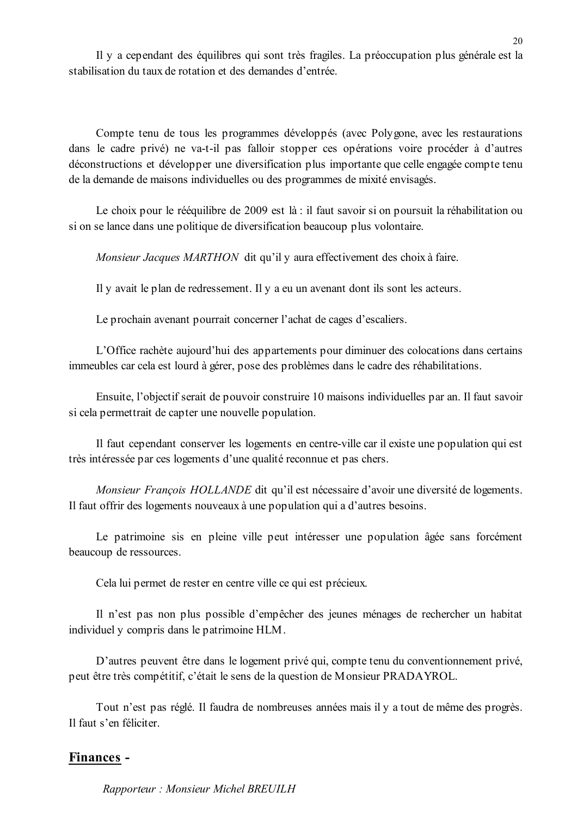Il y a cependant des équilibres qui sont très fragiles. La préoccupation plus générale est la stabilisation du taux de rotation et des demandes d'entrée

Compte tenu de tous les programmes développés (avec Polygone, avec les restaurations dans le cadre privé) ne va-t-il pas falloir stopper ces opérations voire procéder à d'autres déconstructions et développer une diversification plus importante que celle engagée compte tenu de la demande de maisons individuelles ou des programmes de mixité envisagés.

Le choix pour le rééquilibre de 2009 est là : il faut savoir si on poursuit la réhabilitation ou si on se lance dans une politique de diversification beaucoup plus volontaire.

Monsieur Jacques MARTHON dit qu'il y aura effectivement des choix à faire.

Il y avait le plan de redressement. Il y a eu un avenant dont ils sont les acteurs.

Le prochain avenant pourrait concerner l'achat de cages d'escaliers.

L'Office rachète aujourd'hui des appartements pour diminuer des colocations dans certains immeubles car cela est lourd à gérer, pose des problèmes dans le cadre des réhabilitations.

Ensuite, l'objectif serait de pouvoir construire 10 maisons individuelles par an. Il faut savoir si cela permettrait de capter une nouvelle population.

Il faut cependant conserver les logements en centre-ville car il existe une population qui est très intéressée par ces logements d'une qualité reconnue et pas chers.

Monsieur François HOLLANDE dit qu'il est nécessaire d'avoir une diversité de logements. Il faut offrir des logements nouveaux à une population qui a d'autres besoins.

Le patrimoine sis en pleine ville peut intéresser une population âgée sans forcément beaucoup de ressources.

Cela lui permet de rester en centre ville ce qui est précieux.

Il n'est pas non plus possible d'empêcher des jeunes ménages de rechercher un habitat individuel y compris dans le patrimoine HLM.

D'autres peuvent être dans le logement privé qui, compte tenu du conventionnement privé, peut être très compétitif, c'était le sens de la question de Monsieur PRADAYROL.

Tout n'est pas réglé. Il faudra de nombreuses années mais il y a tout de même des progrès. Il faut s'en féliciter.

### Finances -

Rapporteur: Monsieur Michel BREUILH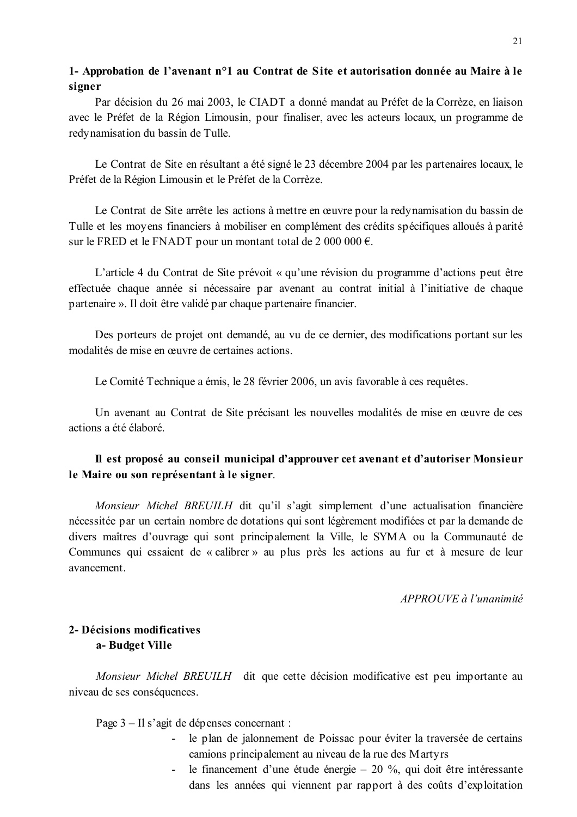# 1- Approbation de l'avenant n°1 au Contrat de Site et autorisation donnée au Maire à le signer

Par décision du 26 mai 2003, le CIADT a donné mandat au Préfet de la Corrèze, en liaison avec le Préfet de la Région Limousin, pour finaliser, avec les acteurs locaux, un programme de redynamisation du bassin de Tulle.

Le Contrat de Site en résultant a été signé le 23 décembre 2004 par les partenaires locaux, le Préfet de la Région Limousin et le Préfet de la Corrèze.

Le Contrat de Site arrête les actions à mettre en œuvre pour la redynamisation du bassin de Tulle et les moyens financiers à mobiliser en complément des crédits spécifiques alloués à parité sur le FRED et le FNADT pour un montant total de 2 000 000  $\epsilon$ .

L'article 4 du Contrat de Site prévoit « qu'une révision du programme d'actions peut être effectuée chaque année si nécessaire par avenant au contrat initial à l'initiative de chaque partenaire ». Il doit être validé par chaque partenaire financier.

Des porteurs de projet ont demandé, au vu de ce dernier, des modifications portant sur les modalités de mise en œuvre de certaines actions.

Le Comité Technique a émis, le 28 février 2006, un avis favorable à ces requêtes.

Un avenant au Contrat de Site précisant les nouvelles modalités de mise en œuvre de ces actions a été élaboré.

# Il est proposé au conseil municipal d'approuver cet avenant et d'autoriser Monsieur le Maire ou son représentant à le signer.

Monsieur Michel BREUILH dit qu'il s'agit simplement d'une actualisation financière nécessitée par un certain nombre de dotations qui sont légèrement modifiées et par la demande de divers maîtres d'ouvrage qui sont principalement la Ville, le SYMA ou la Communauté de Communes qui essaient de « calibrer » au plus près les actions au fur et à mesure de leur avancement.

APPROUVE à l'unanimité

# 2- Décisions modificatives a-Budget Ville

Monsieur Michel BREUILH dit que cette décision modificative est peu importante au niveau de ses conséquences.

Page 3 – Il s'agit de dépenses concernant :

- le plan de jalonnement de Poissac pour éviter la traversée de certains camions principalement au niveau de la rue des Martyrs
- le financement d'une étude énergie  $-20\%$ , qui doit être intéressante dans les années qui viennent par rapport à des coûts d'exploitation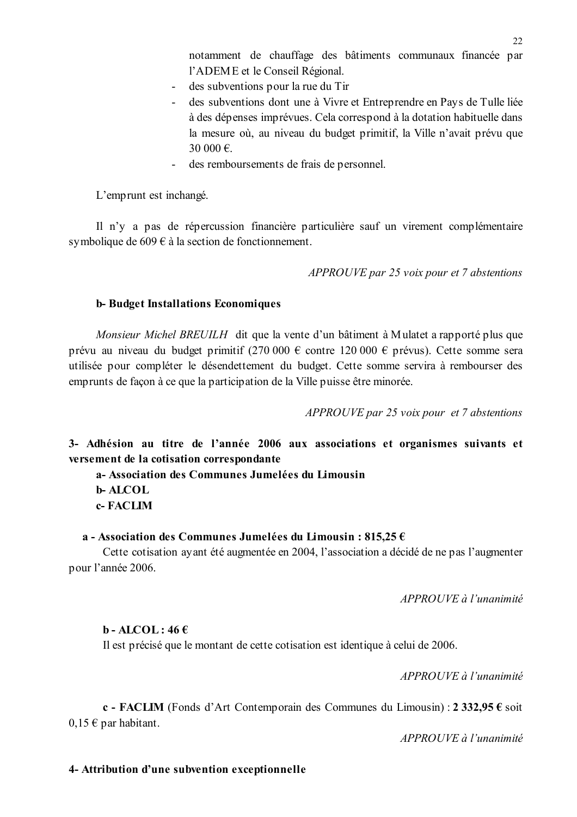notamment de chauffage des bâtiments communaux financée par l'ADEME et le Conseil Régional.

- des subventions pour la rue du Tir
- des subventions dont une à Vivre et Entreprendre en Pays de Tulle liée à des dépenses imprévues. Cela correspond à la dotation habituelle dans la mesure où, au niveau du budget primitif, la Ville n'avait prévu que 30 000  $\epsilon$
- des remboursements de frais de personnel.  $\sim 10^{-1}$

L'emprunt est inchangé.

Il n'y a pas de répercussion financière particulière sauf un virement complémentaire symbolique de  $609 \in \hat{a}$  la section de fonctionnement.

APPROUVE par 25 voix pour et 7 abstentions

#### **b-Budget Installations Economiques**

*Monsieur Michel BREUILH* dit que la vente d'un bâtiment à Mulatet a rapporté plus que prévu au niveau du budget primitif (270 000 € contre 120 000 € prévus). Cette somme sera utilisée pour compléter le désendettement du budget. Cette somme servira à rembourser des emprunts de façon à ce que la participation de la Ville puisse être minorée.

APPROUVE par 25 voix pour et 7 abstentions

3- Adhésion au titre de l'année 2006 aux associations et organismes suivants et versement de la cotisation correspondante

a- Association des Communes Jumelées du Limousin **b-ALCOL** c-FACLIM

#### a - Association des Communes Jumelées du Limousin : 815.25  $\epsilon$

Cette cotisation ayant été augmentée en 2004, l'association a décidé de ne pas l'augmenter pour l'année 2006.

APPROUVE à l'unanimité

#### $\mathbf{b}$  - ALCOL: 46 $\boldsymbol{\epsilon}$

Il est précisé que le montant de cette cotisation est identique à celui de 2006.

 $APPROIIVE \d{d} l'unanimit \d{e}$ 

c - FACLIM (Fonds d'Art Contemporain des Communes du Limousin) :  $2\,332.95 \cdot \text{c}$  soit  $0,15 \in$  par habitant.

 $APPROUVE \d{d} l'unanimit \d{e}$ 

#### 4- Attribution d'une subvention exceptionnelle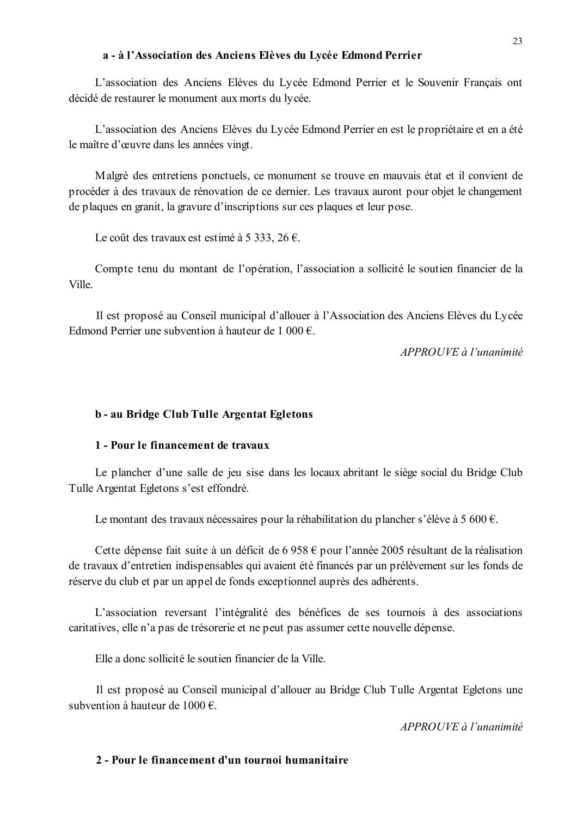#### a - à l'Association des Anciens Elèves du Lycée Edmond Perrier

L'association des Anciens Elèves du Lycée Edmond Perrier et le Souvenir Français ont décidé de restaurer le monument aux morts du lycée.

L'association des Anciens Elèves du Lycée Edmond Perrier en est le propriétaire et en a été le maître d'œuvre dans les années vingt.

Malgré des entretiens ponctuels, ce monument se trouve en mauvais état et il convient de procéder à des travaux de rénovation de ce dernier. Les travaux auront pour objet le changement de plaques en granit, la gravure d'inscriptions sur ces plaques et leur pose.

Le coût des travaux est estimé à 5 333, 26 €.

Compte tenu du montant de l'opération, l'association a sollicité le soutien financier de la Ville

Il est proposé au Conseil municipal d'allouer à l'Association des Anciens Elèves du Lycée Edmond Perrier une subvention à hauteur de 1 000  $\epsilon$ 

 $APPROIIVE$  à l'unanimité

### b - au Bridge Club Tulle Argentat Egletons

### 1 - Pour le financement de travaux

Le plancher d'une salle de jeu sise dans les locaux abritant le siège social du Bridge Club Tulle Argentat Egletons s'est effondré.

Le montant des travaux nécessaires pour la réhabilitation du plancher s'élève à 5 600 €.

Cette dépense fait suite à un déficit de 6 958  $\epsilon$  pour l'année 2005 résultant de la réalisation de travaux d'entretien indispensables qui avaient été financés par un prélèvement sur les fonds de réserve du club et par un appel de fonds exceptionnel auprès des adhérents.

L'association reversant l'intégralité des bénéfices de ses tournois à des associations caritatives, elle n'a pas de trésorerie et ne peut pas assumer cette nouvelle dépense.

Elle a donc sollicité le soutien financier de la Ville.

Il est proposé au Conseil municipal d'allouer au Bridge Club Tulle Argentat Egletons une subvention à hauteur de 1000  $\epsilon$ .

APPROUVE à l'unanimité

### 2 - Pour le financement d'un tournoi humanitaire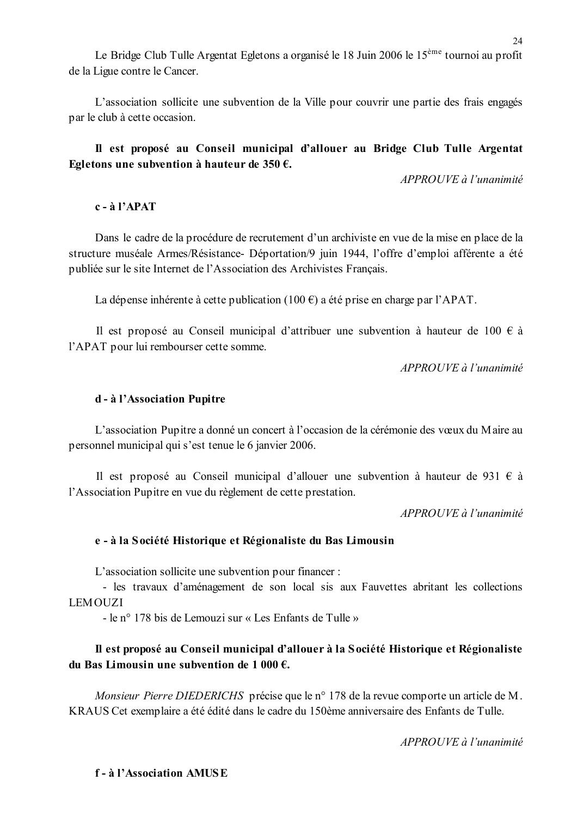Le Bridge Club Tulle Argentat Egletons a organisé le 18 Juin 2006 le 15<sup>ème</sup> tournoi au profit de la Ligue contre le Cancer.

L'association sollicite une subvention de la Ville pour couvrir une partie des frais engagés par le club à cette occasion.

# Il est proposé au Conseil municipal d'allouer au Bridge Club Tulle Argentat Egletons une subvention à hauteur de 350  $\epsilon$ .

APPROUVE à l'unanimité

## $c - \grave{a}$  l'APAT

Dans le cadre de la procédure de recrutement d'un archiviste en vue de la mise en place de la structure muséale Armes/Résistance- Déportation/9 juin 1944, l'offre d'emploi afférente a été publiée sur le site Internet de l'Association des Archivistes Français.

La dépense inhérente à cette publication (100  $\epsilon$ ) a été prise en charge par l'APAT.

Il est proposé au Conseil municipal d'attribuer une subvention à hauteur de 100 € à l'APAT pour lui rembourser cette somme.

 $APPROUVE \d{d} l'unanimit\acute{e}$ 

### d - à l'Association Pupitre

L'association Pupitre a donné un concert à l'occasion de la cérémonie des vœux du Maire au personnel municipal qui s'est tenue le 6 janvier 2006.

Il est proposé au Conseil municipal d'allouer une subvention à hauteur de 931  $\epsilon$  à l'Association Pupitre en vue du règlement de cette prestation.

APPROUVE à l'unanimité

# e - à la Société Historique et Régionaliste du Bas Limousin

L'association sollicite une subvention pour financer :

- les travaux d'aménagement de son local sis aux Fauvettes abritant les collections **LEMOUZI** 

- le n° 178 bis de Lemouzi sur « Les Enfants de Tulle »

# Il est proposé au Conseil municipal d'allouer à la Société Historique et Régionaliste du Bas Limousin une subvention de 1 000  $\epsilon$ .

Monsieur Pierre DIEDERICHS précise que le n° 178 de la revue comporte un article de M. KRAUS Cet exemplaire a été édité dans le cadre du 150ème anniversaire des Enfants de Tulle.

APPROUVE à l'unanimité

# f-à l'Association AMIISE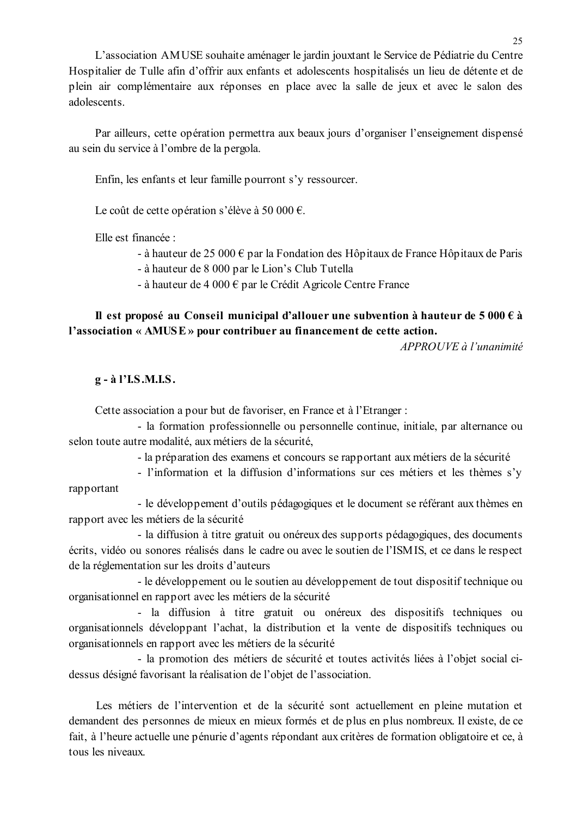L'association AMUSE souhaite aménager le jardin jouxtant le Service de Pédiatrie du Centre Hospitalier de Tulle afin d'offrir aux enfants et adolescents hospitalisés un lieu de détente et de plein air complémentaire aux réponses en place avec la salle de jeux et avec le salon des adolescents.

Par ailleurs, cette opération permettra aux beaux jours d'organiser l'enseignement dispensé au sein du service à l'ombre de la pergola.

Enfin, les enfants et leur famille pourront s'y ressourcer.

Le coût de cette opération s'élève à 50 000 €.

Elle est financée :

- à hauteur de 25 000  $\epsilon$  par la Fondation des Hôpitaux de France Hôpitaux de Paris

- à hauteur de 8 000 par le Lion's Club Tutella

- à hauteur de 4 000  $\epsilon$  par le Crédit Agricole Centre France

# Il est proposé au Conseil municipal d'allouer une subvention à hauteur de 5 000  $\epsilon$  à l'association « AMUSE » pour contribuer au financement de cette action.

APPROUVE à l'unanimité

### g - à l'I.S.M.I.S.

Cette association a pour but de favoriser, en France et à l'Etranger :

- la formation professionnelle ou personnelle continue, initiale, par alternance ou selon toute autre modalité, aux métiers de la sécurité,

- la préparation des examens et concours se rapportant aux métiers de la sécurité

- l'information et la diffusion d'informations sur ces métiers et les thèmes s'v rapportant

- le développement d'outils pédagogiques et le document se référant aux thèmes en rapport avec les métiers de la sécurité

- la diffusion à titre gratuit ou onéreux des supports pédagogiques, des documents écrits, vidéo ou sonores réalisés dans le cadre ou avec le soutien de l'ISMIS, et ce dans le respect de la réglementation sur les droits d'auteurs

- le développement ou le soutien au développement de tout dispositif technique ou organisationnel en rapport avec les métiers de la sécurité

- la diffusion à titre gratuit ou onéreux des dispositifs techniques ou organisationnels développant l'achat, la distribution et la vente de dispositifs techniques ou organisationnels en rapport avec les métiers de la sécurité

- la promotion des métiers de sécurité et toutes activités liées à l'objet social cidessus désigné favorisant la réalisation de l'objet de l'association.

Les métiers de l'intervention et de la sécurité sont actuellement en pleine mutation et demandent des personnes de mieux en mieux formés et de plus en plus nombreux. Il existe, de ce fait, à l'heure actuelle une pénurie d'agents répondant aux critères de formation obligatoire et ce, à tous les niveaux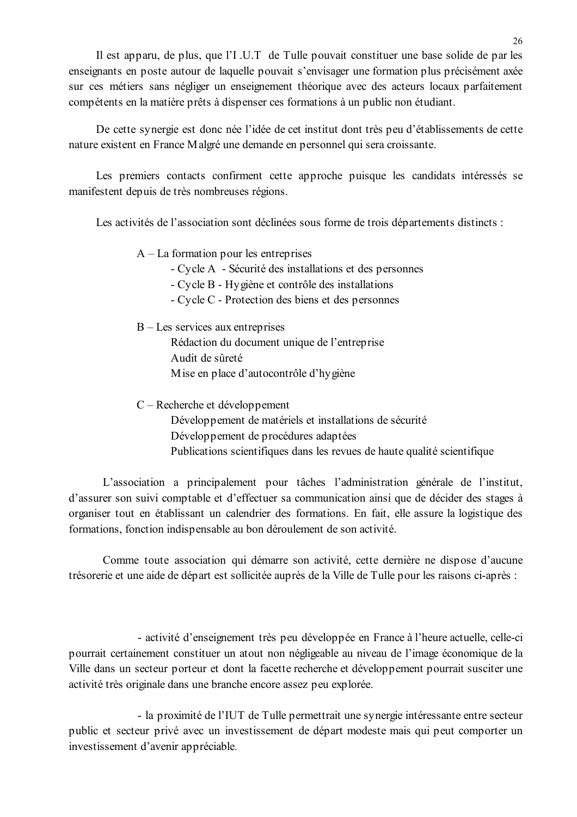Il est apparu, de plus, que l'I U.T de Tulle pouvait constituer une base solide de par les enseignants en poste autour de laquelle pouvait s'envisager une formation plus précisément axée sur ces métiers sans négliger un enseignement théorique avec des acteurs locaux parfaitement compétents en la matière prêts à dispenser ces formations à un public non étudiant.

De cette synergie est donc née l'idée de cet institut dont très peu d'établissements de cette nature existent en France Malgré une demande en personnel qui sera croissante.

Les premiers contacts confirment cette approche puisque les candidats intéressés se manifestent depuis de très nombreuses régions.

Les activités de l'association sont déclinées sous forme de trois départements distincts :

 $A - La$  formation pour les entreprises

- Cycle A Sécurité des installations et des personnes
- Cycle B Hygiène et contrôle des installations
- Cycle C Protection des biens et des personnes

 $B -$ Les services aux entreprises

Rédaction du document unique de l'entreprise Audit de sûreté M ise en place d'autocontrôle d'hygiène

 $C - Recherche et développement$ 

Développement de matériels et installations de sécurité Développement de procédures adaptées Publications scientifiques dans les revues de haute qualité scientifique

L'association a principalement pour tâches l'administration générale de l'institut, d'assurer son suivi comptable et d'effectuer sa communication ainsi que de décider des stages à organiser tout en établissant un calendrier des formations. En fait, elle assure la logistique des formations, fonction indispensable au bon déroulement de son activité.

Comme toute association qui démarre son activité, cette dernière ne dispose d'aucune trésorerie et une aide de départ est sollicitée auprès de la Ville de Tulle pour les raisons ci-après :

- activité d'enseignement très peu développée en France à l'heure actuelle, celle-ci pourrait certainement constituer un atout non négligeable au niveau de l'image économique de la Ville dans un secteur porteur et dont la facette recherche et développement pourrait susciter une activité très originale dans une branche encore assez peu explorée.

- la proximité de l'IUT de Tulle permettrait une synergie intéressante entre secteur public et secteur privé avec un investissement de départ modeste mais qui peut comporter un investissement d'avenir appréciable.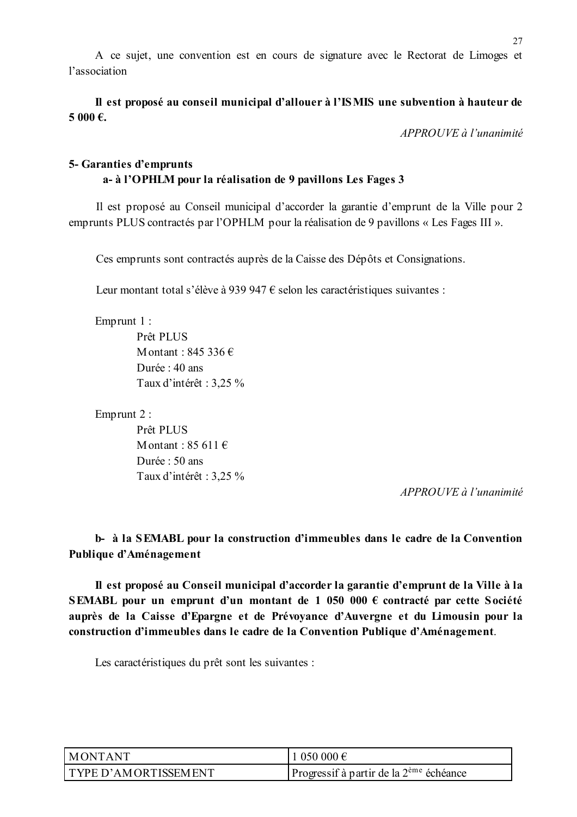A ce sujet, une convention est en cours de signature avec le Rectorat de Limoges et l'association

Il est proposé au conseil municipal d'allouer à l'ISMIS une subvention à hauteur de 5 000 €.

APPROUVE à l'unanimité

# 5- Garanties d'emprunts a-à l'OPHLM pour la réalisation de 9 pavillons Les Fages 3

Il est proposé au Conseil municipal d'accorder la garantie d'emprunt de la Ville pour 2 emprunts PLUS contractés par l'OPHLM pour la réalisation de 9 pavillons « Les Fages III ».

Ces emprunts sont contractés auprès de la Caisse des Dépôts et Consignations.

Leur montant total s'élève à 939 947  $\epsilon$  selon les caractéristiques suivantes :

Emprunt  $1$  :

Prêt PLUS Montant  $\cdot$  845 336  $\in$ Durée : 40 ans Taux d'intérêt : 3,25 %

Emprunt 2:

Prêt PLUS Montant:  $85611 \in$ Durée : 50 ans Taux d'intérêt : 3,25 %

APPROUVE à l'unanimité

# b- à la SEMABL pour la construction d'immeubles dans le cadre de la Convention Publique d'Aménagement

Il est proposé au Conseil municipal d'accorder la garantie d'emprunt de la Ville à la SEMABL pour un emprunt d'un montant de 1 050 000  $\epsilon$  contracté par cette Société auprès de la Caisse d'Epargne et de Prévoyance d'Auvergne et du Limousin pour la construction d'immeubles dans le cadre de la Convention Publique d'Aménagement.

Les caractéristiques du prêt sont les suivantes :

| MONTANT                     | 1 050 000 €                                         |
|-----------------------------|-----------------------------------------------------|
| <b>TYPE D'AMORTISSEMENT</b> | Progressif à partir de la $2^{\text{eme}}$ échéance |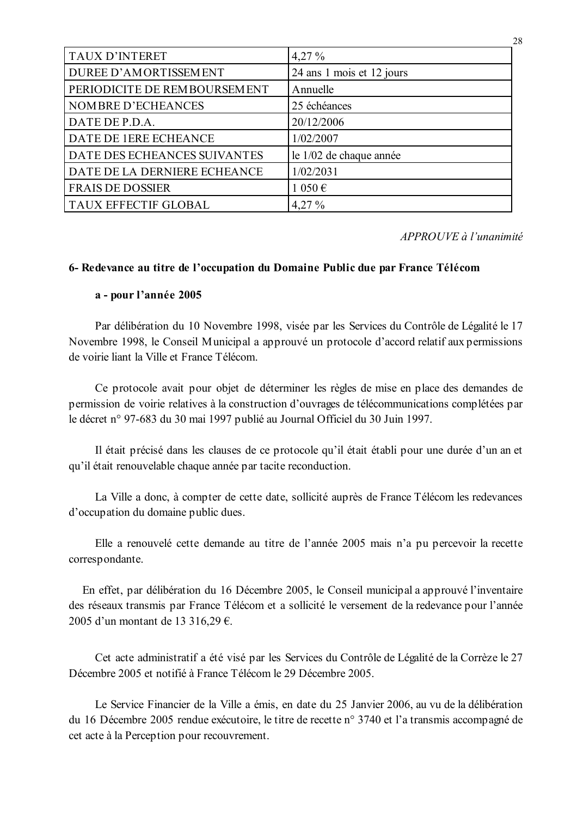| <b>TAUX D'INTERET</b>        | $4,27\%$                  |
|------------------------------|---------------------------|
| DUREE D'AMORTISSEMENT        | 24 ans 1 mois et 12 jours |
| PERIODICITE DE REMBOURSEMENT | Annuelle                  |
| NOMBRE D'ECHEANCES           | 25 échéances              |
| DATE DE P.D.A.               | 20/12/2006                |
| DATE DE 1ERE ECHEANCE        | 1/02/2007                 |
| DATE DES ECHEANCES SUIVANTES | le 1/02 de chaque année   |
| DATE DE LA DERNIERE ECHEANCE | 1/02/2031                 |
| <b>FRAIS DE DOSSIER</b>      | 1 050€                    |
| <b>TAUX EFFECTIF GLOBAL</b>  | $4,27\%$                  |

APPROUVE à l'unanimité

28

### 6- Redevance au titre de l'occupation du Domaine Public due par France Télécom

### a - pour l'année 2005

Par délibération du 10 Novembre 1998, visée par les Services du Contrôle de Légalité le 17 Novembre 1998, le Conseil Municipal a approuvé un protocole d'accord relatif aux permissions de voirie liant la Ville et France Télécom

Ce protocole avait pour objet de déterminer les règles de mise en place des demandes de permission de voirie relatives à la construction d'ouvrages de télécommunications complétées par le décret n° 97-683 du 30 mai 1997 publié au Journal Officiel du 30 Juin 1997.

Il était précisé dans les clauses de ce protocole qu'il était établi pour une durée d'un an et qu'il était renouvelable chaque année par tacite reconduction.

La Ville a donc, à compter de cette date, sollicité auprès de France Télécom les redevances d'occupation du domaine public dues.

Elle a renouvelé cette demande au titre de l'année 2005 mais n'a pu percevoir la recette correspondante.

En effet, par délibération du 16 Décembre 2005, le Conseil municipal a approuvé l'inventaire des réseaux transmis par France Télécom et a sollicité le versement de la redevance pour l'année 2005 d'un montant de 13 316,29 €.

Cet acte administratif a été visé par les Services du Contrôle de Légalité de la Corrèze le 27 Décembre 2005 et notifié à France Télécom le 29 Décembre 2005.

Le Service Financier de la Ville a émis, en date du 25 Janvier 2006, au vu de la délibération du 16 Décembre 2005 rendue exécutoire, le titre de recette n° 3740 et l'a transmis accompagné de cet acte à la Perception pour recouvrement.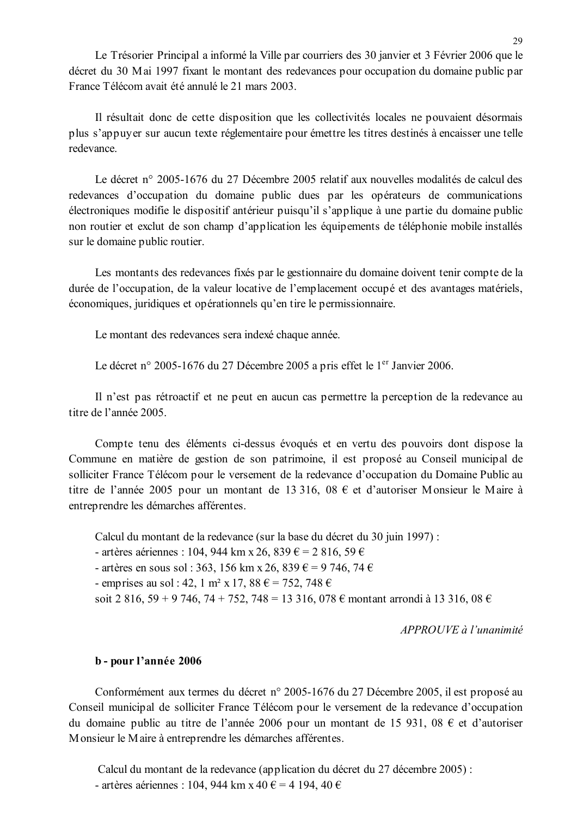Le Trésorier Principal a informé la Ville par courriers des 30 janvier et 3 Février 2006 que le décret du 30 Mai 1997 fixant le montant des redevances pour occupation du domaine public par France Télécom avait été annulé le 21 mars 2003.

Il résultait donc de cette disposition que les collectivités locales ne pouvaient désormais plus s'appuyer sur aucun texte réglementaire pour émettre les titres destinés à encaisser une telle redevance

Le décret n° 2005-1676 du 27 Décembre 2005 relatif aux nouvelles modalités de calcul des redevances d'occupation du domaine public dues par les opérateurs de communications électroniques modifie le dispositif antérieur puisqu'il s'applique à une partie du domaine public non routier et exclut de son champ d'application les équipements de téléphonie mobile installés sur le domaine public routier.

Les montants des redevances fixés par le gestionnaire du domaine doivent tenir compte de la durée de l'occupation, de la valeur locative de l'emplacement occupé et des avantages matériels, économiques, juridiques et opérationnels qu'en tire le permissionnaire.

Le montant des redevances sera indexé chaque année.

Le décret n° 2005-1676 du 27 Décembre 2005 a pris effet le 1<sup>er</sup> Janvier 2006.

Il n'est pas rétroactif et ne peut en aucun cas permettre la perception de la redevance au titre de l'année 2005

Compte tenu des éléments ci-dessus évoqués et en vertu des pouvoirs dont dispose la Commune en matière de gestion de son patrimoine, il est proposé au Conseil municipal de solliciter France Télécom pour le versement de la redevance d'occupation du Domaine Public au titre de l'année 2005 pour un montant de 13 316, 08 € et d'autoriser Monsieur le Maire à entreprendre les démarches afférentes.

Calcul du montant de la redevance (sur la base du décret du 30 juin 1997) :

- artères aériennes : 104, 944 km x 26, 839 € = 2 816, 59 €

- artères en sous sol : 363, 156 km x 26, 839  $\epsilon$  = 9 746, 74  $\epsilon$ 

- emprises au sol : 42, 1 m<sup>2</sup> x 17, 88  $\epsilon$  = 752, 748  $\epsilon$ 

soit 2 816, 59 + 9 746, 74 + 752, 748 = 13 316, 078  $\epsilon$  montant arrondi à 13 316, 08  $\epsilon$ 

APPROUVE à l'unanimité

#### b - pour l'année 2006

Conformément aux termes du décret n° 2005-1676 du 27 Décembre 2005, il est proposé au Conseil municipal de solliciter France Télécom pour le versement de la redevance d'occupation du domaine public au titre de l'année 2006 pour un montant de 15 931, 08  $\epsilon$  et d'autoriser Monsieur le Maire à entreprendre les démarches afférentes.

Calcul du montant de la redevance (application du décret du 27 décembre 2005) : - artères aériennes : 104, 944 km x 40 € = 4 194, 40 €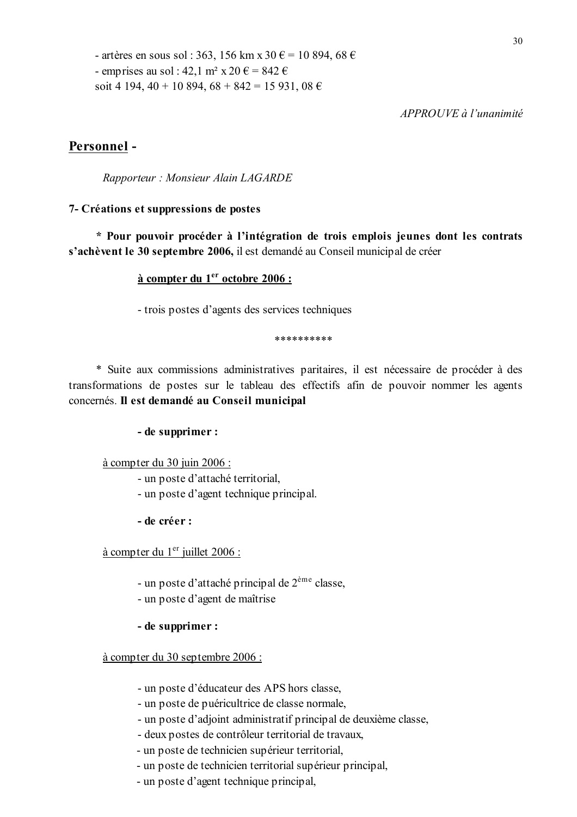- artères en sous sol : 363, 156 km x 30 € = 10 894, 68 € - emprises au sol : 42.1 m<sup>2</sup> x 20  $\epsilon$  = 842  $\epsilon$ soit 4 194, 40 + 10 894, 68 + 842 = 15 931, 08  $\epsilon$ 

 $APPROIIVE$  à l'unanimité

### Personnel-

Rapporteur: Monsieur Alain LAGARDE

#### 7- Créations et suppressions de postes

\* Pour pouvoir procéder à l'intégration de trois emplois jeunes dont les contrats s'achèvent le 30 septembre 2006, il est demandé au Conseil municipal de créer

#### à compter du 1<sup>er</sup> octobre 2006 :

- trois postes d'agents des services techniques

\*\*\*\*\*\*\*\*\*\*

\* Suite aux commissions administratives paritaires, il est nécessaire de procéder à des transformations de postes sur le tableau des effectifs afin de pouvoir nommer les agents concernés. Il est demandé au Conseil municipal

#### - de supprimer :

#### à compter du 30 juin 2006 :

- un poste d'attaché territorial.
- un poste d'agent technique principal.
- de créer :

à compter du 1<sup>er</sup> juillet 2006 :

- un poste d'attaché principal de 2<sup>ème</sup> classe,
- un poste d'agent de maîtrise
- de supprimer :

à compter du 30 septembre 2006 :

- un poste d'éducateur des APS hors classe.
- un poste de puéricultrice de classe normale,
- un poste d'adjoint administratif principal de deuxième classe,
- deux postes de contrôleur territorial de travaux,
- un poste de technicien supérieur territorial,
- un poste de technicien territorial supérieur principal,
- un poste d'agent technique principal.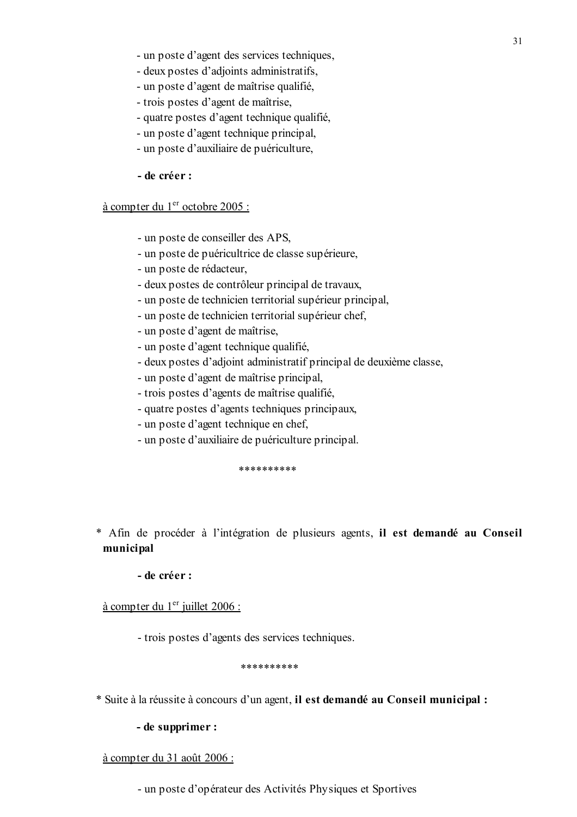- un poste d'agent des services techniques,
- deux postes d'adjoints administratifs,
- un poste d'agent de maîtrise qualifié,
- trois postes d'agent de maîtrise,
- quatre postes d'agent technique qualifié,
- un poste d'agent technique principal,
- un poste d'auxiliaire de puériculture,
- de créer :

#### à compter du 1<sup>er</sup> octobre 2005 :

- un poste de conseiller des APS,
- un poste de puéricultrice de classe supérieure,
- un poste de rédacteur,
- deux postes de contrôleur principal de travaux,
- un poste de technicien territorial supérieur principal,
- un poste de technicien territorial supérieur chef,
- un poste d'agent de maîtrise,
- un poste d'agent technique qualifié,
- deux postes d'adjoint administratif principal de deuxième classe,
- un poste d'agent de maîtrise principal.
- trois postes d'agents de maîtrise qualifié,
- quatre postes d'agents techniques principaux,
- un poste d'agent technique en chef,
- un poste d'auxiliaire de puériculture principal.

\*\*\*\*\*\*\*\*\*\*

\* Afin de procéder à l'intégration de plusieurs agents, il est demandé au Conseil municipal

#### - de créer :

à compter du 1<sup>er</sup> juillet 2006 :

- trois postes d'agents des services techniques.

\*\*\*\*\*\*\*\*\*\*

\* Suite à la réussite à concours d'un agent, il est demandé au Conseil municipal :

#### - de supprimer :

à compter du 31 août 2006 :

- un poste d'opérateur des Activités Physiques et Sportives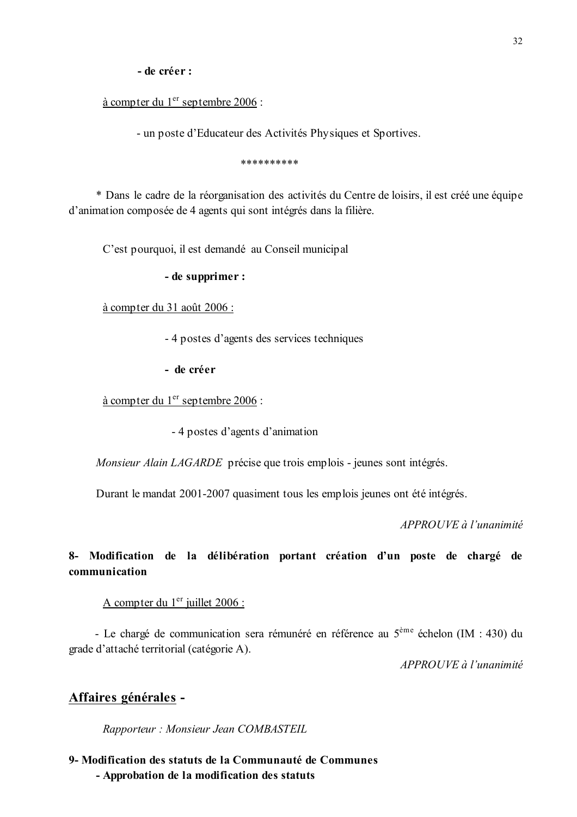- de créer :

à compter du 1 $er$  septembre 2006 :

- un poste d'Educateur des Activités Physiques et Sportives.

\*\*\*\*\*\*\*\*\*\*

\* Dans le cadre de la réorganisation des activités du Centre de loisirs, il est créé une équipe d'animation composée de 4 agents qui sont intégrés dans la filière.

C'est pourquoi, il est demandé au Conseil municipal

- de supprimer :

à compter du 31 août 2006 :

- 4 postes d'agents des services techniques

- de créer

à compter du 1<sup>er</sup> septembre 2006 :

- 4 postes d'agents d'animation

Monsieur Alain LAGARDE précise que trois emplois - jeunes sont intégrés.

Durant le mandat 2001-2007 quasiment tous les emplois jeunes ont été intégrés.

APPROUVE à l'unanimité

# 8- Modification de la délibération portant création d'un poste de chargé de communication

A compter du 1<sup>er</sup> juillet 2006 :

- Le chargé de communication sera rémunéré en référence au 5<sup>ème</sup> échelon (IM : 430) du grade d'attaché territorial (catégorie A).

 $APPROIIVE$  à l'unanimité

### Affaires générales -

Rapporteur : Monsieur Jean COMBASTEIL

9- Modification des statuts de la Communauté de Communes - Approbation de la modification des statuts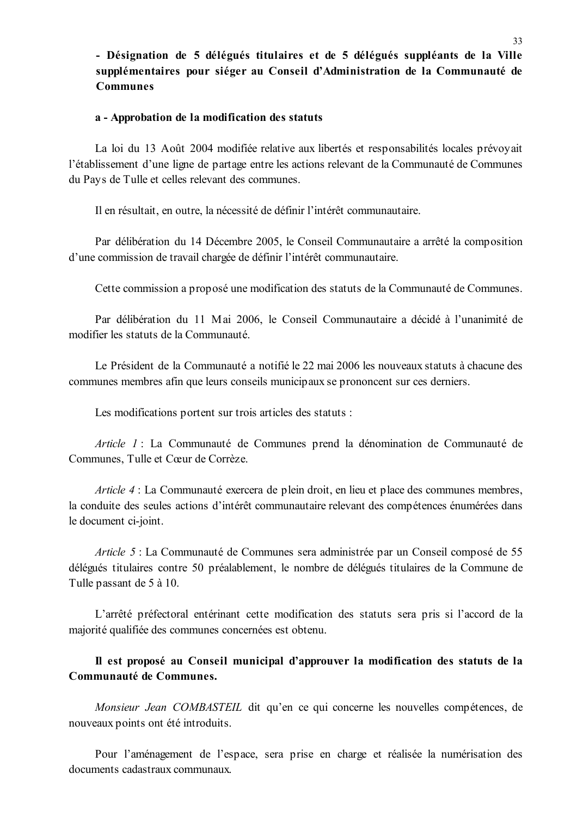# - Désignation de 5 délégués titulaires et de 5 délégués suppléants de la Ville supplémentaires pour siéger au Conseil d'Administration de la Communauté de **Communes**

#### a - Approbation de la modification des statuts

La loi du 13 Août 2004 modifiée relative aux libertés et responsabilités locales prévovait l'établissement d'une ligne de partage entre les actions relevant de la Communauté de Communes du Pays de Tulle et celles relevant des communes.

Il en résultait, en outre, la nécessité de définir l'intérêt communautaire.

Par délibération du 14 Décembre 2005, le Conseil Communautaire a arrêté la composition d'une commission de travail chargée de définir l'intérêt communautaire.

Cette commission a proposé une modification des statuts de la Communauté de Communes.

Par délibération du 11 Mai 2006, le Conseil Communautaire a décidé à l'unanimité de modifier les statuts de la Communauté.

Le Président de la Communauté a notifié le 22 mai 2006 les nouveaux statuts à chacune des communes membres afin que leurs conseils municipaux se prononcent sur ces derniers.

Les modifications portent sur trois articles des statuts :

Article 1 : La Communauté de Communes prend la dénomination de Communauté de Communes, Tulle et Cœur de Corrèze.

Article 4 : La Communauté exercera de plein droit, en lieu et place des communes membres, la conduite des seules actions d'intérêt communautaire relevant des compétences énumérées dans le document ci-joint.

*Article 5* : La Communauté de Communes sera administrée par un Conseil composé de 55 délégués titulaires contre 50 préalablement, le nombre de délégués titulaires de la Commune de Tulle passant de 5 à 10.

L'arrêté préfectoral entérinant cette modification des statuts sera pris si l'accord de la majorité qualifiée des communes concernées est obtenu.

# Il est proposé au Conseil municipal d'approuver la modification des statuts de la Communauté de Communes.

*Monsieur Jean COMBASTEIL* dit qu'en ce qui concerne les nouvelles compétences, de nouveaux points ont été introduits.

Pour l'aménagement de l'espace, sera prise en charge et réalisée la numérisation des documents cadastraux communaux.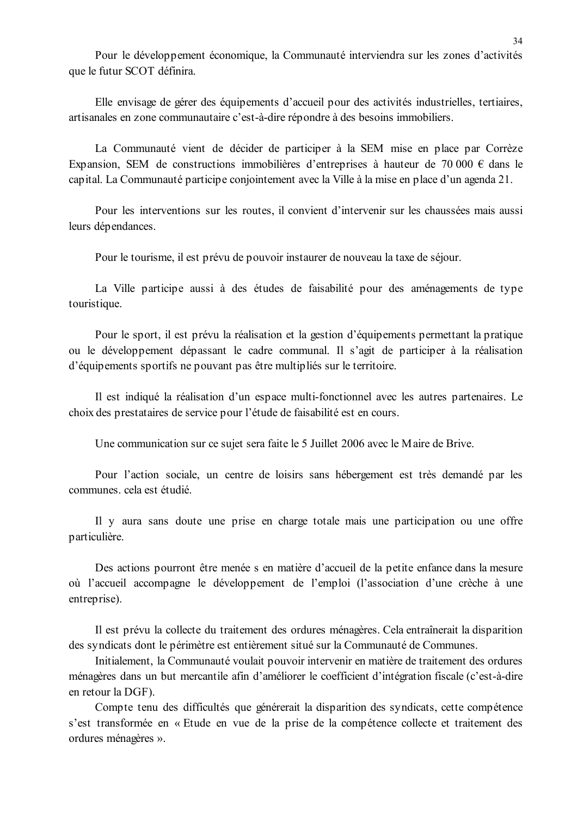Pour le développement économique, la Communauté interviendra sur les zones d'activités que le futur SCOT définira.

Elle envisage de gérer des équipements d'accueil pour des activités industrielles, tertiaires, artisanales en zone communautaire c'est-à-dire répondre à des besoins immobiliers.

La Communauté vient de décider de participer à la SEM mise en place par Corrèze Expansion, SEM de constructions immobilières d'entreprises à hauteur de 70 000 € dans le capital. La Communauté participe conjointement avec la Ville à la mise en place d'un agenda 21.

Pour les interventions sur les routes, il convient d'intervenir sur les chaussées mais aussi leurs dépendances.

Pour le tourisme, il est prévu de pouvoir instaurer de nouveau la taxe de séjour.

La Ville participe aussi à des études de faisabilité pour des aménagements de type touristique.

Pour le sport, il est prévu la réalisation et la gestion d'équipements permettant la pratique ou le développement dépassant le cadre communal. Il s'agit de participer à la réalisation d'équipements sportifs ne pouvant pas être multipliés sur le territoire.

Il est indiqué la réalisation d'un espace multi-fonctionnel avec les autres partenaires. Le choix des prestataires de service pour l'étude de faisabilité est en cours.

Une communication sur ce sujet sera faite le 5 Juillet 2006 avec le Maire de Brive.

Pour l'action sociale, un centre de loisirs sans hébergement est très demandé par les communes, cela est étudié.

Il y aura sans doute une prise en charge totale mais une participation ou une offre particulière.

Des actions pourront être menée s en matière d'accueil de la petite enfance dans la mesure où l'accueil accompagne le développement de l'emploi (l'association d'une crèche à une entreprise).

Il est prévu la collecte du traitement des ordures ménagères. Cela entraînerait la disparition des syndicats dont le périmètre est entièrement situé sur la Communauté de Communes.

Initialement, la Communauté voulait pouvoir intervenir en matière de traitement des ordures ménagères dans un but mercantile afin d'améliorer le coefficient d'intégration fiscale (c'est-à-dire en retour la DGF).

Compte tenu des difficultés que générerait la disparition des syndicats, cette compétence s'est transformée en « Etude en vue de la prise de la compétence collecte et traitement des ordures ménagères ».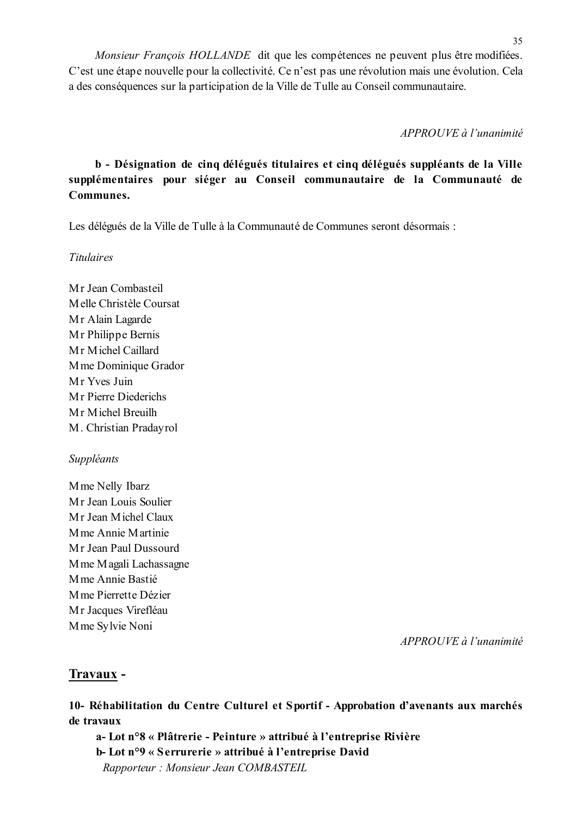Monsieur François HOLLANDE dit que les compétences ne peuvent plus être modifiées. C'est une étape nouvelle pour la collectivité. Ce n'est pas une révolution mais une évolution. Cela a des conséquences sur la participation de la Ville de Tulle au Conseil communautaire.

APPROUVE à l'unanimité

# b - Désignation de cinq délégués titulaires et cinq délégués suppléants de la Ville supplémentaires pour siéger au Conseil communautaire de la Communauté de Communes.

Les délégués de la Ville de Tulle à la Communauté de Communes seront désormais :

**Titulaires** 

Mr Jean Combasteil Melle Christèle Coursat Mr Alain Lagarde Mr Philippe Bernis Mr Michel Caillard M me Dominique Grador Mr Yves Juin Mr Pierre Diederichs Mr Michel Breuilh M. Christian Pradayrol

### Suppléants

Mme Nelly Ibarz Mr Jean Louis Soulier Mr Jean Michel Claux M me Annie Martinie Mr Jean Paul Dussourd M me M agali Lachassagne Mme Annie Bastié M me Pierrette Dézier Mr Jacques Virefléau Mme Sylvie Noni

APPROUVE à l'unanimité

# Travaux -

10- Réhabilitation du Centre Culturel et Sportif - Approbation d'avenants aux marchés de travaux

a-Lot n°8 « Plâtrerie - Peinture » attribué à l'entreprise Rivière b-Lot n°9 « Serrurerie » attribué à l'entreprise David Rapporteur: Monsieur Jean COMBASTEIL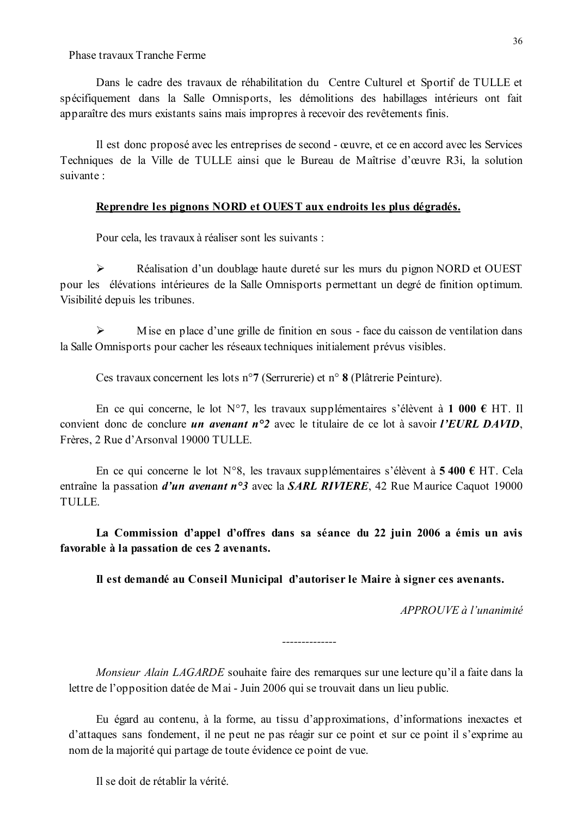Phase travaux Tranche Ferme

Dans le cadre des travaux de réhabilitation du Centre Culturel et Sportif de TULLE et spécifiquement dans la Salle Omnisports, les démolitions des habillages intérieurs ont fait apparaître des murs existants sains mais impropres à recevoir des revêtements finis.

Il est donc proposé avec les entreprises de second - œuvre, et ce en accord avec les Services Techniques de la Ville de TULLE ainsi que le Bureau de Maîtrise d'œuvre R3i, la solution suivante :

#### Reprendre les pignons NORD et OUEST aux endroits les plus dégradés.

Pour cela, les travaux à réaliser sont les suivants :

 $\blacktriangleright$ Réalisation d'un doublage haute dureté sur les murs du pignon NORD et OUEST pour les élévations intérieures de la Salle Omnisports permettant un degré de finition optimum. Visibilité depuis les tribunes.

 $\blacktriangleright$ Mise en place d'une grille de finition en sous - face du caisson de ventilation dans la Salle Omnisports pour cacher les réseaux techniques initialement prévus visibles.

Ces travaux concernent les lots n°7 (Serrurerie) et n° 8 (Plâtrerie Peinture).

En ce qui concerne, le lot N°7, les travaux supplémentaires s'élèvent à 1 000 € HT. Il convient donc de conclure *un avenant*  $n^{\circ}2$  avec le titulaire de ce lot à savoir *l'EURL DAVID*, Frères, 2 Rue d'Arsonval 19000 TULLE.

En ce qui concerne le lot N°8, les travaux supplémentaires s'élèvent à 5 400 € HT. Cela entraîne la passation *d'un avenant*  $n^{\circ}3$  avec la **SARL RIVIERE**, 42 Rue Maurice Caquot 19000 TULLE.

La Commission d'appel d'offres dans sa séance du 22 juin 2006 a émis un avis favorable à la passation de ces 2 avenants.

Il est demandé au Conseil Municipal d'autoriser le Maire à signer ces avenants.

 $APPROUVE \d{d} l'unanimit$ 

Monsieur Alain LAGARDE souhaite faire des remarques sur une lecture qu'il a faite dans la lettre de l'opposition datée de Mai - Juin 2006 qui se trouvait dans un lieu public.

Eu égard au contenu, à la forme, au tissu d'approximations, d'informations inexactes et d'attaques sans fondement, il ne peut ne pas réagir sur ce point et sur ce point il s'exprime au nom de la majorité qui partage de toute évidence ce point de vue.

Il se doit de rétablir la vérité.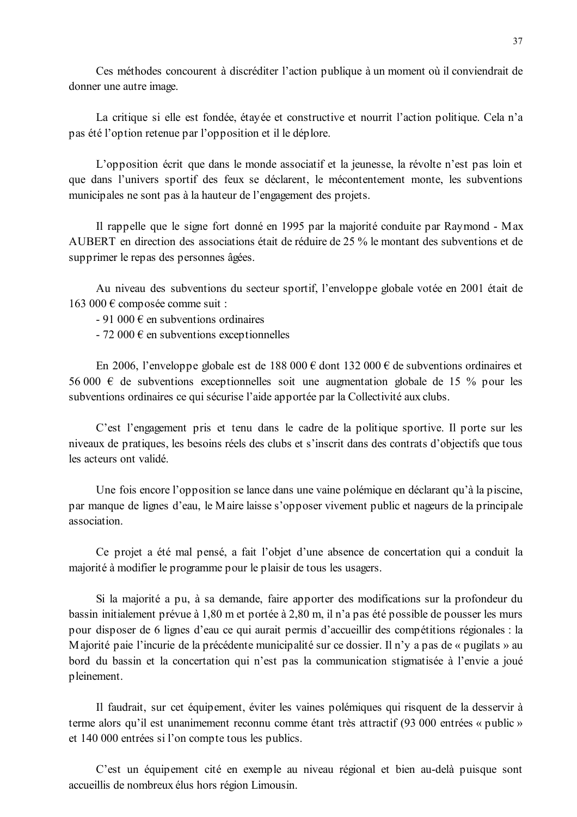Ces méthodes concourent à discréditer l'action publique à un moment où il conviendrait de donner une autre image.

La critique si elle est fondée, étayée et constructive et nourrit l'action politique. Cela n'a pas été l'option retenue par l'opposition et il le déplore.

L'opposition écrit que dans le monde associatif et la jeunesse, la révolte n'est pas loin et que dans l'univers sportif des feux se déclarent, le mécontentement monte, les subventions municipales ne sont pas à la hauteur de l'engagement des projets.

Il rappelle que le signe fort donné en 1995 par la majorité conduite par Raymond - Max AUBERT en direction des associations était de réduire de 25 % le montant des subventions et de supprimer le repas des personnes âgées.

Au niveau des subventions du secteur sportif, l'enveloppe globale votée en 2001 était de 163 000 € composée comme suit :

 $-91000 \in$  en subventions ordinaires

 $-72000 \in$  en subventions exceptionnelles

En 2006, l'enveloppe globale est de 188 000 € dont 132 000 € de subventions ordinaires et 56 000  $\epsilon$  de subventions exceptionnelles soit une augmentation globale de 15 % pour les subventions ordinaires ce qui sécurise l'aide apportée par la Collectivité aux clubs.

C'est l'engagement pris et tenu dans le cadre de la politique sportive. Il porte sur les niveaux de pratiques, les besoins réels des clubs et s'inscrit dans des contrats d'objectifs que tous les acteurs ont validé.

Une fois encore l'opposition se lance dans une vaine polémique en déclarant qu'à la piscine, par manque de lignes d'eau, le Maire laisse s'opposer vivement public et nageurs de la principale association.

Ce projet a été mal pensé, a fait l'objet d'une absence de concertation qui a conduit la majorité à modifier le programme pour le plaisir de tous les usagers.

Si la majorité a pu, à sa demande, faire apporter des modifications sur la profondeur du bassin initialement prévue à 1,80 m et portée à 2,80 m, il n'a pas été possible de pousser les murs pour disposer de 6 lignes d'eau ce qui aurait permis d'accueillir des compétitions régionales : la Majorité paie l'incurie de la précédente municipalité sur ce dossier. Il n'y a pas de « pugilats » au bord du bassin et la concertation qui n'est pas la communication stigmatisée à l'envie a joué pleinement.

Il faudrait, sur cet équipement, éviter les vaines polémiques qui risquent de la desservir à terme alors qu'il est unanimement reconnu comme étant très attractif (93 000 entrées « public » et 140 000 entrées si l'on compte tous les publics.

C'est un équipement cité en exemple au niveau régional et bien au-delà puisque sont accueillis de nombreux élus hors région Limousin.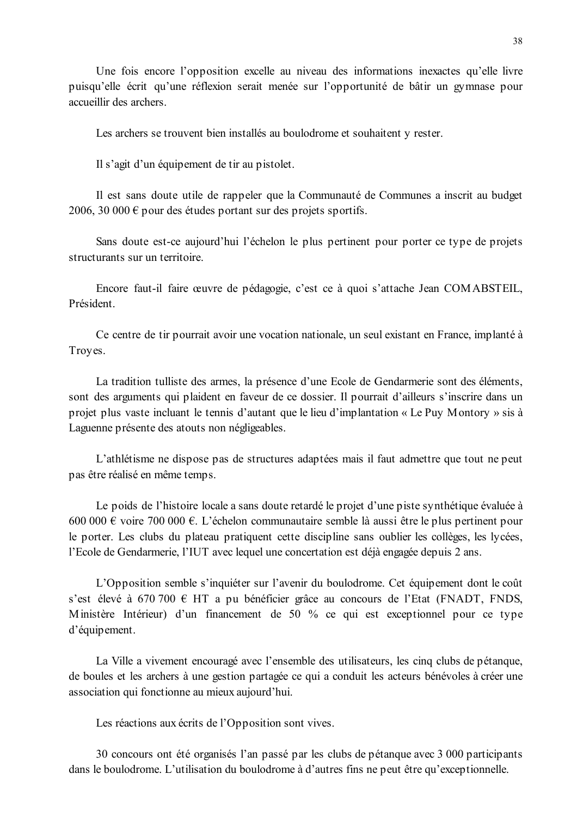Une fois encore l'opposition excelle au niveau des informations inexactes qu'elle livre puisqu'elle écrit qu'une réflexion serait menée sur l'opportunité de bâtir un gymnase pour accueillir des archers.

Les archers se trouvent bien installés au boulodrome et souhaitent y rester.

Il s'agit d'un équipement de tir au pistolet.

Il est sans doute utile de rappeler que la Communauté de Communes a inscrit au budget 2006, 30 000  $\epsilon$  pour des études portant sur des projets sportifs.

Sans doute est-ce aujourd'hui l'échelon le plus pertinent pour porter ce type de projets structurants sur un territoire.

Encore faut-il faire œuvre de pédagogie, c'est ce à quoi s'attache Jean COMABSTEIL, Président

Ce centre de tir pourrait avoir une vocation nationale, un seul existant en France, implanté à Troyes.

La tradition tulliste des armes, la présence d'une Ecole de Gendarmerie sont des éléments, sont des arguments qui plaident en faveur de ce dossier. Il pourrait d'ailleurs s'inscrire dans un projet plus vaste incluant le tennis d'autant que le lieu d'implantation « Le Puy Montory » sis à Laguenne présente des atouts non négligeables.

L'athlétisme ne dispose pas de structures adaptées mais il faut admettre que tout ne peut pas être réalisé en même temps.

Le poids de l'histoire locale a sans doute retardé le projet d'une piste synthétique évaluée à 600 000 € voire 700 000 €. L'échelon communautaire semble là aussi être le plus pertinent pour le porter. Les clubs du plateau pratiquent cette discipline sans oublier les collèges, les lycées, l'Ecole de Gendarmerie, l'IUT avec lequel une concertation est déjà engagée depuis 2 ans.

L'Opposition semble s'inquiéter sur l'avenir du boulodrome. Cet équipement dont le coût s'est élevé à 670 700 € HT a pu bénéficier grâce au concours de l'Etat (FNADT, FNDS, Ministère Intérieur) d'un financement de 50 % ce qui est exceptionnel pour ce type d'équipement.

La Ville a vivement encouragé avec l'ensemble des utilisateurs, les cinq clubs de pétangue, de boules et les archers à une gestion partagée ce qui a conduit les acteurs bénévoles à créer une association qui fonctionne au mieux aujourd'hui.

Les réactions aux écrits de l'Opposition sont vives.

30 concours ont été organisés l'an passé par les clubs de pétanque avec 3 000 participants dans le boulodrome. L'utilisation du boulodrome à d'autres fins ne peut être qu'exceptionnelle.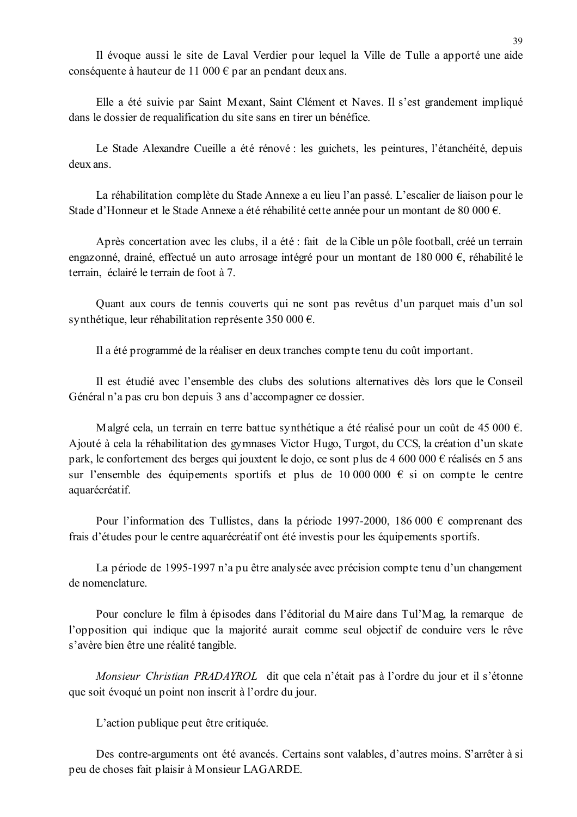Il évoque aussi le site de Laval Verdier pour lequel la Ville de Tulle a apporté une aide conséquente à hauteur de 11 000  $\epsilon$  par an pendant deux ans.

Elle a été suivie par Saint Mexant, Saint Clément et Naves. Il s'est grandement impliqué dans le dossier de requalification du site sans en tirer un bénéfice.

Le Stade Alexandre Cueille a été rénové : les guichets, les peintures, l'étanchéité, depuis deux ans.

La réhabilitation complète du Stade Annexe a eu lieu l'an passé. L'escalier de liaison pour le Stade d'Honneur et le Stade Annexe a été réhabilité cette année pour un montant de 80 000 €.

Après concertation avec les clubs, il a été : fait de la Cible un pôle football, créé un terrain engazonné, drainé, effectué un auto arrosage intégré pour un montant de 180 000 €, réhabilité le terrain, éclairé le terrain de foot à 7.

Quant aux cours de tennis couverts qui ne sont pas revêtus d'un parquet mais d'un sol synthétique, leur réhabilitation représente 350 000 €.

Il a été programmé de la réaliser en deux tranches compte tenu du coût important.

Il est étudié avec l'ensemble des clubs des solutions alternatives dès lors que le Conseil Général n'a pas cru bon depuis 3 ans d'accompagner ce dossier.

Malgré cela, un terrain en terre battue synthétique a été réalisé pour un coût de 45 000  $\epsilon$ . Ajouté à cela la réhabilitation des gymnases Victor Hugo, Turgot, du CCS, la création d'un skate park, le confortement des berges qui jouxtent le dojo, ce sont plus de 4 600 000  $\epsilon$  réalisés en 5 ans sur l'ensemble des équipements sportifs et plus de 10 000 000  $\epsilon$  si on compte le centre aquarécréatif.

Pour l'information des Tullistes, dans la période 1997-2000, 186 000  $\epsilon$  comprenant des frais d'études pour le centre aquarécréatif ont été investis pour les équipements sportifs.

La période de 1995-1997 n'a pu être analysée avec précision compte tenu d'un changement de nomenclature

Pour conclure le film à épisodes dans l'éditorial du Maire dans Tul'Mag, la remarque de l'opposition qui indique que la majorité aurait comme seul objectif de conduire vers le rêve s'avère bien être une réalité tangible.

Monsieur Christian PRADAYROL dit que cela n'était pas à l'ordre du jour et il s'étonne que soit évoqué un point non inscrit à l'ordre du jour.

L'action publique peut être critiquée.

Des contre-arguments ont été avancés. Certains sont valables, d'autres moins. S'arrêter à si peu de choses fait plaisir à Monsieur LAGARDE.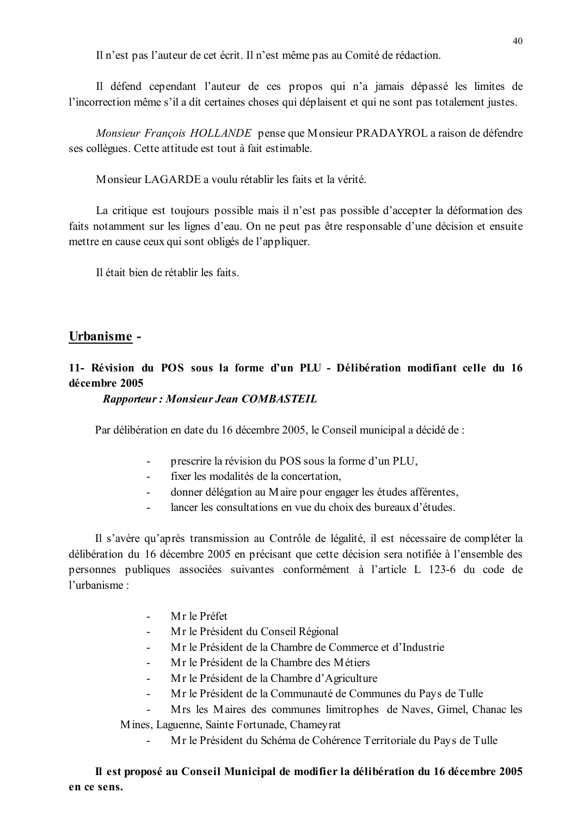Il n'est pas l'auteur de cet écrit. Il n'est même pas au Comité de rédaction.

Il défend cependant l'auteur de ces propos qui n'a jamais dépassé les limites de l'incorrection même s'il a dit certaines choses qui déplaisent et qui ne sont pas totalement justes.

Monsieur Francois HOLLANDE pense que Monsieur PRADAYROL a raison de défendre ses collègues. Cette attitude est tout à fait estimable.

Monsieur LAGARDE a voulu rétablir les faits et la vérité.

La critique est toujours possible mais il n'est pas possible d'accepter la déformation des faits notamment sur les lignes d'eau. On ne peut pas être responsable d'une décision et ensuite mettre en cause ceux qui sont obligés de l'appliquer.

Il était bien de rétablir les faits

# Urbanisme -

# 11- Révision du POS sous la forme d'un PLU - Délibération modifiant celle du 16 décembre 2005

### **Rapporteur: Monsieur Jean COMBASTEIL**

Par délibération en date du 16 décembre 2005, le Conseil municipal a décidé de :

- $\mathbf{L}^{\mathbf{r}}$ prescrire la révision du POS sous la forme d'un PLU,
- $\Delta \phi$ fixer les modalités de la concertation.
- donner délégation au Maire pour engager les études afférentes,  $\sim$
- lancer les consultations en vue du choix des bureaux d'études.  $\sim$

Il s'avère qu'après transmission au Contrôle de légalité, il est nécessaire de compléter la délibération du 16 décembre 2005 en précisant que cette décision sera notifiée à l'ensemble des personnes publiques associées suivantes conformément à l'article L 123-6 du code de l'urbanisme :

- Mr le Préfet  $\mathbb{R}^2$
- Mr le Président du Conseil Régional
- Mr le Président de la Chambre de Commerce et d'Industrie
- Mr le Président de la Chambre des Métiers
- Mr le Président de la Chambre d'Agriculture  $\mathbf{r}$
- Mr le Président de la Communauté de Communes du Pays de Tulle  $\overline{a}$

Mrs les Maires des communes limitrophes de Naves, Gimel, Chanac les Mines, Laguenne, Sainte Fortunade, Chameyrat

Mr le Président du Schéma de Cohérence Territoriale du Pays de Tulle  $\mathbf{r}$ 

Il est proposé au Conseil Municipal de modifier la délibération du 16 décembre 2005 en ce sens.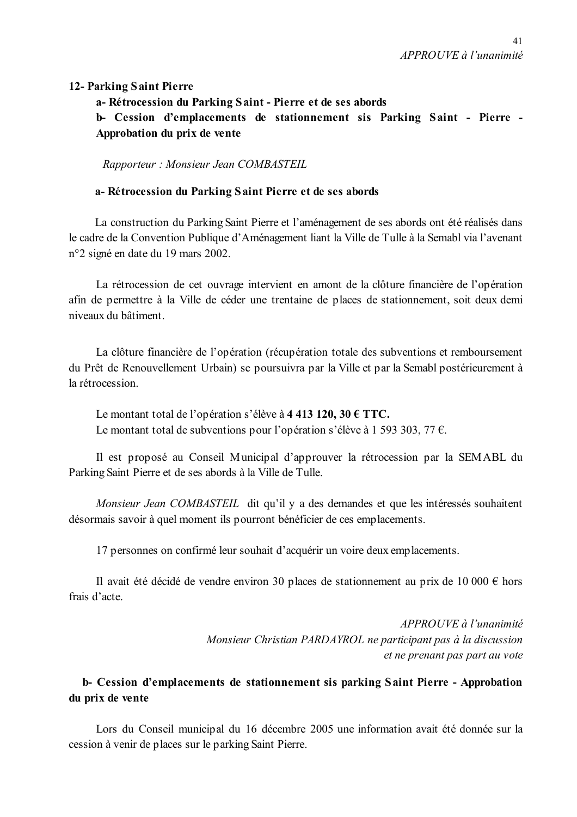### 12- Parking Saint Pierre

a-Rétrocession du Parking Saint - Pierre et de ses abords

b- Cession d'emplacements de stationnement sis Parking Saint - Pierre -Approbation du prix de vente

Rapporteur: Monsieur Jean COMBASTEIL

### a-Rétrocession du Parking Saint Pierre et de ses abords

La construction du Parking Saint Pierre et l'aménagement de ses abords ont été réalisés dans le cadre de la Convention Publique d'Aménagement liant la Ville de Tulle à la Semabl via l'avenant n°2 signé en date du 19 mars 2002.

La rétrocession de cet ouvrage intervient en amont de la clôture financière de l'opération afin de permettre à la Ville de céder une trentaine de places de stationnement, soit deux demi niveaux du bâtiment

La clôture financière de l'opération (récupération totale des subventions et remboursement du Prêt de Renouvellement Urbain) se poursuivra par la Ville et par la Semabl postérieurement à la rétrocession

Le montant total de l'opération s'élève à 4 413 120, 30 € TTC. Le montant total de subventions pour l'opération s'élève à 1 593 303, 77  $\epsilon$ .

Il est proposé au Conseil Municipal d'approuver la rétrocession par la SEMABL du Parking Saint Pierre et de ses abords à la Ville de Tulle.

Monsieur Jean COMBASTEIL dit qu'il y a des demandes et que les intéressés souhaitent désormais savoir à quel moment ils pourront bénéficier de ces emplacements.

17 personnes on confirmé leur souhait d'acquérir un voire deux emplacements.

Il avait été décidé de vendre environ 30 places de stationnement au prix de 10 000 € hors frais d'acte

> APPROUVE à l'unanimité Monsieur Christian PARDAYROL ne participant pas à la discussion et ne prenant pas part au vote

# b- Cession d'emplacements de stationnement sis parking Saint Pierre - Approbation du prix de vente

Lors du Conseil municipal du 16 décembre 2005 une information avait été donnée sur la cession à venir de places sur le parking Saint Pierre.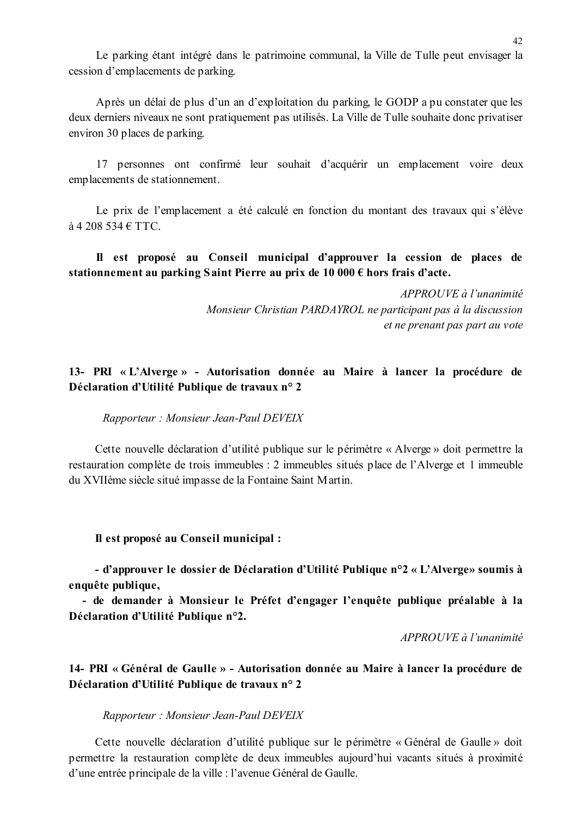Le parking étant intégré dans le patrimoine communal, la Ville de Tulle peut envisager la cession d'emplacements de parking.

Après un délai de plus d'un an d'exploitation du parking, le GODP a pu constater que les deux derniers niveaux ne sont pratiquement pas utilisés. La Ville de Tulle souhaite donc privatiser environ 30 places de parking.

17 personnes ont confirmé leur souhait d'acquérir un emplacement voire deux emplacements de stationnement.

Le prix de l'emplacement a été calculé en fonction du montant des travaux qui s'élève  $\hat{a}$  4 208 534  $\in$  TTC.

Il est proposé au Conseil municipal d'approuver la cession de places de stationnement au parking Saint Pierre au prix de 10 000  $\epsilon$  hors frais d'acte.

> $APPROUVE$ à l'unanimité Monsieur Christian PARDAYROL ne participant pas à la discussion et ne prenant pas part au vote

## 13- PRI « L'Alverge » - Autorisation donnée au Maire à lancer la procédure de Déclaration d'Utilité Publique de travaux n° 2

#### Rapporteur: Monsieur Jean-Paul DEVEIX

Cette nouvelle déclaration d'utilité publique sur le périmètre « Alverge » doit permettre la restauration complète de trois immeubles : 2 immeubles situés place de l'Alverge et 1 immeuble du XVIIème siècle situé impasse de la Fontaine Saint Martin.

#### Il est proposé au Conseil municipal :

- d'approuver le dossier de Déclaration d'Utilité Publique n°2 « L'Alverge» soumis à enquête publique,

- de demander à Monsieur le Préfet d'engager l'enquête publique préalable à la Déclaration d'Utilité Publique n°2.

APPROUVE à l'unanimité

# 14- PRI « Général de Gaulle » - Autorisation donnée au Maire à lancer la procédure de Déclaration d'Utilité Publique de travaux n° 2

#### Rapporteur: Monsieur Jean-Paul DEVEIX

Cette nouvelle déclaration d'utilité publique sur le périmètre « Général de Gaulle » doit permettre la restauration complète de deux immeubles aujourd'hui vacants situés à proximité d'une entrée principale de la ville : l'avenue Général de Gaulle.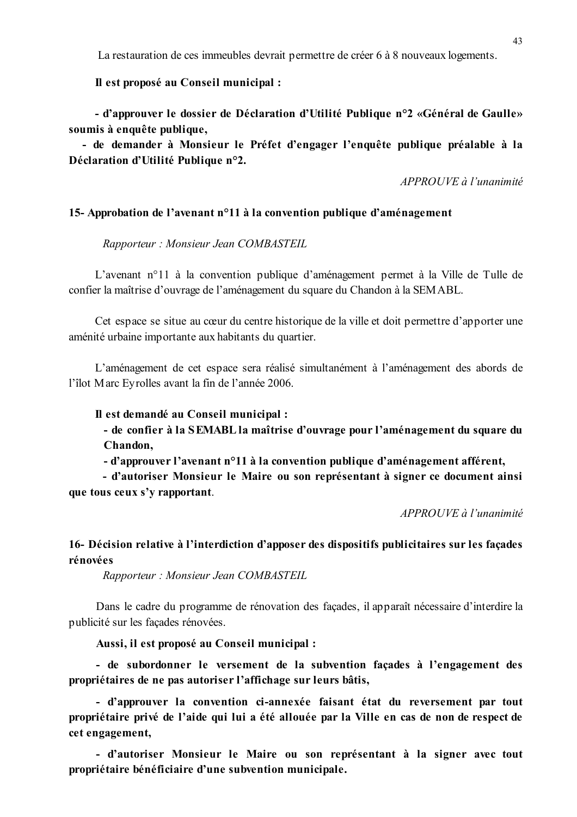La restauration de ces immeubles devrait permettre de créer 6 à 8 nouveaux logements.

Il est proposé au Conseil municipal :

- d'approuver le dossier de Déclaration d'Utilité Publique n°2 «Général de Gaulle» soumis à enquête publique,

- de demander à Monsieur le Préfet d'engager l'enquête publique préalable à la Déclaration d'Utilité Publique n°2.

APPROUVE à l'unanimité

#### 15-Approbation de l'avenant n<sup>o</sup>11 à la convention publique d'aménagement

Rapporteur: Monsieur Jean COMBASTEIL

L'avenant n°11 à la convention publique d'aménagement permet à la Ville de Tulle de confier la maîtrise d'ouvrage de l'aménagement du square du Chandon à la SEMABL.

Cet espace se situe au cœur du centre historique de la ville et doit permettre d'apporter une aménité urbaine importante aux habitants du quartier.

L'aménagement de cet espace sera réalisé simultanément à l'aménagement des abords de l'îlot Marc Evrolles avant la fin de l'année 2006.

#### Il est demandé au Conseil municipal :

- de confier à la SEMABL la maîtrise d'ouvrage pour l'aménagement du square du Chandon,

- d'approuver l'avenant n°11 à la convention publique d'aménagement afférent,

- d'autoriser Monsieur le Maire ou son représentant à signer ce document ainsi que tous ceux s'y rapportant.

APPROUVE à l'unanimité

## 16- Décision relative à l'interdiction d'apposer des dispositifs publicitaires sur les façades rénovées

Rapporteur: Monsieur Jean COMBASTEIL

Dans le cadre du programme de rénovation des façades, il apparaît nécessaire d'interdire la publicité sur les facades rénovées.

Aussi, il est proposé au Conseil municipal :

- de subordonner le versement de la subvention facades à l'engagement des propriétaires de ne pas autoriser l'affichage sur leurs bâtis,

- d'approuver la convention ci-annexée faisant état du reversement par tout propriétaire privé de l'aide qui lui a été allouée par la Ville en cas de non de respect de cet engagement,

- d'autoriser Monsieur le Maire ou son représentant à la signer avec tout propriétaire bénéficiaire d'une subvention municipale.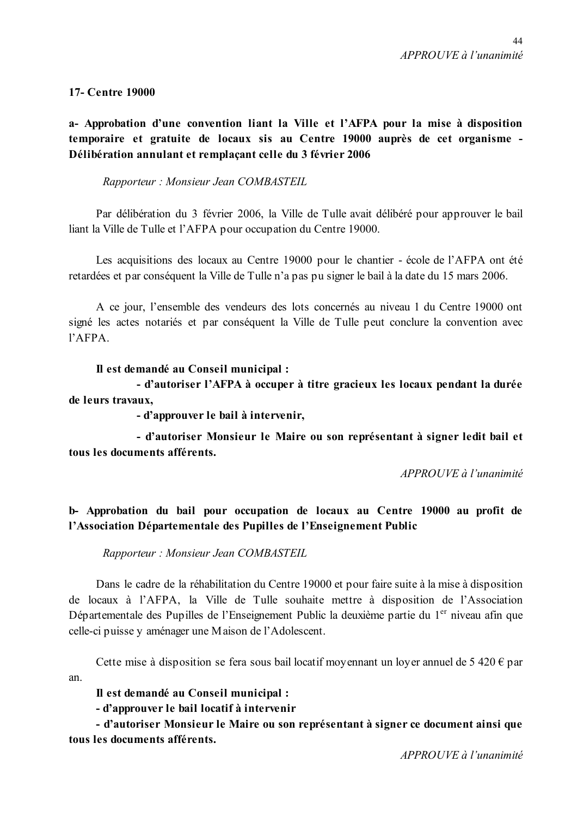## **17- Centre 19000**

a- Approbation d'une convention liant la Ville et l'AFPA pour la mise à disposition temporaire et gratuite de locaux sis au Centre 19000 auprès de cet organisme -Délibération annulant et remplacant celle du 3 février 2006

Rapporteur: Monsieur Jean COMBASTEIL

Par délibération du 3 février 2006, la Ville de Tulle avait délibéré pour approuver le bail liant la Ville de Tulle et l'AFPA pour occupation du Centre 19000.

Les acquisitions des locaux au Centre 19000 pour le chantier - école de l'AFPA ont été retardées et par conséquent la Ville de Tulle n'a pas pu signer le bail à la date du 15 mars 2006.

A ce jour, l'ensemble des vendeurs des lots concernés au niveau 1 du Centre 19000 ont signé les actes notariés et par conséquent la Ville de Tulle peut conclure la convention avec  $1'APPA$ 

### Il est demandé au Conseil municipal :

- d'autoriser l'AFPA à occuper à titre gracieux les locaux pendant la durée de leurs travaux.

- d'approuver le bail à intervenir,

- d'autoriser Monsieur le Maire ou son représentant à signer ledit bail et tous les documents afférents.

APPROUVE à l'unanimité

# b- Approbation du bail pour occupation de locaux au Centre 19000 au profit de l'Association Départementale des Pupilles de l'Enseignement Public

Rapporteur: Monsieur Jean COMBASTEIL

Dans le cadre de la réhabilitation du Centre 19000 et pour faire suite à la mise à disposition de locaux à l'AFPA, la Ville de Tulle souhaite mettre à disposition de l'Association Départementale des Pupilles de l'Enseignement Public la deuxième partie du 1<sup>er</sup> niveau afin que celle-ci puisse y aménager une Maison de l'Adolescent.

Cette mise à disposition se fera sous bail locatif moyennant un loyer annuel de 5 420  $\epsilon$  par an

Il est demandé au Conseil municipal :

- d'approuver le bail locatif à intervenir

- d'autoriser Monsieur le Maire ou son représentant à signer ce document ainsi que tous les documents afférents.

 $APPROIIVE$  à l'unanimité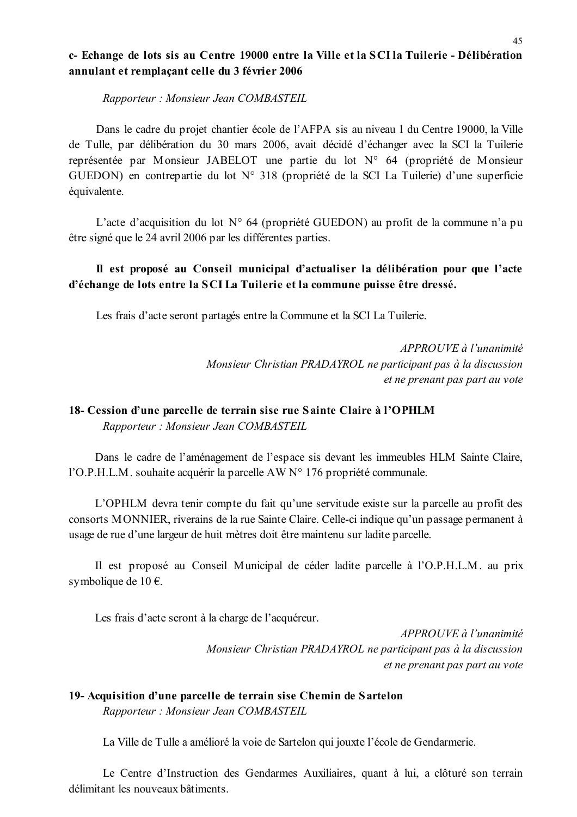## c-Echange de lots sis au Centre 19000 entre la Ville et la SCI la Tuilerie - Délibération annulant et remplacant celle du 3 février 2006

Rapporteur: Monsieur Jean COMBASTEIL

Dans le cadre du projet chantier école de l'AFPA sis au niveau 1 du Centre 19000, la Ville de Tulle, par délibération du 30 mars 2006, avait décidé d'échanger avec la SCI la Tuilerie représentée par Monsieur JABELOT une partie du lot N° 64 (propriété de Monsieur GUEDON) en contrepartie du lot  $N^{\circ}$  318 (propriété de la SCI La Tuilerie) d'une superficie équivalente.

L'acte d'acquisition du lot N° 64 (propriété GUEDON) au profit de la commune n'a pu être signé que le 24 avril 2006 par les différentes parties.

# Il est proposé au Conseil municipal d'actualiser la délibération pour que l'acte d'échange de lots entre la SCI La Tuilerie et la commune puisse être dressé.

Les frais d'acte seront partagés entre la Commune et la SCI La Tuilerie.

APPROUVE à l'unanimité Monsieur Christian PRADAYROL ne participant pas à la discussion et ne prenant pas part au vote

# 18- Cession d'une parcelle de terrain sise rue Sainte Claire à l'OPHLM

Rapporteur: Monsieur Jean COMBASTEIL

Dans le cadre de l'aménagement de l'espace sis devant les immeubles HLM Sainte Claire, l'O.P.H.L.M. souhaite acquérir la parcelle AW N° 176 propriété communale.

L'OPHLM devra tenir compte du fait qu'une servitude existe sur la parcelle au profit des consorts MONNIER, riverains de la rue Sainte Claire. Celle-ci indique qu'un passage permanent à usage de rue d'une largeur de huit mètres doit être maintenu sur ladite parcelle.

Il est proposé au Conseil Municipal de céder ladite parcelle à l'O.P.H.L.M. au prix symbolique de 10 $\epsilon$ .

Les frais d'acte seront à la charge de l'acquéreur.

APPROUVE à l'unanimité Monsieur Christian PRADAYROL ne participant pas à la discussion et ne prenant pas part au vote

### 19- Acquisition d'une parcelle de terrain sise Chemin de Sartelon Rapporteur: Monsieur Jean COMBASTEIL

La Ville de Tulle a amélioré la voie de Sartelon qui jouxte l'école de Gendarmerie.

Le Centre d'Instruction des Gendarmes Auxiliaires, quant à lui, a clôturé son terrain délimitant les nouveaux bâtiments.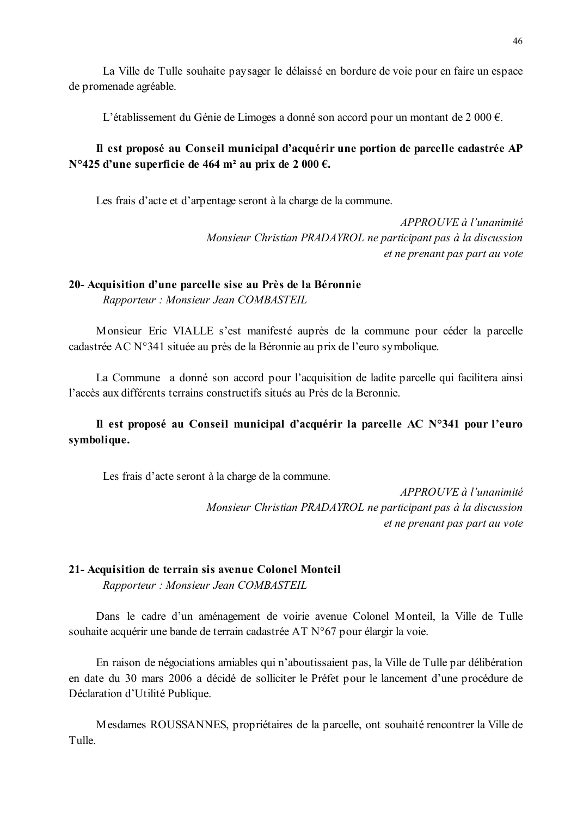La Ville de Tulle souhaite paysager le délaissé en bordure de voie pour en faire un espace de promenade agréable.

L'établissement du Génie de Limoges a donné son accord pour un montant de 2 000  $\epsilon$ .

# Il est proposé au Conseil municipal d'acquérir une portion de parcelle cadastrée AP N°425 d'une superficie de 464 m<sup>2</sup> au prix de 2 000 €.

Les frais d'acte et d'arpentage seront à la charge de la commune.

 $APPROUVE \d{d} l'unanimit$ Monsieur Christian PRADAYROL ne participant pas à la discussion et ne prenant pas part au vote

### 20- Acquisition d'une parcelle sise au Près de la Béronnie

Rapporteur: Monsieur Jean COMBASTEIL

Monsieur Eric VIALLE s'est manifesté auprès de la commune pour céder la parcelle cadastrée AC N°341 située au près de la Béronnie au prix de l'euro symbolique.

La Commune a donné son accord pour l'acquisition de ladite parcelle qui facilitera ainsi l'accès aux différents terrains constructifs situés au Près de la Beronnie

# Il est proposé au Conseil municipal d'acquérir la parcelle AC N°341 pour l'euro symbolique.

Les frais d'acte seront à la charge de la commune.

APPROUVE à l'unanimité Monsieur Christian PRADAYROL ne participant pas à la discussion et ne prenant pas part au vote

### 21- Acquisition de terrain sis avenue Colonel Monteil

Rapporteur: Monsieur Jean COMBASTEIL

Dans le cadre d'un aménagement de voirie avenue Colonel Monteil, la Ville de Tulle souhaite acquérir une bande de terrain cadastrée AT N°67 pour élargir la voie.

En raison de négociations amiables qui n'aboutissaient pas, la Ville de Tulle par délibération en date du 30 mars 2006 a décidé de solliciter le Préfet pour le lancement d'une procédure de Déclaration d'Utilité Publique.

Mesdames ROUSSANNES, propriétaires de la parcelle, ont souhaité rencontrer la Ville de Tulle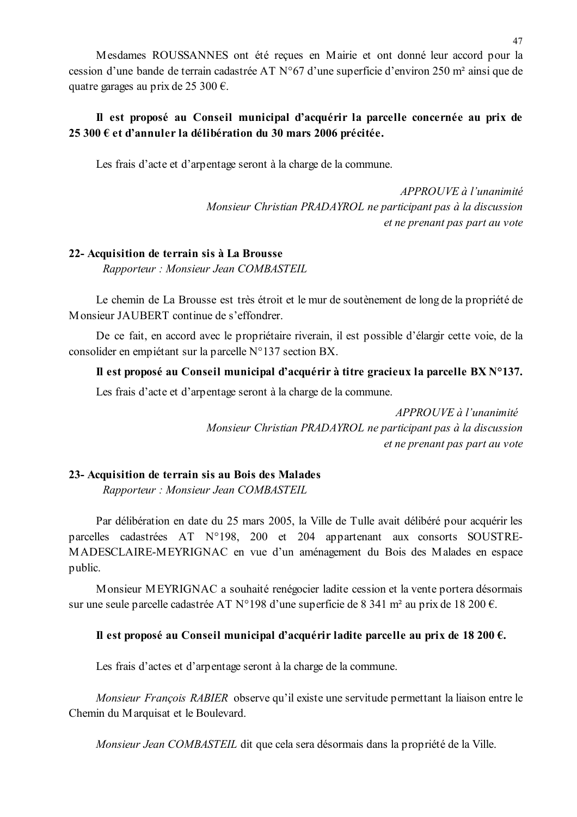Mesdames ROUSSANNES ont été reçues en Mairie et ont donné leur accord pour la cession d'une bande de terrain cadastrée AT N°67 d'une superficie d'environ 250 m<sup>2</sup> ainsi que de quatre garages au prix de 25 300 €.

# Il est proposé au Conseil municipal d'acquérir la parcelle concernée au prix de 25 300 € et d'annuler la délibération du 30 mars 2006 précitée.

Les frais d'acte et d'arpentage seront à la charge de la commune.

APPROUVE à l'unanimité Monsieur Christian PRADAYROL ne participant pas à la discussion et ne prenant pas part au vote

### 22- Acquisition de terrain sis à La Brousse

Rapporteur: Monsieur Jean COMBASTEIL

Le chemin de La Brousse est très étroit et le mur de soutenement de long de la propriété de Monsieur JAUBERT continue de s'effondrer.

De ce fait, en accord avec le propriétaire riverain, il est possible d'élargir cette voie, de la consolider en empiétant sur la parcelle N°137 section BX.

### Il est proposé au Conseil municipal d'acquérir à titre gracieux la parcelle BX N°137.

Les frais d'acte et d'arpentage seront à la charge de la commune.

APPROUVE à l'unanimité Monsieur Christian PRADAYROL ne participant pas à la discussion et ne prenant pas part au vote

### 23- Acquisition de terrain sis au Bois des Malades

Rapporteur: Monsieur Jean COMBASTEIL

Par délibération en date du 25 mars 2005, la Ville de Tulle avait délibéré pour acquérir les parcelles cadastrées AT N°198, 200 et 204 appartenant aux consorts SOUSTRE-MADESCLAIRE-MEYRIGNAC en vue d'un aménagement du Bois des Malades en espace public.

Monsieur MEYRIGNAC a souhaité renégocier ladite cession et la vente portera désormais sur une seule parcelle cadastrée AT N°198 d'une superficie de 8 341 m<sup>2</sup> au prix de 18 200 €.

### Il est proposé au Conseil municipal d'acquérir ladite parcelle au prix de 18 200  $\epsilon$ .

Les frais d'actes et d'arpentage seront à la charge de la commune.

*Monsieur Francois RABIER* observe qu'il existe une servitude permettant la liaison entre le Chemin du Marquisat et le Boulevard.

Monsieur Jean COMBASTEIL dit que cela sera désormais dans la propriété de la Ville.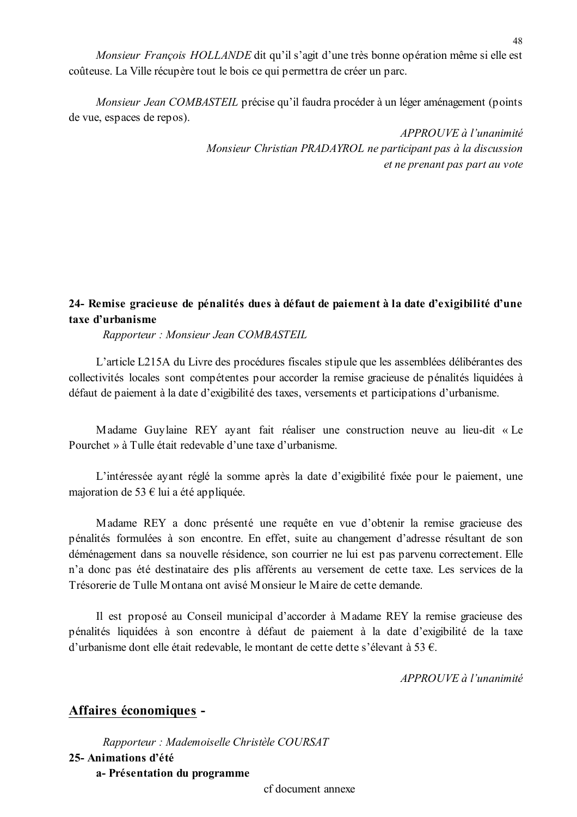Monsieur François HOLLANDE dit qu'il s'agit d'une très bonne opération même si elle est coûteuse. La Ville récupère tout le bois ce qui permettra de créer un parc.

Monsieur Jean COMBASTEIL précise qu'il faudra procéder à un léger aménagement (points de vue, espaces de repos).

> APPROUVE à l'unanimité Monsieur Christian PRADAYROL ne participant pas à la discussion et ne prenant pas part au vote

# 24- Remise gracieuse de pénalités dues à défaut de paiement à la date d'exigibilité d'une taxe d'urbanisme

Rapporteur: Monsieur Jean COMBASTEIL

L'article L215A du Livre des procédures fiscales stipule que les assemblées délibérantes des collectivités locales sont compétentes pour accorder la remise gracieuse de pénalités liquidées à défaut de paiement à la date d'exigibilité des taxes, versements et participations d'urbanisme.

Madame Guylaine REY ayant fait réaliser une construction neuve au lieu-dit « Le Pourchet » à Tulle était redevable d'une taxe d'urbanisme.

L'intéressée ayant réglé la somme après la date d'exigibilité fixée pour le paiement, une majoration de 53  $\epsilon$  lui a été appliquée.

Madame REY a donc présenté une requête en vue d'obtenir la remise gracieuse des pénalités formulées à son encontre. En effet, suite au changement d'adresse résultant de son déménagement dans sa nouvelle résidence, son courrier ne lui est pas parvenu correctement. Elle n'a donc pas été destinataire des plis afférents au versement de cette taxe. Les services de la Trésorerie de Tulle Montana ont avisé Monsieur le Maire de cette demande.

Il est proposé au Conseil municipal d'accorder à Madame REY la remise gracieuse des pénalités liquidées à son encontre à défaut de paiement à la date d'exigibilité de la taxe d'urbanisme dont elle était redevable, le montant de cette dette s'élevant à 53 €.

APPROUVE à l'unanimité

# Affaires économiques -

Rapporteur : Mademoiselle Christèle COURSAT 25- Animations d'été a- Présentation du programme

cf document annexe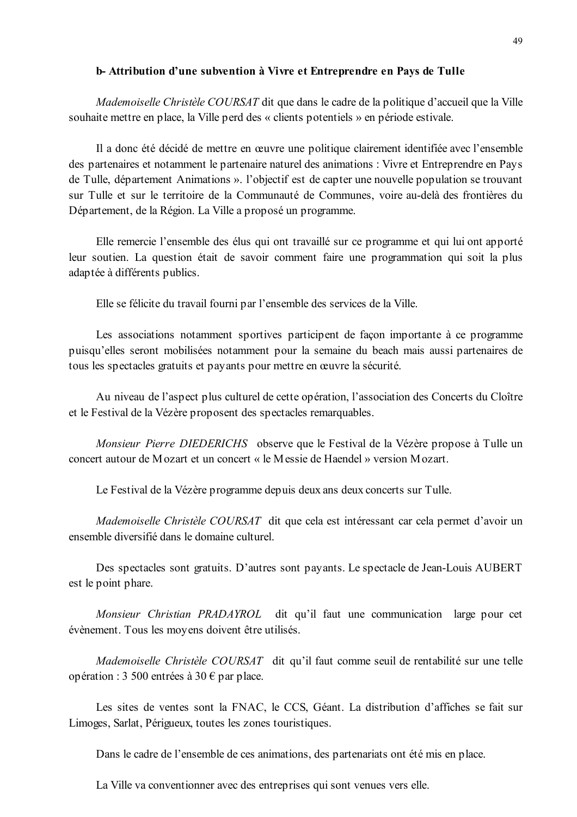#### b-Attribution d'une subvention à Vivre et Entreprendre en Pays de Tulle

*Mademoiselle Christèle COURSAT* dit que dans le cadre de la politique d'accueil que la Ville souhaite mettre en place, la Ville perd des « clients potentiels » en période estivale.

Il a donc été décidé de mettre en œuvre une politique clairement identifiée avec l'ensemble des partenaires et notamment le partenaire naturel des animations : Vivre et Entreprendre en Pays de Tulle, département Animations ». l'objectif est de capter une nouvelle population se trouvant sur Tulle et sur le territoire de la Communauté de Communes, voire au-delà des frontières du Département, de la Région. La Ville a proposé un programme.

Elle remercie l'ensemble des élus qui ont travaillé sur ce programme et qui lui ont apporté leur soutien. La question était de savoir comment faire une programmation qui soit la plus adaptée à différents publics.

Elle se félicite du travail fourni par l'ensemble des services de la Ville.

Les associations notamment sportives participent de facon importante à ce programme puisqu'elles seront mobilisées notamment pour la semaine du beach mais aussi partenaires de tous les spectacles gratuits et payants pour mettre en œuvre la sécurité.

Au niveau de l'aspect plus culturel de cette opération, l'association des Concerts du Cloître et le Festival de la Vézère proposent des spectacles remarquables.

*Monsieur Pierre DIEDERICHS* observe que le Festival de la Vézère propose à Tulle un concert autour de Mozart et un concert « le Messie de Haendel » version Mozart.

Le Festival de la Vézère programme depuis deux ans deux concerts sur Tulle.

Mademoiselle Christèle COURSAT dit que cela est intéressant car cela permet d'avoir un ensemble diversifié dans le domaine culturel.

Des spectacles sont gratuits. D'autres sont payants. Le spectacle de Jean-Louis AUBERT est le point phare.

Monsieur Christian PRADAYROL dit qu'il faut une communication large pour cet évènement. Tous les moyens doivent être utilisés.

Mademoiselle Christèle COURSAT dit qu'il faut comme seuil de rentabilité sur une telle opération : 3 500 entrées à 30 € par place.

Les sites de ventes sont la FNAC, le CCS, Géant. La distribution d'affiches se fait sur Limoges, Sarlat, Périgueux, toutes les zones touristiques.

Dans le cadre de l'ensemble de ces animations, des partenariats ont été mis en place.

La Ville va conventionner avec des entreprises qui sont venues vers elle.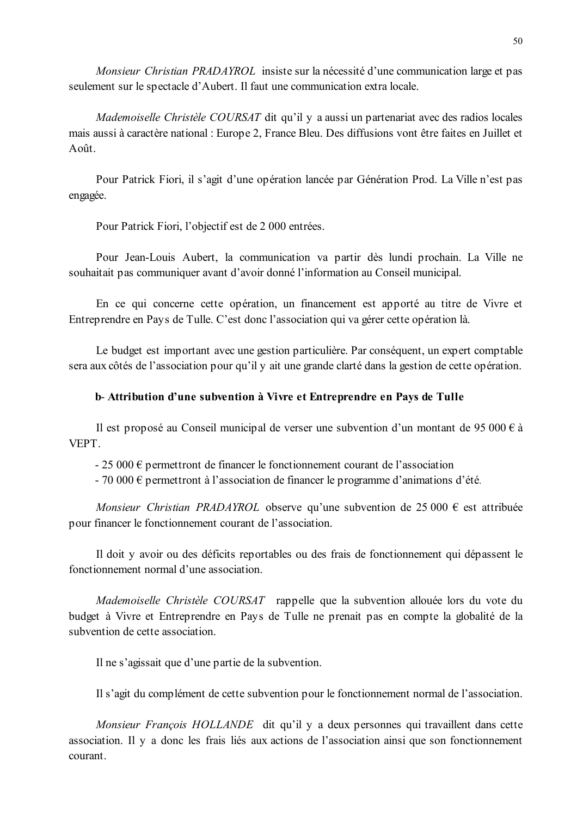*Monsieur Christian PRADAYROL* insiste sur la nécessité d'une communication large et pas seulement sur le spectacle d'Aubert. Il faut une communication extra locale.

Mademoiselle Christèle COURSAT dit qu'il y a aussi un partenariat avec des radios locales mais aussi à caractère national : Europe 2, France Bleu. Des diffusions vont être faites en Juillet et  $A$  of  $t$ 

Pour Patrick Fiori, il s'agit d'une opération lancée par Génération Prod. La Ville n'est pas engagée.

Pour Patrick Fiori, l'objectif est de 2 000 entrées.

Pour Jean-Louis Aubert, la communication va partir dès lundi prochain. La Ville ne souhaitait pas communiquer avant d'avoir donné l'information au Conseil municipal.

En ce qui concerne cette opération, un financement est apporté au titre de Vivre et Entreprendre en Pays de Tulle. C'est donc l'association qui va gérer cette opération là.

Le budget est important avec une gestion particulière. Par conséquent, un expert comptable sera aux côtés de l'association pour qu'il y ait une grande clarté dans la gestion de cette opération.

#### b-Attribution d'une subvention à Vivre et Entreprendre en Pays de Tulle

Il est proposé au Conseil municipal de verser une subvention d'un montant de 95 000  $\epsilon$  à **VEPT** 

 $-25000 \in$  permettront de financer le fonctionnement courant de l'association

- 70 000  $\epsilon$  permettront à l'association de financer le programme d'animations d'été.

Monsieur Christian PRADAYROL observe qu'une subvention de 25 000  $\epsilon$  est attribuée pour financer le fonctionnement courant de l'association.

Il doit y avoir ou des déficits reportables ou des frais de fonctionnement qui dépassent le fonctionnement normal d'une association

Mademoiselle Christèle COURSAT rappelle que la subvention allouée lors du vote du budget à Vivre et Entreprendre en Pays de Tulle ne prenait pas en compte la globalité de la subvention de cette association.

Il ne s'agissait que d'une partie de la subvention.

Il s'agit du complément de cette subvention pour le fonctionnement normal de l'association.

Monsieur François HOLLANDE dit qu'il y a deux personnes qui travaillent dans cette association. Il y a donc les frais liés aux actions de l'association ainsi que son fonctionnement courant.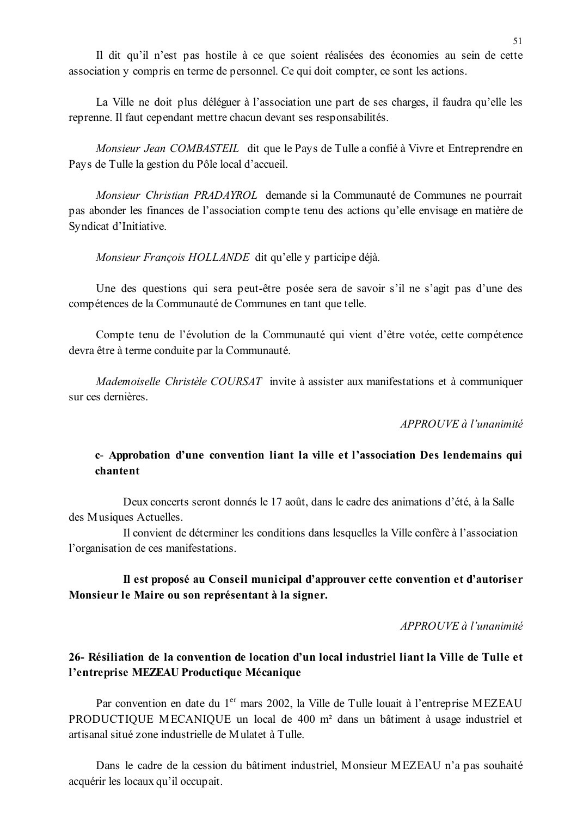Il dit qu'il n'est pas hostile à ce que soient réalisées des économies au sein de cette association y compris en terme de personnel. Ce qui doit compter, ce sont les actions.

La Ville ne doit plus déléguer à l'association une part de ses charges, il faudra qu'elle les reprenne. Il faut cependant mettre chacun devant ses responsabilités.

Monsieur Jean COMBASTEIL dit que le Pays de Tulle a confié à Vivre et Entreprendre en Pays de Tulle la gestion du Pôle local d'accueil.

Monsieur Christian PRADAYROL demande si la Communauté de Communes ne pourrait pas abonder les finances de l'association compte tenu des actions qu'elle envisage en matière de Syndicat d'Initiative.

Monsieur François HOLLANDE dit qu'elle y participe déjà.

Une des questions qui sera peut-être posée sera de savoir s'il ne s'agit pas d'une des compétences de la Communauté de Communes en tant que telle.

Compte tenu de l'évolution de la Communauté qui vient d'être votée, cette compétence devra être à terme conduite par la Communauté.

Mademoiselle Christèle COURSAT invite à assister aux manifestations et à communiquer sur ces dernières.

APPROUVE à l'unanimité

## c- Approbation d'une convention liant la ville et l'association Des lendemains qui chantent

Deux concerts seront donnés le 17 août, dans le cadre des animations d'été, à la Salle des Musiques Actuelles.

Il convient de déterminer les conditions dans lesquelles la Ville confère à l'association l'organisation de ces manifestations.

### Il est proposé au Conseil municipal d'approuver cette convention et d'autoriser Monsieur le Maire ou son représentant à la signer.

APPROUVE à l'unanimité

# 26- Résiliation de la convention de location d'un local industriel liant la Ville de Tulle et l'entreprise MEZEAU Productique Mécanique

Par convention en date du 1<sup>er</sup> mars 2002, la Ville de Tulle louait à l'entreprise MEZEAU PRODUCTIQUE MECANIQUE un local de 400 m<sup>2</sup> dans un bâtiment à usage industriel et artisanal situé zone industrielle de Mulatet à Tulle.

Dans le cadre de la cession du bâtiment industriel, Monsieur MEZEAU n'a pas souhaité acquérir les locaux qu'il occupait.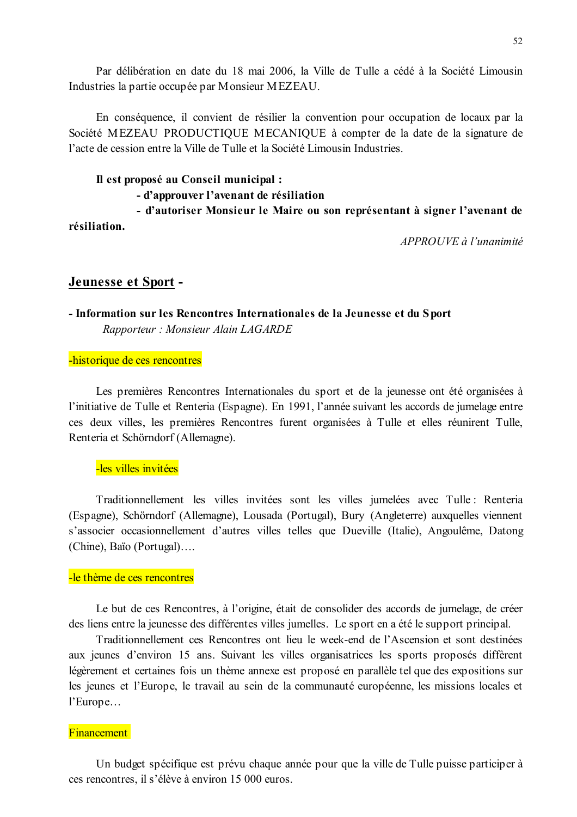Par délibération en date du 18 mai 2006, la Ville de Tulle a cédé à la Société Limousin Industries la partie occupée par Monsieur MEZEAU.

En conséquence, il convient de résilier la convention pour occupation de locaux par la Société MEZEAU PRODUCTIQUE MECANIQUE à compter de la date de la signature de l'acte de cession entre la Ville de Tulle et la Société Limousin Industries

# Il est proposé au Conseil municipal :

# - d'approuver l'avenant de résiliation

- d'autoriser Monsieur le Maire ou son représentant à signer l'avenant de résiliation.

APPROUVE à l'unanimité

### Jeunesse et Sport -

### - Information sur les Rencontres Internationales de la Jeunesse et du Sport Rapporteur: Monsieur Alain LAGARDE

#### -historique de ces rencontres

Les premières Rencontres Internationales du sport et de la jeunesse ont été organisées à l'initiative de Tulle et Renteria (Espagne). En 1991, l'année suivant les accords de jumelage entre ces deux villes, les premières Rencontres furent organisées à Tulle et elles réunirent Tulle, Renteria et Schörndorf (Allemagne).

### -les villes invitées

Traditionnellement les villes invitées sont les villes jumelées avec Tulle : Renteria (Espagne), Schörndorf (Allemagne), Lousada (Portugal), Bury (Angleterre) auxquelles viennent s'associer occasionnellement d'autres villes telles que Dueville (Italie), Angoulême, Datong (Chine), Baïo (Portugal)....

#### -le thème de ces rencontres

Le but de ces Rencontres, à l'origine, était de consolider des accords de jumelage, de créer des liens entre la jeunesse des différentes villes jumelles. Le sport en a été le support principal.

Traditionnellement ces Rencontres ont lieu le week-end de l'Ascension et sont destinées aux jeunes d'environ 15 ans. Suivant les villes organisatrices les sports proposés diffèrent légèrement et certaines fois un thème annexe est proposé en parallèle tel que des expositions sur les jeunes et l'Europe, le travail au sein de la communauté européenne, les missions locales et l'Europe...

#### **Financement**

Un budget spécifique est prévu chaque année pour que la ville de Tulle puisse participer à ces rencontres, il s'élève à environ 15 000 euros.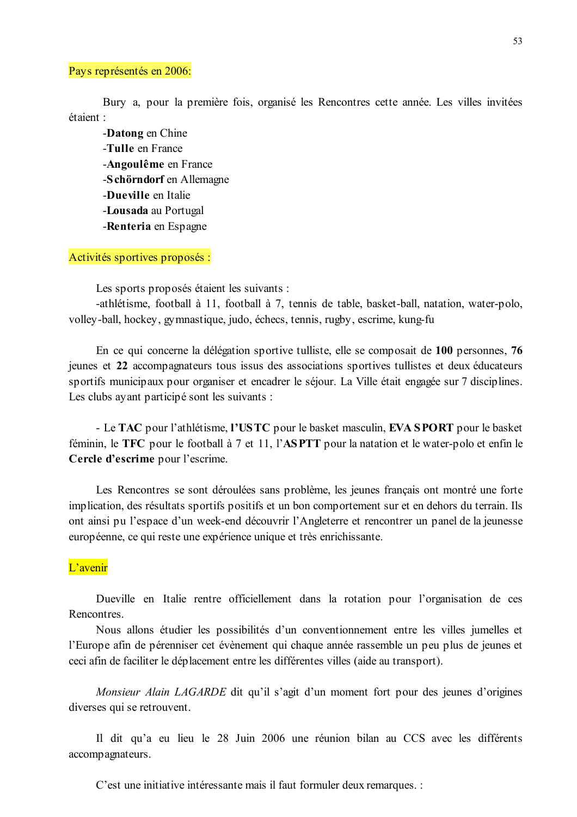#### Pays représentés en 2006:

Bury a pour la première fois, organisé les Rencontres cette année. Les villes invitées étaient ·

-Datong en Chine -Tulle en France -Angoulême en France -Schörndorf en Allemagne -Dueville en Italie -Lousada au Portugal -Renteria en Espagne

Activités sportives proposés :

Les sports proposés étaient les suivants :

-athlétisme, football à 11, football à 7, tennis de table, basket-ball, natation, water-polo, volley-ball, hockey, gymnastique, judo, échecs, tennis, rugby, escrime, kung-fu

En ce qui concerne la délégation sportive tulliste, elle se composait de 100 personnes, 76 jeunes et 22 accompagnateurs tous issus des associations sportives tullistes et deux éducateurs sportifs municipaux pour organiser et encadrer le séjour. La Ville était engagée sur 7 disciplines. Les clubs ayant participé sont les suivants :

- Le TAC pour l'athlétisme, l'USTC pour le basket masculin, EVA SPORT pour le basket féminin, le TFC pour le football à 7 et 11, l'ASPTT pour la natation et le water-polo et enfin le Cercle d'escrime pour l'escrime.

Les Rencontres se sont déroulées sans problème, les jeunes français ont montré une forte implication, des résultats sportifs positifs et un bon comportement sur et en dehors du terrain. Ils ont ainsi pu l'espace d'un week-end découvrir l'Angleterre et rencontrer un panel de la jeunesse européenne, ce qui reste une expérience unique et très enrichissante.

### L'avenir

Dueville en Italie rentre officiellement dans la rotation pour l'organisation de ces Rencontres.

Nous allons étudier les possibilités d'un conventionnement entre les villes jumelles et l'Europe afin de pérenniser cet évènement qui chaque année rassemble un peu plus de jeunes et ceci afin de faciliter le déplacement entre les différentes villes (aide au transport).

*Monsieur Alain LAGARDE* dit qu'il s'agit d'un moment fort pour des jeunes d'origines diverses qui se retrouvent.

Il dit qu'a eu lieu le 28 Juin 2006 une réunion bilan au CCS avec les différents accompagnateurs.

C'est une initiative intéressante mais il faut formuler deux remarques. :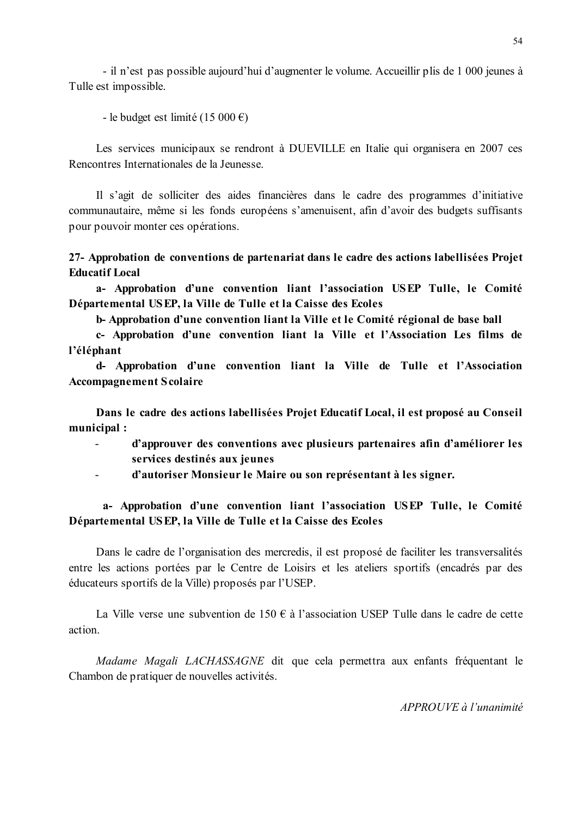- il n'est pas possible aujourd'hui d'augmenter le volume. Accueillir plis de 1 000 jeunes à Tulle est impossible.

- le budget est limité (15 000 €)

Les services municipaux se rendront à DUEVILLE en Italie qui organisera en 2007 ces Rencontres Internationales de la Jeunesse.

Il s'agit de solliciter des aides financières dans le cadre des programmes d'initiative communautaire, même si les fonds européens s'amenuisent, afin d'avoir des budgets suffisants pour pouvoir monter ces opérations.

27- Approbation de conventions de partenariat dans le cadre des actions labellisées Projet **Educatif Local** 

a- Approbation d'une convention liant l'association USEP Tulle, le Comité Départemental USEP, la Ville de Tulle et la Caisse des Ecoles

b-Approbation d'une convention liant la Ville et le Comité régional de base ball

c- Approbation d'une convention liant la Ville et l'Association Les films de l'éléphant

d- Approbation d'une convention liant la Ville de Tulle et l'Association **Accompagnement Scolaire** 

Dans le cadre des actions labellisées Projet Educatif Local, il est proposé au Conseil municipal :

- d'approuver des conventions avec plusieurs partenaires afin d'améliorer les  $\overline{a}$ services destinés aux jeunes
- d'autoriser Monsieur le Maire ou son représentant à les signer.  $\sim 100$

# a- Approbation d'une convention liant l'association USEP Tulle, le Comité Départemental USEP, la Ville de Tulle et la Caisse des Ecoles

Dans le cadre de l'organisation des mercredis, il est proposé de faciliter les transversalités entre les actions portées par le Centre de Loisirs et les ateliers sportifs (encadrés par des éducateurs sportifs de la Ville) proposés par l'USEP.

La Ville verse une subvention de 150 € à l'association USEP Tulle dans le cadre de cette action

*Madame Magali LACHASSAGNE* dit que cela permettra aux enfants fréquentant le Chambon de pratiquer de nouvelles activités.

 $APPROUVE \d{d} l'unanimit \d{e}$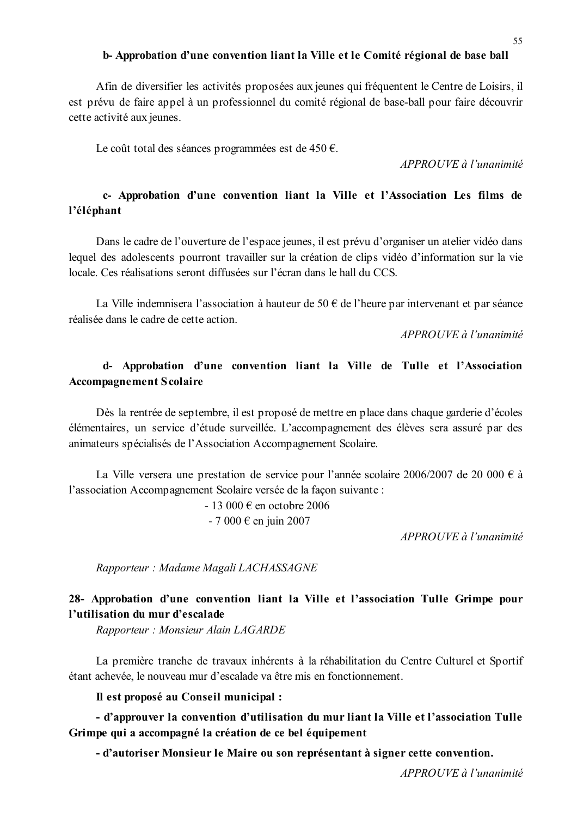#### b-Approbation d'une convention liant la Ville et le Comité régional de base ball

Afin de diversifier les activités proposées aux jeunes qui fréquentent le Centre de Loisirs, il est prévu de faire appel à un professionnel du comité régional de base-ball pour faire découvrir cette activité aux jeunes.

Le coût total des séances programmées est de 450  $\epsilon$ .

APPROUVE à l'unanimité

# c- Approbation d'une convention liant la Ville et l'Association Les films de l'éléphant

Dans le cadre de l'ouverture de l'espace jeunes, il est prévu d'organiser un atelier vidéo dans lequel des adolescents pourront travailler sur la création de clips vidéo d'information sur la vie locale. Ces réalisations seront diffusées sur l'écran dans le hall du CCS

La Ville indemnisera l'association à hauteur de 50 € de l'heure par intervenant et par séance réalisée dans le cadre de cette action

APPROUVE à l'unanimité

# d- Approbation d'une convention liant la Ville de Tulle et l'Association **Accompagnement Scolaire**

Dès la rentrée de septembre, il est proposé de mettre en place dans chaque garderie d'écoles élémentaires, un service d'étude surveillée. L'accompagnement des élèves sera assuré par des animateurs spécialisés de l'Association Accompagnement Scolaire.

La Ville versera une prestation de service pour l'année scolaire 2006/2007 de 20 000 € à l'association Accompagnement Scolaire versée de la facon suivante :

 $-13000 \text{ } \in$  en octobre 2006

 $-7000 \text{ } \in \text{ en }$  juin 2007

APPROUVE à l'unanimité

Rapporteur: Madame Magali LACHASSAGNE

# 28- Approbation d'une convention liant la Ville et l'association Tulle Grimpe pour l'utilisation du mur d'escalade

Rapporteur: Monsieur Alain LAGARDE

La première tranche de travaux inhérents à la réhabilitation du Centre Culturel et Sportif étant achevée, le nouveau mur d'escalade va être mis en fonctionnement.

Il est proposé au Conseil municipal :

- d'approuver la convention d'utilisation du mur liant la Ville et l'association Tulle Grimpe qui a accompagné la création de ce bel équipement

- d'autoriser Monsieur le Maire ou son représentant à signer cette convention.

APPROUVE à l'unanimité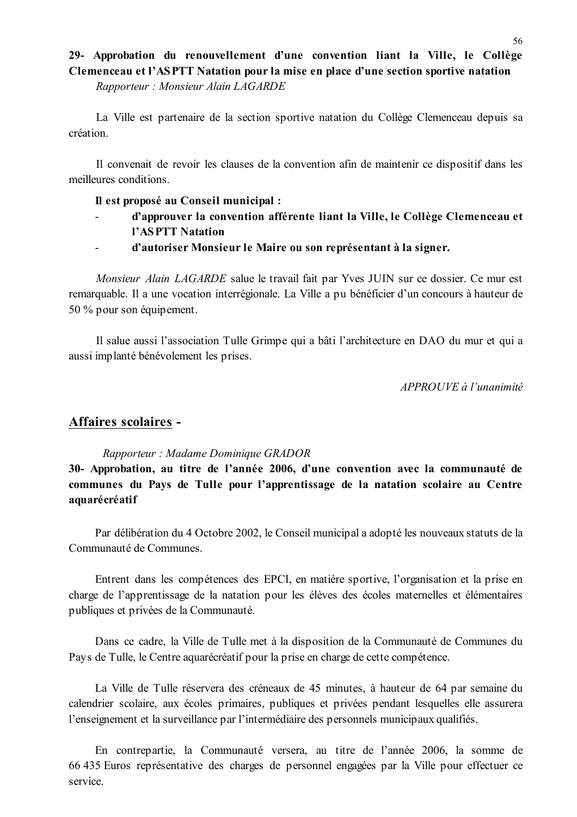### 29- Approbation du renouvellement d'une convention liant la Ville, le Collège Clemenceau et l'ASPTT Natation pour la mise en place d'une section sportive natation

Rapporteur: Monsieur Alain LAGARDE

La Ville est partenaire de la section sportive natation du Collège Clemenceau depuis sa création.

Il convenait de revoir les clauses de la convention afin de maintenir ce dispositif dans les meilleures conditions

#### Il est proposé au Conseil municipal :

- d'approuver la convention afférente liant la Ville, le Collège Clemenceau et  $\mathbf{r}$ l'ASPTT Natation
	- d'autoriser Monsieur le Maire ou son représentant à la signer.

Monsieur Alain LAGARDE salue le travail fait par Yves JUIN sur ce dossier. Ce mur est remarquable. Il a une vocation interrégionale. La Ville a pu bénéficier d'un concours à hauteur de 50 % pour son équipement.

Il salue aussi l'association Tulle Grimpe qui a bâti l'architecture en DAO du mur et qui a aussi implanté bénévolement les prises.

APPROUVE à l'unanimité

# Affaires scolaires -

 $\mathbf{r}$ 

#### Rapporteur: Madame Dominique GRADOR

30- Approbation, au titre de l'année 2006, d'une convention avec la communauté de communes du Pays de Tulle pour l'apprentissage de la natation scolaire au Centre aquarécréatif

Par délibération du 4 Octobre 2002, le Conseil municipal a adopté les nouveaux statuts de la Communauté de Communes

Entrent dans les compétences des EPCI, en matière sportive, l'organisation et la prise en charge de l'apprentissage de la natation pour les élèves des écoles maternelles et élémentaires publiques et privées de la Communauté.

Dans ce cadre, la Ville de Tulle met à la disposition de la Communauté de Communes du Pays de Tulle, le Centre aquarécréatif pour la prise en charge de cette compétence.

La Ville de Tulle réservera des créneaux de 45 minutes, à hauteur de 64 par semaine du calendrier scolaire, aux écoles primaires, publiques et privées pendant lesquelles elle assurera l'enseignement et la surveillance par l'intermédiaire des personnels municipaux qualifiés.

En contrepartie, la Communauté versera, au titre de l'année 2006, la somme de 66 435 Euros représentative des charges de personnel engagées par la Ville pour effectuer ce service.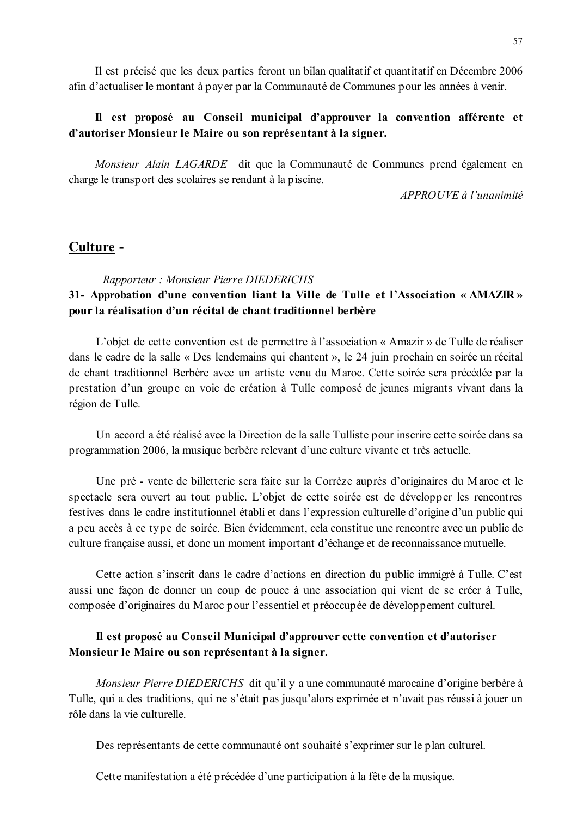Il est précisé que les deux parties feront un bilan qualitatif et quantitatif en Décembre 2006 afin d'actualiser le montant à payer par la Communauté de Communes pour les années à venir.

### Il est proposé au Conseil municipal d'approuver la convention afférente et d'autoriser Monsieur le Maire ou son représentant à la signer.

Monsieur Alain LAGARDE dit que la Communauté de Communes prend également en charge le transport des scolaires se rendant à la piscine.

 $APPROUVE \d{d} l'unanimit \d{e}$ 

### Culture -

#### Rapporteur: Monsieur Pierre DIEDERICHS

# 31- Approbation d'une convention liant la Ville de Tulle et l'Association « AMAZIR » pour la réalisation d'un récital de chant traditionnel berbère

L'objet de cette convention est de permettre à l'association « Amazir » de Tulle de réaliser dans le cadre de la salle « Des lendemains qui chantent », le 24 juin prochain en soirée un récital de chant traditionnel Berbère avec un artiste venu du Maroc. Cette soirée sera précédée par la prestation d'un groupe en voie de création à Tulle composé de jeunes migrants vivant dans la région de Tulle.

Un accord a été réalisé avec la Direction de la salle Tulliste pour inscrire cette soirée dans sa programmation 2006, la musique berbère relevant d'une culture vivante et très actuelle.

Une pré - vente de billetterie sera faite sur la Corrèze auprès d'originaires du Maroc et le spectacle sera ouvert au tout public. L'objet de cette soirée est de développer les rencontres festives dans le cadre institutionnel établi et dans l'expression culturelle d'origine d'un public qui a peu accès à ce type de soirée. Bien évidemment, cela constitue une rencontre avec un public de culture française aussi, et donc un moment important d'échange et de reconnaissance mutuelle.

Cette action s'inscrit dans le cadre d'actions en direction du public immigré à Tulle. C'est aussi une facon de donner un coup de pouce à une association qui vient de se créer à Tulle. composée d'originaires du Maroc pour l'essentiel et préoccupée de développement culturel.

# Il est proposé au Conseil Municipal d'approuver cette convention et d'autoriser Monsieur le Maire ou son représentant à la signer.

*Monsieur Pierre DIEDERICHS* dit qu'il y a une communauté marocaine d'origine berbère à Tulle, qui a des traditions, qui ne s'était pas jusqu'alors exprimée et n'avait pas réussi à jouer un rôle dans la vie culturelle

Des représentants de cette communauté ont souhaité s'exprimer sur le plan culturel.

Cette manifestation a été précédée d'une participation à la fête de la musique.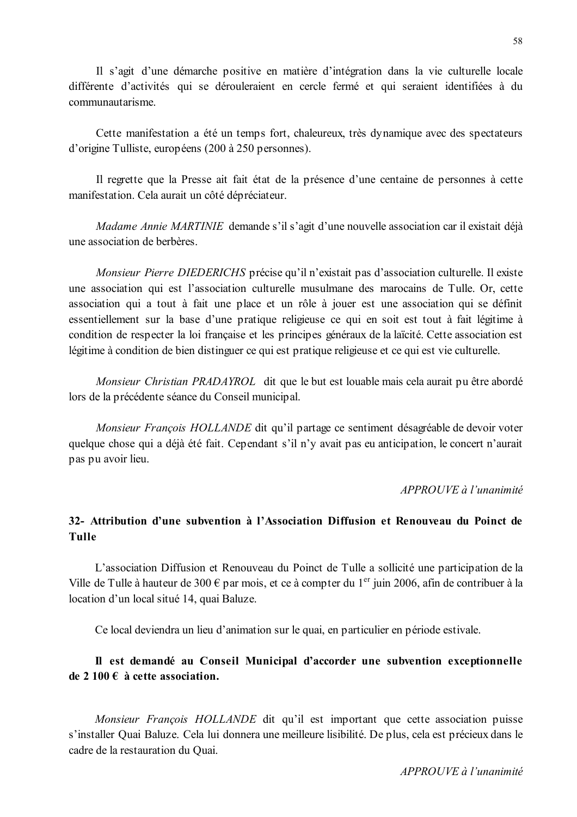Il s'agit d'une démarche positive en matière d'intégration dans la vie culturelle locale différente d'activités qui se dérouleraient en cercle fermé et qui seraient identifiées à du communautarisme.

Cette manifestation a été un temps fort, chaleureux, très dynamique avec des spectateurs d'origine Tulliste, européens (200 à 250 personnes).

Il regrette que la Presse ait fait état de la présence d'une centaine de personnes à cette manifestation. Cela aurait un côté dépréciateur.

*Madame Annie MARTINIE* demande s'il s'agit d'une nouvelle association car il existait déjà une association de berbères.

*Monsieur Pierre DIEDERICHS* précise qu'il n'existait pas d'association culturelle. Il existe une association qui est l'association culturelle musulmane des marocains de Tulle. Or, cette association qui a tout à fait une place et un rôle à jouer est une association qui se définit essentiellement sur la base d'une pratique religieuse ce qui en soit est tout à fait légitime à condition de respecter la loi française et les principes généraux de la laïcité. Cette association est légitime à condition de bien distinguer ce qui est pratique religieuse et ce qui est vie culturelle.

Monsieur Christian PRADAYROL dit que le but est louable mais cela aurait pu être abordé lors de la précédente séance du Conseil municipal.

Monsieur François HOLLANDE dit qu'il partage ce sentiment désagréable de devoir voter quelque chose qui a déjà été fait. Cependant s'il n'y avait pas eu anticipation, le concert n'aurait pas pu avoir lieu.

#### APPROUVE à l'unanimité

# 32- Attribution d'une subvention à l'Association Diffusion et Renouveau du Poinct de **Tulle**

L'association Diffusion et Renouveau du Poinct de Tulle a sollicité une participation de la Ville de Tulle à hauteur de 300 € par mois, et ce à compter du 1<sup>er</sup> juin 2006, afin de contribuer à la location d'un local situé 14, quai Baluze.

Ce local deviendra un lieu d'animation sur le quai, en particulier en période estivale.

# Il est demandé au Conseil Municipal d'accorder une subvention exceptionnelle de 2 100  $\epsilon$  à cette association.

Monsieur François HOLLANDE dit qu'il est important que cette association puisse s'installer Quai Baluze. Cela lui donnera une meilleure lisibilité. De plus, cela est précieux dans le cadre de la restauration du Ouai.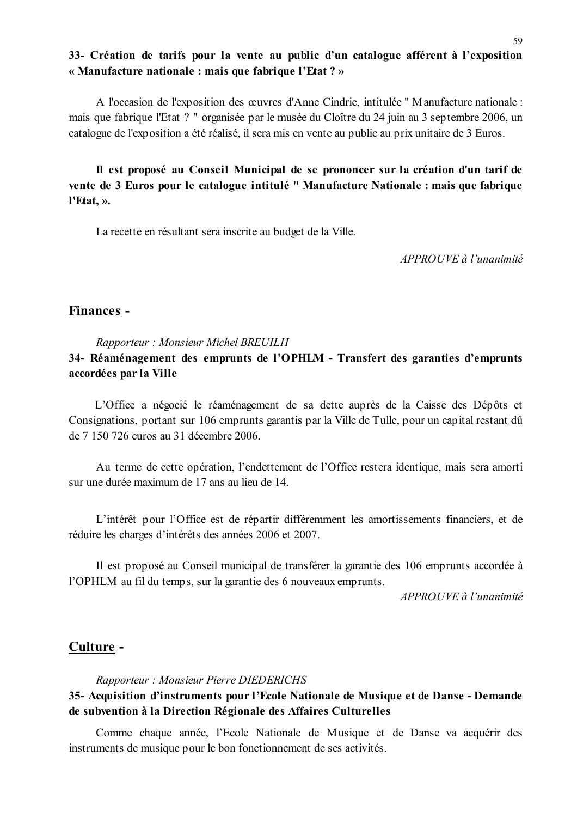# 33- Création de tarifs pour la vente au public d'un catalogue afférent à l'exposition « Manufacture nationale : mais que fabrique l'Etat ? »

A l'occasion de l'exposition des œuvres d'Anne Cindric, intitulée "Manufacture nationale : mais que fabrique l'Etat ? " organisée par le musée du Cloître du 24 juin au 3 septembre 2006, un catalogue de l'exposition a été réalisé, il sera mis en vente au public au prix unitaire de 3 Euros.

Il est proposé au Conseil Municipal de se prononcer sur la création d'un tarif de vente de 3 Euros pour le catalogue intitulé " Manufacture Nationale : mais que fabrique l'Etat. ».

La recette en résultant sera inscrite au budget de la Ville.

APPROUVE à l'unanimité

# Finances -

#### Rapporteur: Monsieur Michel BREUILH

# 34- Réaménagement des emprunts de l'OPHLM - Transfert des garanties d'emprunts accordées par la Ville

L'Office a négocié le réaménagement de sa dette auprès de la Caisse des Dépôts et Consignations, portant sur 106 emprunts garantis par la Ville de Tulle, pour un capital restant dû de 7 150 726 euros au 31 décembre 2006.

Au terme de cette opération, l'endettement de l'Office restera identique, mais sera amorti sur une durée maximum de 17 ans au lieu de 14.

L'intérêt pour l'Office est de répartir différemment les amortissements financiers, et de réduire les charges d'intérêts des années 2006 et 2007.

Il est proposé au Conseil municipal de transférer la garantie des 106 emprunts accordée à l'OPHLM au fil du temps, sur la garantie des 6 nouveaux emprunts.

 $APPROUVE \d0$  l'unanimité

### Culture -

Rapporteur: Monsieur Pierre DIEDERICHS

# 35- Acquisition d'instruments pour l'Ecole Nationale de Musique et de Danse - Demande de subvention à la Direction Régionale des Affaires Culturelles

Comme chaque année, l'Ecole Nationale de Musique et de Danse va acquérir des instruments de musique pour le bon fonctionnement de ses activités.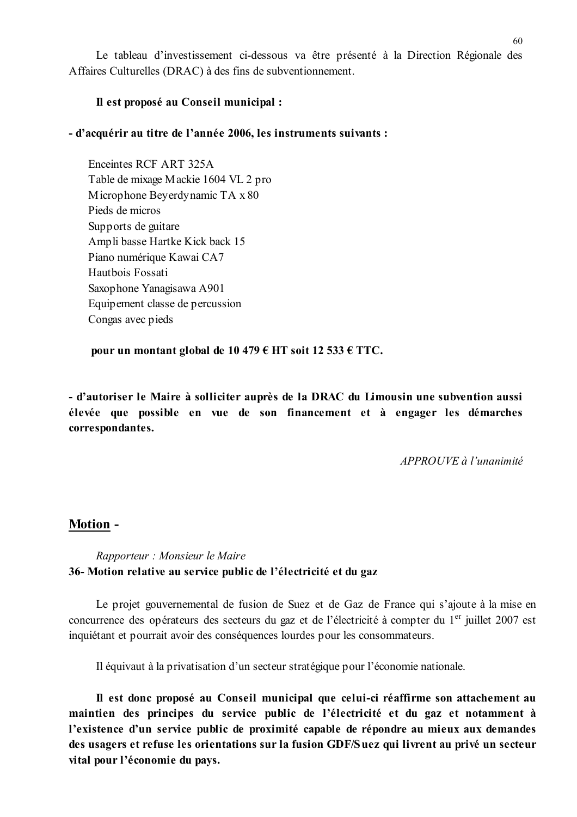Le tableau d'investissement ci-dessous va être présenté à la Direction Régionale des Affaires Culturelles (DRAC) à des fins de subventionnement.

### Il est proposé au Conseil municipal :

### - d'acquérir au titre de l'année 2006, les instruments suivants :

Enceintes RCF ART 325A Table de mixage Mackie 1604 VL 2 pro Microphone Beyerdynamic TA x 80 Pieds de micros Supports de guitare Ampli basse Hartke Kick back 15 Piano numérique Kawai CA7 Hautbois Fossati Saxophone Yanagisawa A901 Equipement classe de percussion Congas avec pieds

pour un montant global de 10 479  $\epsilon$  HT soit 12 533  $\epsilon$  TTC.

- d'autoriser le Maire à solliciter auprès de la DRAC du Limousin une subvention aussi élevée que possible en vue de son financement et à engager les démarches correspondantes.

 $APPROIIVE$  à l'unanimité

### **Motion -**

### Rapporteur : Monsieur le Maire 36- Motion relative au service public de l'électricité et du gaz

Le projet gouvernemental de fusion de Suez et de Gaz de France qui s'ajoute à la mise en concurrence des opérateurs des secteurs du gaz et de l'électricité à compter du 1<sup>er</sup> juillet 2007 est inquiétant et pourrait avoir des conséquences lourdes pour les consommateurs.

Il équivaut à la privatisation d'un secteur stratégique pour l'économie nationale.

Il est donc proposé au Conseil municipal que celui-ci réaffirme son attachement au maintien des principes du service public de l'électricité et du gaz et notamment à l'existence d'un service public de proximité capable de répondre au mieux aux demandes des usagers et refuse les orientations sur la fusion GDF/Suez qui livrent au privé un secteur vital pour l'économie du pays.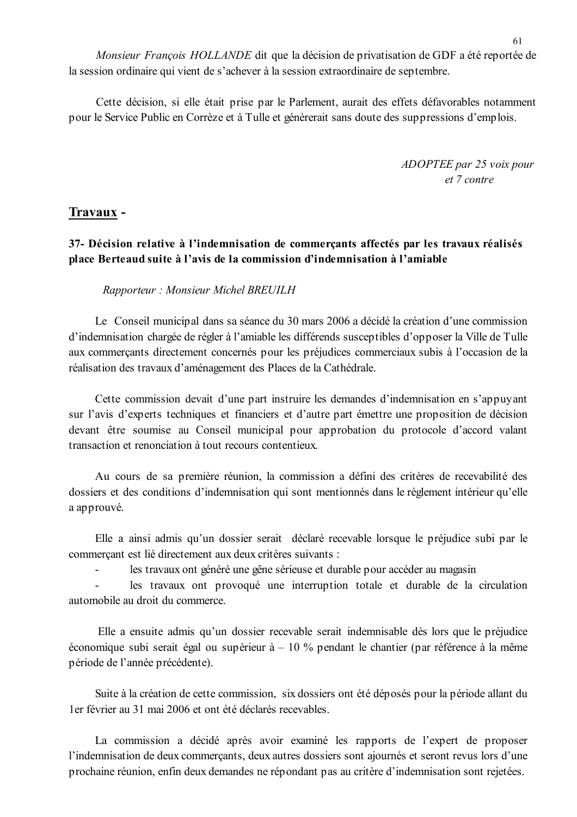Monsieur François HOLLANDE dit que la décision de privatisation de GDF a été reportée de la session ordinaire qui vient de s'achever à la session extraordinaire de septembre.

Cette décision, si elle était prise par le Parlement, aurait des effets défavorables notamment pour le Service Public en Corrèze et à Tulle et génèrerait sans doute des suppressions d'emplois.

> ADOPTEE par 25 voix pour  $et 7 contre$

### Travaux -

 $\mathbf{r}$ 

37- Décision relative à l'indemnisation de commercants affectés par les travaux réalisés place Berteaud suite à l'avis de la commission d'indemnisation à l'amiable

Rapporteur: Monsieur Michel BREUILH

Le Conseil municipal dans sa séance du 30 mars 2006 a décidé la création d'une commission d'indemnisation chargée de régler à l'amiable les différends susceptibles d'opposer la Ville de Tulle aux commerçants directement concernés pour les préjudices commerciaux subis à l'occasion de la réalisation des travaux d'aménagement des Places de la Cathédrale.

Cette commission devait d'une part instruire les demandes d'indemnisation en s'appuyant sur l'avis d'experts techniques et financiers et d'autre part émettre une proposition de décision devant être soumise au Conseil municipal pour approbation du protocole d'accord valant transaction et renonciation à tout recours contentieux.

Au cours de sa première réunion, la commission a défini des critères de recevabilité des dossiers et des conditions d'indemnisation qui sont mentionnés dans le règlement intérieur qu'elle a approuvé.

Elle a ainsi admis qu'un dossier serait déclaré recevable lorsque le préjudice subi par le commerçant est lié directement aux deux critères suivants :

les travaux ont généré une gêne sérieuse et durable pour accéder au magasin

les travaux ont provoqué une interruption totale et durable de la circulation automobile au droit du commerce.

Elle a ensuite admis qu'un dossier recevable serait indemnisable dès lors que le préjudice économique subi serait égal ou supérieur  $\dot{a}$  – 10 % pendant le chantier (par référence à la même période de l'année précédente).

Suite à la création de cette commission, six dossiers ont été déposés pour la période allant du Ler février au 31 mai 2006 et ont été déclarés recevables

La commission a décidé après avoir examiné les rapports de l'expert de proposer l'indemnisation de deux commerçants, deux autres dossiers sont ajournés et seront revus lors d'une prochaine réunion, enfin deux demandes ne répondant pas au critère d'indemnisation sont rejetées.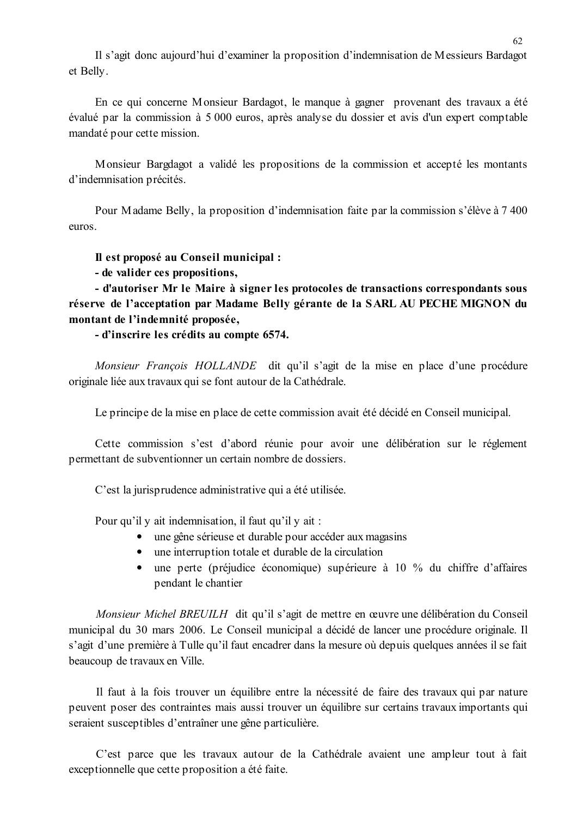Il s'agit donc aujourd'hui d'examiner la proposition d'indemnisation de Messieurs Bardagot et Belly.

En ce qui concerne Monsieur Bardagot, le manque à gagner provenant des travaux a été évalué par la commission à 5 000 euros, après analyse du dossier et avis d'un expert comptable mandaté pour cette mission.

Monsieur Bargdagot a validé les propositions de la commission et accepté les montants d'indemnisation précités.

Pour Madame Belly, la proposition d'indemnisation faite par la commission s'élève à 7 400 euros.

Il est proposé au Conseil municipal :

- de valider ces propositions,

- d'autoriser Mr le Maire à signer les protocoles de transactions correspondants sous réserve de l'acceptation par Madame Belly gérante de la SARL AU PECHE MIGNON du montant de l'indemnité proposée,

- d'inscrire les crédits au compte 6574.

Monsieur François HOLLANDE dit qu'il s'agit de la mise en place d'une procédure originale liée aux travaux qui se font autour de la Cathédrale.

Le principe de la mise en place de cette commission avait été décidé en Conseil municipal.

Cette commission s'est d'abord réunie pour avoir une délibération sur le réglement permettant de subventionner un certain nombre de dossiers.

C'est la jurisprudence administrative qui a été utilisée.

Pour qu'il y ait indemnisation, il faut qu'il y ait :

- une gêne sérieuse et durable pour accéder aux magasins
- une interruption totale et durable de la circulation
- $\bullet$ une perte (préjudice économique) supérieure à 10 % du chiffre d'affaires pendant le chantier

Monsieur Michel BREUILH dit qu'il s'agit de mettre en œuvre une délibération du Conseil municipal du 30 mars 2006. Le Conseil municipal a décidé de lancer une procédure originale. Il s'agit d'une première à Tulle qu'il faut encadrer dans la mesure où depuis quelques années il se fait beaucoup de travaux en Ville.

Il faut à la fois trouver un équilibre entre la nécessité de faire des travaux qui par nature peuvent poser des contraintes mais aussi trouver un équilibre sur certains travaux importants qui seraient susceptibles d'entraîner une gêne particulière.

C'est parce que les travaux autour de la Cathédrale avaient une ampleur tout à fait exceptionnelle que cette proposition a été faite.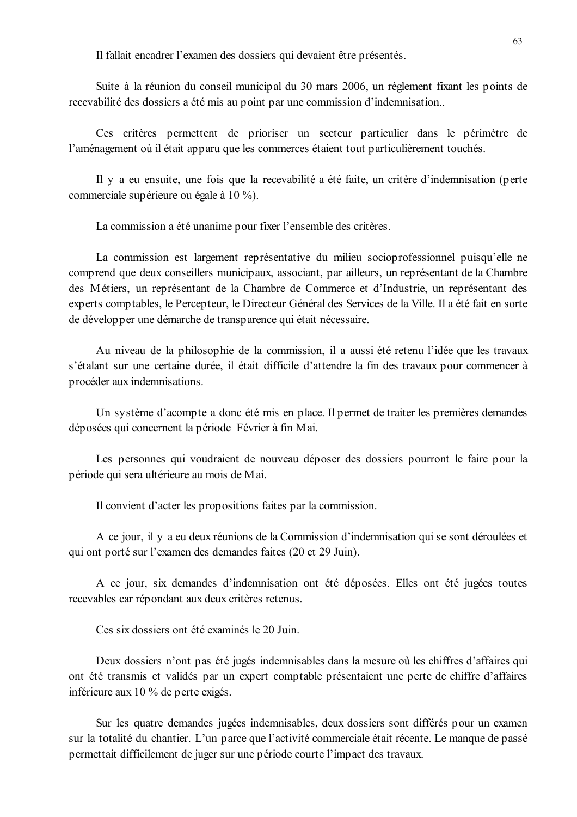Il fallait encadrer l'examen des dossiers qui devaient être présentés.

Suite à la réunion du conseil municipal du 30 mars 2006, un règlement fixant les points de recevabilité des dossiers a été mis au point par une commission d'indemnisation...

Ces critères permettent de prioriser un secteur particulier dans le périmètre de l'aménagement où il était apparu que les commerces étaient tout particulièrement touchés.

Il y a eu ensuite, une fois que la recevabilité a été faite, un critère d'indemnisation (perte commerciale supérieure ou égale à 10 %).

La commission a été unanime pour fixer l'ensemble des critères.

La commission est largement représentative du milieu socioprofessionnel puisqu'elle ne comprend que deux conseillers municipaux, associant, par ailleurs, un représentant de la Chambre des Métiers, un représentant de la Chambre de Commerce et d'Industrie, un représentant des experts comptables, le Percepteur, le Directeur Général des Services de la Ville. Il a été fait en sorte de développer une démarche de transparence qui était nécessaire.

Au niveau de la philosophie de la commission, il a aussi été retenu l'idée que les travaux s'étalant sur une certaine durée, il était difficile d'attendre la fin des travaux pour commencer à procéder aux indemnisations.

Un système d'acompte a donc été mis en place. Il permet de traiter les premières demandes déposées qui concernent la période Février à fin Mai.

Les personnes qui voudraient de nouveau déposer des dossiers pourront le faire pour la période qui sera ultérieure au mois de Mai.

Il convient d'acter les propositions faites par la commission.

A ce jour, il y a eu deux réunions de la Commission d'indemnisation qui se sont déroulées et qui ont porté sur l'examen des demandes faites (20 et 29 Juin).

A ce jour, six demandes d'indemnisation ont été déposées. Elles ont été jugées toutes recevables car répondant aux deux critères retenus.

Ces six dossiers ont été examinés le 20 Juin

Deux dossiers n'ont pas été jugés indemnisables dans la mesure où les chiffres d'affaires qui ont été transmis et validés par un expert comptable présentaient une perte de chiffre d'affaires inférieure aux 10 % de perte exigés.

Sur les quatre demandes jugées indemnisables, deux dossiers sont différés pour un examen sur la totalité du chantier. L'un parce que l'activité commerciale était récente. Le manque de passé permettait difficilement de juger sur une période courte l'impact des travaux.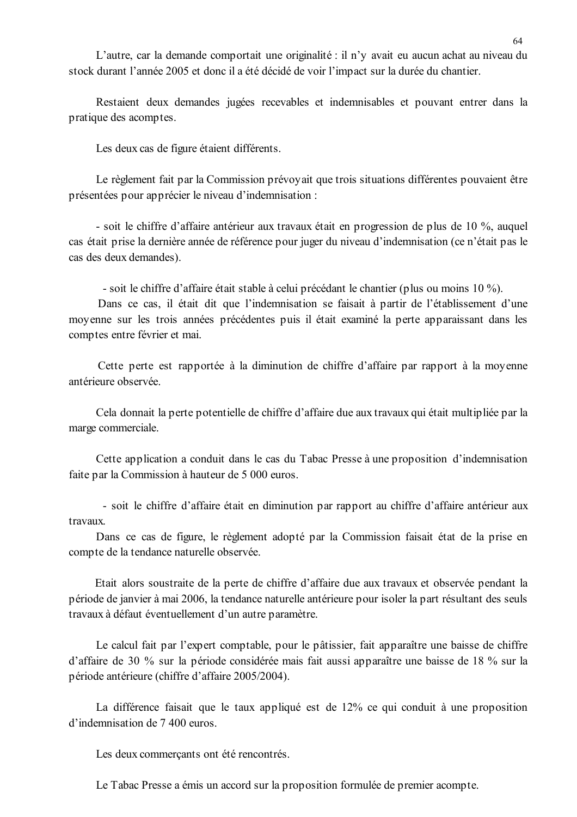L'autre, car la demande comportait une originalité : il n'y avait eu aucun achat au niveau du stock durant l'année 2005 et donc il a été décidé de voir l'impact sur la durée du chantier.

Restaient deux demandes jugées recevables et indemnisables et pouvant entrer dans la pratique des acomptes.

Les deux cas de figure étaient différents.

Le règlement fait par la Commission prévoyait que trois situations différentes pouvaient être présentées pour apprécier le niveau d'indemnisation :

- soit le chiffre d'affaire antérieur aux travaux était en progression de plus de 10 %, auquel cas était prise la dernière année de référence pour juger du niveau d'indemnisation (ce n'était pas le cas des deux demandes).

- soit le chiffre d'affaire était stable à celui précédant le chantier (plus ou moins 10 %).

Dans ce cas, il était dit que l'indemnisation se faisait à partir de l'établissement d'une moyenne sur les trois années précédentes puis il était examiné la perte apparaissant dans les comptes entre février et mai.

Cette perte est rapportée à la diminution de chiffre d'affaire par rapport à la moyenne antérieure observée

Cela donnait la perte potentielle de chiffre d'affaire due aux travaux qui était multipliée par la marge commerciale.

Cette application a conduit dans le cas du Tabac Presse à une proposition d'indemnisation faite par la Commission à hauteur de 5 000 euros.

- soit le chiffre d'affaire était en diminution par rapport au chiffre d'affaire antérieur aux travaux.

Dans ce cas de figure, le règlement adopté par la Commission faisait état de la prise en compte de la tendance naturelle observée.

Etait alors soustraite de la perte de chiffre d'affaire due aux travaux et observée pendant la période de janvier à mai 2006, la tendance naturelle antérieure pour isoler la part résultant des seuls travaux à défaut éventuellement d'un autre paramètre.

Le calcul fait par l'expert comptable, pour le pâtissier, fait apparaître une baisse de chiffre d'affaire de 30 % sur la période considérée mais fait aussi apparaître une baisse de 18 % sur la période antérieure (chiffre d'affaire 2005/2004).

La différence faisait que le taux appliqué est de 12% ce qui conduit à une proposition d'indemnisation de 7 400 euros.

Les deux commerçants ont été rencontrés.

Le Tabac Presse a émis un accord sur la proposition formulée de premier acompte.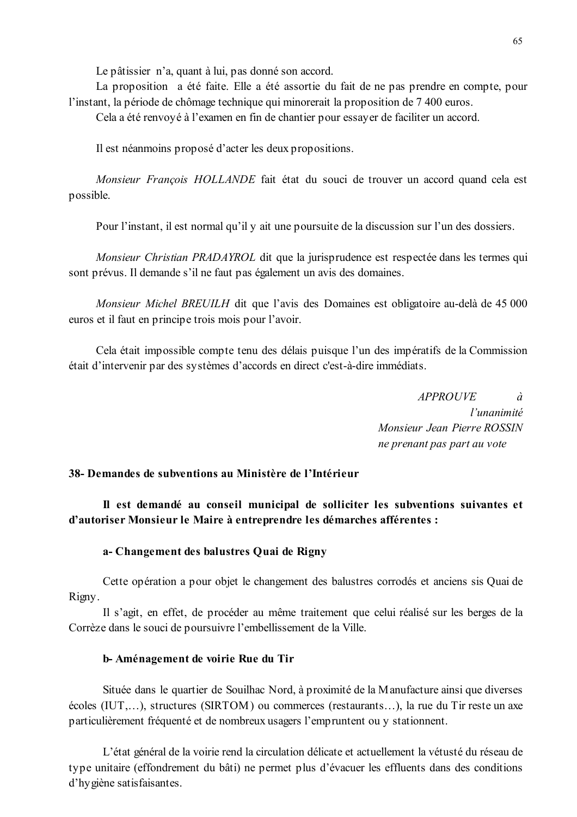Le pâtissier n'a, quant à lui, pas donné son accord.

La proposition a été faite. Elle a été assortie du fait de ne pas prendre en compte, pour l'instant, la période de chômage technique qui minorerait la proposition de 7 400 euros.

Cela a été renvoyé à l'examen en fin de chantier pour essayer de faciliter un accord.

Il est néanmoins proposé d'acter les deux propositions.

Monsieur François HOLLANDE fait état du souci de trouver un accord quand cela est possible.

Pour l'instant, il est normal qu'il y ait une poursuite de la discussion sur l'un des dossiers.

Monsieur Christian PRADAYROL dit que la jurisprudence est respectée dans les termes qui sont prévus. Il demande s'il ne faut pas également un avis des domaines.

Monsieur Michel BREUILH dit que l'avis des Domaines est obligatoire au-delà de 45 000 euros et il faut en principe trois mois pour l'avoir.

Cela était impossible compte tenu des délais puisque l'un des impératifs de la Commission était d'intervenir par des systèmes d'accords en direct c'est-à-dire immédiats.

> **APPROUVE**  $\dot{a}$ l'unanimité Monsieur Jean Pierre ROSSIN ne prenant pas part au vote

### 38- Demandes de subventions au Ministère de l'Intérieur

Il est demandé au conseil municipal de solliciter les subventions suivantes et d'autoriser Monsieur le Maire à entreprendre les démarches afférentes :

#### a-Changement des balustres Quai de Rigny

Cette opération a pour objet le changement des balustres corrodés et anciens sis Quai de Rigny.

Il s'agit, en effet, de procéder au même traitement que celui réalisé sur les berges de la Corrèze dans le souci de poursuivre l'embellissement de la Ville.

#### b-Aménagement de voirie Rue du Tir

Située dans le quartier de Souilhac Nord, à proximité de la Manufacture ainsi que diverses écoles (IUT,...), structures (SIRTOM) ou commerces (restaurants...), la rue du Tir reste un axe particulièrement fréquenté et de nombreux usagers l'empruntent ou y stationnent.

L'état général de la voirie rend la circulation délicate et actuellement la vétusté du réseau de type unitaire (effondrement du bâti) ne permet plus d'évacuer les effluents dans des conditions d'hygiène satisfaisantes.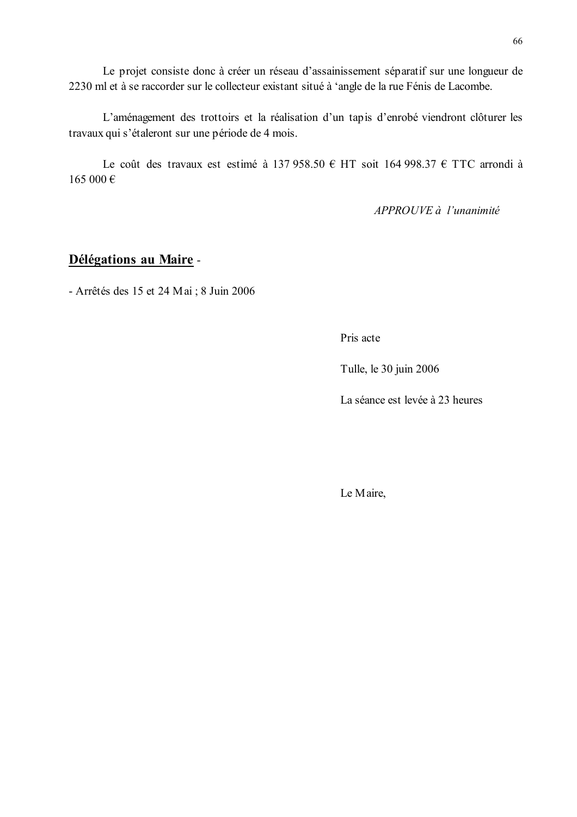Le projet consiste donc à créer un réseau d'assainissement séparatif sur une longueur de 2230 ml et à se raccorder sur le collecteur existant situé à 'angle de la rue Fénis de Lacombe.

L'aménagement des trottoirs et la réalisation d'un tapis d'enrobé viendront clôturer les travaux qui s'étaleront sur une période de 4 mois.

Le coût des travaux est estimé à 137 958.50 € HT soit 164 998.37 € TTC arrondi à  $165000 \in$ 

APPROUVE à l'unanimité

# Délégations au Maire -

- Arrêtés des 15 et 24 Mai ; 8 Juin 2006

Pris acte

Tulle, le 30 juin 2006

La séance est levée à 23 heures

Le Maire,